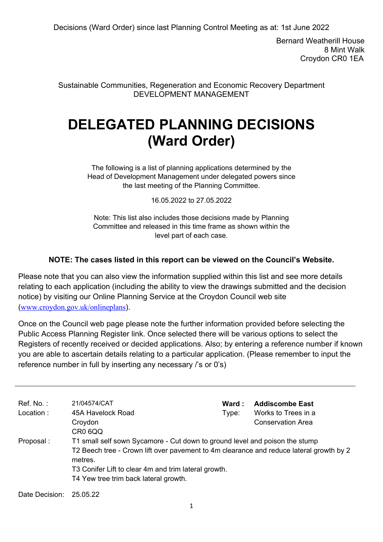Bernard Weatherill House 8 Mint Walk Croydon CR0 1EA

Sustainable Communities, Regeneration and Economic Recovery Department DEVELOPMENT MANAGEMENT

# **DELEGATED PLANNING DECISIONS (Ward Order)**

The following is a list of planning applications determined by the Head of Development Management under delegated powers since the last meeting of the Planning Committee.

16.05.2022 to 27.05.2022

Note: This list also includes those decisions made by Planning Committee and released in this time frame as shown within the level part of each case.

### **NOTE: The cases listed in this report can be viewed on the Council's Website.**

Please note that you can also view the information supplied within this list and see more details relating to each application (including the ability to view the drawings submitted and the decision notice) by visiting our Online Planning Service at the Croydon Council web site (www.croydon.gov.uk/onlineplans).

Once on the Council web page please note the further information provided before selecting the Public Access Planning Register link. Once selected there will be various options to select the Registers of recently received or decided applications. Also; by entering a reference number if known you are able to ascertain details relating to a particular application. (Please remember to input the reference number in full by inserting any necessary /'s or 0's)

| Ref. No. :<br>Location : | 21/04574/CAT<br>45A Havelock Road<br>Croydon<br>CR0 6QQ                                                                                                                                                                                                                            | Ward :<br>Type: | <b>Addiscombe East</b><br>Works to Trees in a<br>Conservation Area |
|--------------------------|------------------------------------------------------------------------------------------------------------------------------------------------------------------------------------------------------------------------------------------------------------------------------------|-----------------|--------------------------------------------------------------------|
| Proposal :               | T1 small self sown Sycamore - Cut down to ground level and poison the stump<br>T2 Beech tree - Crown lift over pavement to 4m clearance and reduce lateral growth by 2<br>metres.<br>T3 Conifer Lift to clear 4m and trim lateral growth.<br>T4 Yew tree trim back lateral growth. |                 |                                                                    |
| Date Decision:           | 25.05.22                                                                                                                                                                                                                                                                           |                 |                                                                    |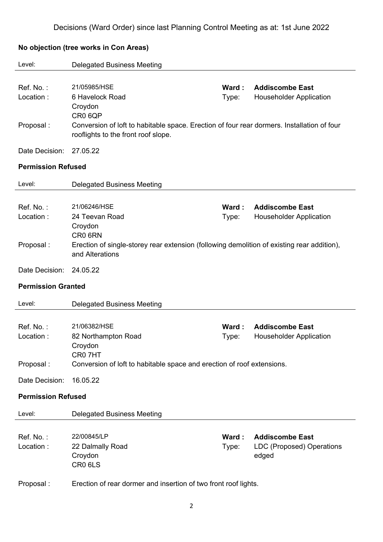| Level:                    | <b>Delegated Business Meeting</b>                                                                             |                |                                                          |
|---------------------------|---------------------------------------------------------------------------------------------------------------|----------------|----------------------------------------------------------|
|                           |                                                                                                               |                |                                                          |
| Ref. No.:<br>Location:    | 21/05985/HSE<br>6 Havelock Road                                                                               | Ward:<br>Type: | <b>Addiscombe East</b><br><b>Householder Application</b> |
|                           | Croydon                                                                                                       |                |                                                          |
|                           | CR0 6QP                                                                                                       |                |                                                          |
| Proposal:                 | Conversion of loft to habitable space. Erection of four rear dormers. Installation of four                    |                |                                                          |
|                           | rooflights to the front roof slope.                                                                           |                |                                                          |
| Date Decision:            | 27.05.22                                                                                                      |                |                                                          |
| <b>Permission Refused</b> |                                                                                                               |                |                                                          |
|                           |                                                                                                               |                |                                                          |
| Level:                    | <b>Delegated Business Meeting</b>                                                                             |                |                                                          |
|                           |                                                                                                               |                |                                                          |
| Ref. No.:                 | 21/06246/HSE                                                                                                  | Ward:          | <b>Addiscombe East</b>                                   |
| Location:                 | 24 Teevan Road                                                                                                | Type:          | <b>Householder Application</b>                           |
|                           | Croydon                                                                                                       |                |                                                          |
|                           | CR0 6RN                                                                                                       |                |                                                          |
| Proposal:                 | Erection of single-storey rear extension (following demolition of existing rear addition),<br>and Alterations |                |                                                          |
| Date Decision:            | 24.05.22                                                                                                      |                |                                                          |
| <b>Permission Granted</b> |                                                                                                               |                |                                                          |
|                           |                                                                                                               |                |                                                          |
| Level:                    | <b>Delegated Business Meeting</b>                                                                             |                |                                                          |
|                           |                                                                                                               |                |                                                          |
| Ref. No.:                 | 21/06382/HSE                                                                                                  | Ward:          | <b>Addiscombe East</b>                                   |
| Location:                 | 82 Northampton Road                                                                                           | Type:          | <b>Householder Application</b>                           |
|                           | Croydon                                                                                                       |                |                                                          |
|                           | CR0 7HT                                                                                                       |                |                                                          |
| Proposal:                 | Conversion of loft to habitable space and erection of roof extensions.                                        |                |                                                          |
| Date Decision:            | 16.05.22                                                                                                      |                |                                                          |
| <b>Permission Refused</b> |                                                                                                               |                |                                                          |
| Level:                    | <b>Delegated Business Meeting</b>                                                                             |                |                                                          |
|                           |                                                                                                               |                |                                                          |
| Ref. No.:                 | 22/00845/LP                                                                                                   | Ward:          | <b>Addiscombe East</b>                                   |
| Location:                 | 22 Dalmally Road                                                                                              | Type:          | LDC (Proposed) Operations                                |
|                           | Croydon                                                                                                       |                | edged                                                    |
|                           | CR0 6LS                                                                                                       |                |                                                          |

### **No objection (tree works in Con Areas)**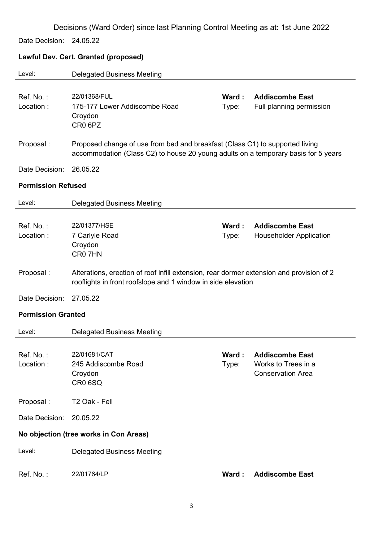Date Decision: 24.05.22

# **Lawful Dev. Cert. Granted (proposed)**

| Level:                    | <b>Delegated Business Meeting</b>                                                                                                                                  |                |                                                                          |
|---------------------------|--------------------------------------------------------------------------------------------------------------------------------------------------------------------|----------------|--------------------------------------------------------------------------|
| Ref. No.:<br>Location:    | 22/01368/FUL<br>175-177 Lower Addiscombe Road<br>Croydon<br>CR <sub>0</sub> 6PZ                                                                                    | Ward:<br>Type: | <b>Addiscombe East</b><br>Full planning permission                       |
| Proposal:                 | Proposed change of use from bed and breakfast (Class C1) to supported living<br>accommodation (Class C2) to house 20 young adults on a temporary basis for 5 years |                |                                                                          |
| Date Decision:            | 26.05.22                                                                                                                                                           |                |                                                                          |
| <b>Permission Refused</b> |                                                                                                                                                                    |                |                                                                          |
| Level:                    | <b>Delegated Business Meeting</b>                                                                                                                                  |                |                                                                          |
| Ref. No.:<br>Location:    | 22/01377/HSE<br>7 Carlyle Road<br>Croydon<br>CR07HN                                                                                                                | Ward:<br>Type: | <b>Addiscombe East</b><br><b>Householder Application</b>                 |
| Proposal:                 | Alterations, erection of roof infill extension, rear dormer extension and provision of 2<br>rooflights in front roofslope and 1 window in side elevation           |                |                                                                          |
| Date Decision:            | 27.05.22                                                                                                                                                           |                |                                                                          |
| <b>Permission Granted</b> |                                                                                                                                                                    |                |                                                                          |
| Level:                    | <b>Delegated Business Meeting</b>                                                                                                                                  |                |                                                                          |
| Ref. No.:<br>Location:    | 22/01681/CAT<br>245 Addiscombe Road<br>Croydon<br>CR0 6SQ                                                                                                          | Type:          | Ward: Addiscombe East<br>Works to Trees in a<br><b>Conservation Area</b> |
| Proposal:                 | T2 Oak - Fell                                                                                                                                                      |                |                                                                          |
| Date Decision:            | 20.05.22                                                                                                                                                           |                |                                                                          |
|                           | No objection (tree works in Con Areas)                                                                                                                             |                |                                                                          |
| Level:                    | <b>Delegated Business Meeting</b>                                                                                                                                  |                |                                                                          |
| Ref. No.:                 | 22/01764/LP                                                                                                                                                        | Ward:          | <b>Addiscombe East</b>                                                   |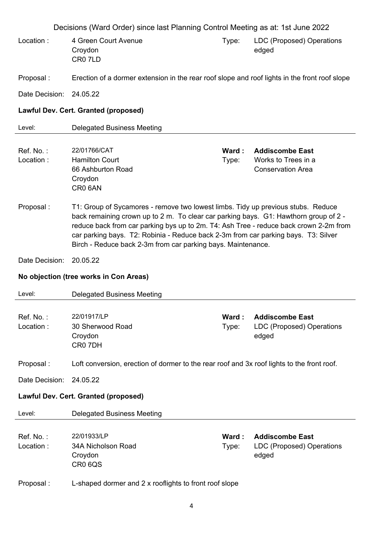Decisions (Ward Order) since last Planning Control Meeting as at: 1st June 2022 Location : 4 Green Court Avenue Croydon CR0 7LD Type: LDC (Proposed) Operations edged Proposal : Erection of a dormer extension in the rear roof slope and roof lights in the front roof slope Date Decision: 24.05.22 **Lawful Dev. Cert. Granted (proposed)** Level: Delegated Business Meeting Ref. No. : 22/01766/CAT **Ward : Addiscombe East** Location : Hamilton Court 66 Ashburton Road Croydon CR0 6AN Type: Works to Trees in a Conservation Area Proposal : T1: Group of Sycamores - remove two lowest limbs. Tidy up previous stubs. Reduce back remaining crown up to 2 m. To clear car parking bays. G1: Hawthorn group of 2 reduce back from car parking bys up to 2m. T4: Ash Tree - reduce back crown 2-2m from car parking bays. T2: Robinia - Reduce back 2-3m from car parking bays. T3: Silver Birch - Reduce back 2-3m from car parking bays. Maintenance. Date Decision: 20.05.22 **No objection (tree works in Con Areas)** Level: Delegated Business Meeting Ref. No. : 22/01917/LP **Ward : Addiscombe East** Location : 30 Sherwood Road **Croydon** CR0 7DH Type: LDC (Proposed) Operations edged Proposal : Loft conversion, erection of dormer to the rear roof and 3x roof lights to the front roof. Date Decision: 24.05.22 **Lawful Dev. Cert. Granted (proposed)** Level: Delegated Business Meeting

Ref. No. : 22/01933/LP **Ward : Addiscombe East** Location : 34A Nicholson Road **Croydon** CR0 6QS

Type: LDC (Proposed) Operations edged

### Proposal : L-shaped dormer and 2 x rooflights to front roof slope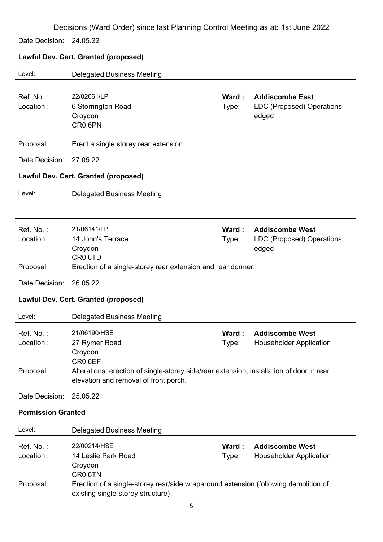Date Decision: 24.05.22

# **Lawful Dev. Cert. Granted (proposed)**

| Level:                              | <b>Delegated Business Meeting</b>                                                                                                                                                        |                |                                                              |  |
|-------------------------------------|------------------------------------------------------------------------------------------------------------------------------------------------------------------------------------------|----------------|--------------------------------------------------------------|--|
| Ref. No.:<br>Location:              | 22/02061/LP<br>6 Storrington Road<br>Croydon<br>CR0 6PN                                                                                                                                  | Ward:<br>Type: | <b>Addiscombe East</b><br>LDC (Proposed) Operations<br>edged |  |
| Proposal:                           | Erect a single storey rear extension.                                                                                                                                                    |                |                                                              |  |
| Date Decision:                      | 27.05.22                                                                                                                                                                                 |                |                                                              |  |
|                                     | <b>Lawful Dev. Cert. Granted (proposed)</b>                                                                                                                                              |                |                                                              |  |
| Level:                              | <b>Delegated Business Meeting</b>                                                                                                                                                        |                |                                                              |  |
| Ref. No.:<br>Location:<br>Proposal: | 21/06141/LP<br>14 John's Terrace<br>Croydon<br>CR <sub>0</sub> 6TD<br>Erection of a single-storey rear extension and rear dormer.                                                        | Ward:<br>Type: | <b>Addiscombe West</b><br>LDC (Proposed) Operations<br>edged |  |
| Date Decision:                      | 26.05.22                                                                                                                                                                                 |                |                                                              |  |
|                                     | <b>Lawful Dev. Cert. Granted (proposed)</b>                                                                                                                                              |                |                                                              |  |
| Level:                              | <b>Delegated Business Meeting</b>                                                                                                                                                        |                |                                                              |  |
| Ref. No.:<br>Location:<br>Proposal: | 21/06190/HSE<br>27 Rymer Road<br>Croydon<br>CR0 6EF<br>Alterations, erection of single-storey side/rear extension, installation of door in rear<br>elevation and removal of front porch. | Ward:<br>Type: | <b>Addiscombe West</b><br><b>Householder Application</b>     |  |
| Date Decision:                      | 25.05.22                                                                                                                                                                                 |                |                                                              |  |
| <b>Permission Granted</b>           |                                                                                                                                                                                          |                |                                                              |  |
| Level:                              | <b>Delegated Business Meeting</b>                                                                                                                                                        |                |                                                              |  |
| Ref. No.:<br>Location:              | 22/00214/HSE<br>14 Leslie Park Road<br>Croydon<br>CR0 6TN                                                                                                                                | Ward:<br>Type: | <b>Addiscombe West</b><br><b>Householder Application</b>     |  |
| Proposal:                           | Erection of a single-storey rear/side wraparound extension (following demolition of<br>existing single-storey structure)                                                                 |                |                                                              |  |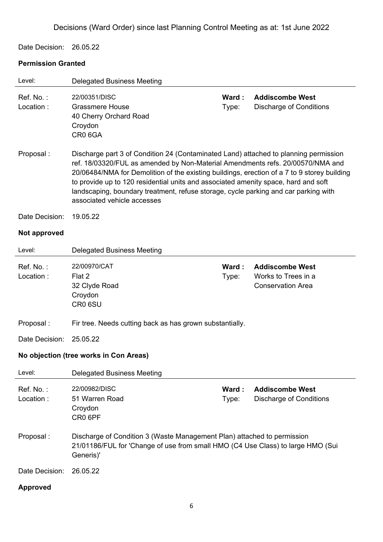Date Decision: 26.05.22

### **Permission Granted**

| Level:                 | <b>Delegated Business Meeting</b>                                                                                                                                                                                                                                                                                                                                                                                                                                                 |                |                                                                           |  |
|------------------------|-----------------------------------------------------------------------------------------------------------------------------------------------------------------------------------------------------------------------------------------------------------------------------------------------------------------------------------------------------------------------------------------------------------------------------------------------------------------------------------|----------------|---------------------------------------------------------------------------|--|
| Ref. No.:<br>Location: | 22/00351/DISC<br><b>Grassmere House</b><br>40 Cherry Orchard Road<br>Croydon<br>CR0 6GA                                                                                                                                                                                                                                                                                                                                                                                           | Ward:<br>Type: | <b>Addiscombe West</b><br><b>Discharge of Conditions</b>                  |  |
| Proposal:              | Discharge part 3 of Condition 24 (Contaminated Land) attached to planning permission<br>ref. 18/03320/FUL as amended by Non-Material Amendments refs. 20/00570/NMA and<br>20/06484/NMA for Demolition of the existing buildings, erection of a 7 to 9 storey building<br>to provide up to 120 residential units and associated amenity space, hard and soft<br>landscaping, boundary treatment, refuse storage, cycle parking and car parking with<br>associated vehicle accesses |                |                                                                           |  |
| Date Decision:         | 19.05.22                                                                                                                                                                                                                                                                                                                                                                                                                                                                          |                |                                                                           |  |
| Not approved           |                                                                                                                                                                                                                                                                                                                                                                                                                                                                                   |                |                                                                           |  |
| Level:                 | <b>Delegated Business Meeting</b>                                                                                                                                                                                                                                                                                                                                                                                                                                                 |                |                                                                           |  |
| Ref. No.:<br>Location: | 22/00970/CAT<br>Flat 2<br>32 Clyde Road<br>Croydon<br>CR0 6SU                                                                                                                                                                                                                                                                                                                                                                                                                     | Ward:<br>Type: | <b>Addiscombe West</b><br>Works to Trees in a<br><b>Conservation Area</b> |  |
| Proposal:              | Fir tree. Needs cutting back as has grown substantially.                                                                                                                                                                                                                                                                                                                                                                                                                          |                |                                                                           |  |
| Date Decision:         | 25.05.22                                                                                                                                                                                                                                                                                                                                                                                                                                                                          |                |                                                                           |  |
|                        | No objection (tree works in Con Areas)                                                                                                                                                                                                                                                                                                                                                                                                                                            |                |                                                                           |  |
| Level:                 | <b>Delegated Business Meeting</b>                                                                                                                                                                                                                                                                                                                                                                                                                                                 |                |                                                                           |  |
| Ref. No.:<br>Location: | 22/00982/DISC<br>51 Warren Road<br>Croydon<br>CR0 6PF                                                                                                                                                                                                                                                                                                                                                                                                                             | Ward:<br>Type: | <b>Addiscombe West</b><br>Discharge of Conditions                         |  |
| Proposal:              | Discharge of Condition 3 (Waste Management Plan) attached to permission<br>21/01186/FUL for 'Change of use from small HMO (C4 Use Class) to large HMO (Sui<br>Generis)'                                                                                                                                                                                                                                                                                                           |                |                                                                           |  |
| Date Decision:         | 26.05.22                                                                                                                                                                                                                                                                                                                                                                                                                                                                          |                |                                                                           |  |
| <b>Approved</b>        |                                                                                                                                                                                                                                                                                                                                                                                                                                                                                   |                |                                                                           |  |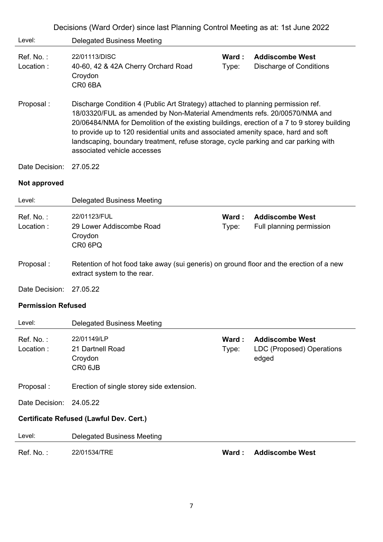| Decisions (Ward Order) since last Planning Control Meeting as at: 1st June 2022 |                                                                                                                                                                                                                                                                                                                                                                                                                                                                          |                |                                                              |  |
|---------------------------------------------------------------------------------|--------------------------------------------------------------------------------------------------------------------------------------------------------------------------------------------------------------------------------------------------------------------------------------------------------------------------------------------------------------------------------------------------------------------------------------------------------------------------|----------------|--------------------------------------------------------------|--|
| Level:                                                                          | <b>Delegated Business Meeting</b>                                                                                                                                                                                                                                                                                                                                                                                                                                        |                |                                                              |  |
| Ref. No.:<br>Location:                                                          | 22/01113/DISC<br>40-60, 42 & 42A Cherry Orchard Road<br>Croydon<br>CR0 6BA                                                                                                                                                                                                                                                                                                                                                                                               | Ward:<br>Type: | <b>Addiscombe West</b><br>Discharge of Conditions            |  |
| Proposal:                                                                       | Discharge Condition 4 (Public Art Strategy) attached to planning permission ref.<br>18/03320/FUL as amended by Non-Material Amendments refs. 20/00570/NMA and<br>20/06484/NMA for Demolition of the existing buildings, erection of a 7 to 9 storey building<br>to provide up to 120 residential units and associated amenity space, hard and soft<br>landscaping, boundary treatment, refuse storage, cycle parking and car parking with<br>associated vehicle accesses |                |                                                              |  |
| Date Decision:                                                                  | 27.05.22                                                                                                                                                                                                                                                                                                                                                                                                                                                                 |                |                                                              |  |
| Not approved                                                                    |                                                                                                                                                                                                                                                                                                                                                                                                                                                                          |                |                                                              |  |
| Level:                                                                          | <b>Delegated Business Meeting</b>                                                                                                                                                                                                                                                                                                                                                                                                                                        |                |                                                              |  |
| Ref. No.:<br>Location:                                                          | 22/01123/FUL<br>29 Lower Addiscombe Road<br>Croydon<br>CR0 6PQ                                                                                                                                                                                                                                                                                                                                                                                                           | Ward:<br>Type: | <b>Addiscombe West</b><br>Full planning permission           |  |
| Proposal:                                                                       | Retention of hot food take away (sui generis) on ground floor and the erection of a new<br>extract system to the rear.                                                                                                                                                                                                                                                                                                                                                   |                |                                                              |  |
| Date Decision:                                                                  | 27.05.22                                                                                                                                                                                                                                                                                                                                                                                                                                                                 |                |                                                              |  |
| <b>Permission Refused</b>                                                       |                                                                                                                                                                                                                                                                                                                                                                                                                                                                          |                |                                                              |  |
| Level:                                                                          | <b>Delegated Business Meeting</b>                                                                                                                                                                                                                                                                                                                                                                                                                                        |                |                                                              |  |
| Ref. No.:<br>Location:                                                          | 22/01149/LP<br>21 Dartnell Road<br>Croydon<br>CR <sub>0</sub> 6JB                                                                                                                                                                                                                                                                                                                                                                                                        | Ward:<br>Type: | <b>Addiscombe West</b><br>LDC (Proposed) Operations<br>edged |  |
| Proposal:                                                                       | Erection of single storey side extension.                                                                                                                                                                                                                                                                                                                                                                                                                                |                |                                                              |  |
| Date Decision:                                                                  | 24.05.22                                                                                                                                                                                                                                                                                                                                                                                                                                                                 |                |                                                              |  |
|                                                                                 | Certificate Refused (Lawful Dev. Cert.)                                                                                                                                                                                                                                                                                                                                                                                                                                  |                |                                                              |  |
| Level:                                                                          | <b>Delegated Business Meeting</b>                                                                                                                                                                                                                                                                                                                                                                                                                                        |                |                                                              |  |
| Ref. No.:                                                                       | 22/01534/TRE                                                                                                                                                                                                                                                                                                                                                                                                                                                             | Ward:          | <b>Addiscombe West</b>                                       |  |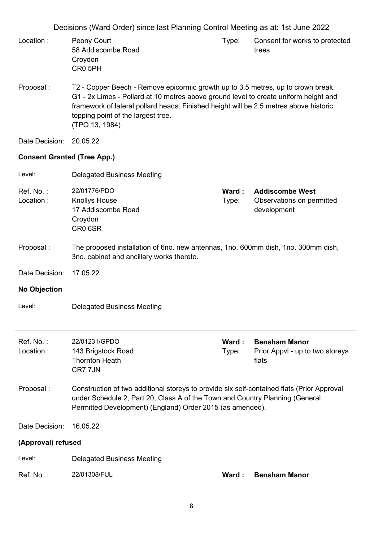| Location : | Peony Court                                                                      | I vpe: | Consent for works to protected |
|------------|----------------------------------------------------------------------------------|--------|--------------------------------|
|            | 58 Addiscombe Road                                                               |        | trees                          |
|            | Crovdon                                                                          |        |                                |
|            | CR <sub>0</sub> 5PH                                                              |        |                                |
|            |                                                                                  |        |                                |
| Proposal : | T2 - Copper Beech - Remove epicormic growth up to 3.5 metres, up to crown break. |        |                                |

- G1 2x Limes Pollard at 10 metres above ground level to create uniform height and framework of lateral pollard heads. Finished height will be 2.5 metres above historic topping point of the largest tree. (TPO 13, 1984)
- Date Decision: 20.05.22

#### **Consent Granted (Tree App.)**

| Level:                 | <b>Delegated Business Meeting</b>                                                                                                                                                                                                       |                |                                                                    |
|------------------------|-----------------------------------------------------------------------------------------------------------------------------------------------------------------------------------------------------------------------------------------|----------------|--------------------------------------------------------------------|
| Ref. No.:<br>Location: | 22/01776/PDO<br><b>Knollys House</b><br>17 Addiscombe Road<br>Croydon<br>CR0 6SR                                                                                                                                                        | Ward:<br>Type: | <b>Addiscombe West</b><br>Observations on permitted<br>development |
| Proposal:              | The proposed installation of 6no. new antennas, 1no. 600mm dish, 1no. 300mm dish,<br>3no. cabinet and ancillary works thereto.                                                                                                          |                |                                                                    |
| Date Decision:         | 17.05.22                                                                                                                                                                                                                                |                |                                                                    |
| <b>No Objection</b>    |                                                                                                                                                                                                                                         |                |                                                                    |
| Level:                 | <b>Delegated Business Meeting</b>                                                                                                                                                                                                       |                |                                                                    |
| Ref. No.:<br>Location: | 22/01231/GPDO<br>143 Brigstock Road<br><b>Thornton Heath</b><br>CR7 7JN                                                                                                                                                                 | Ward:<br>Type: | <b>Bensham Manor</b><br>Prior Appvl - up to two storeys<br>flats   |
| Proposal:              | Construction of two additional storeys to provide six self-contained flats (Prior Approval<br>under Schedule 2, Part 20, Class A of the Town and Country Planning (General<br>Permitted Development) (England) Order 2015 (as amended). |                |                                                                    |
| Date Decision:         | 16.05.22                                                                                                                                                                                                                                |                |                                                                    |
| (Approval) refused     |                                                                                                                                                                                                                                         |                |                                                                    |
| Level:                 | <b>Delegated Business Meeting</b>                                                                                                                                                                                                       |                |                                                                    |
| Ref. No.:              | 22/01308/FUL                                                                                                                                                                                                                            | Ward:          | <b>Bensham Manor</b>                                               |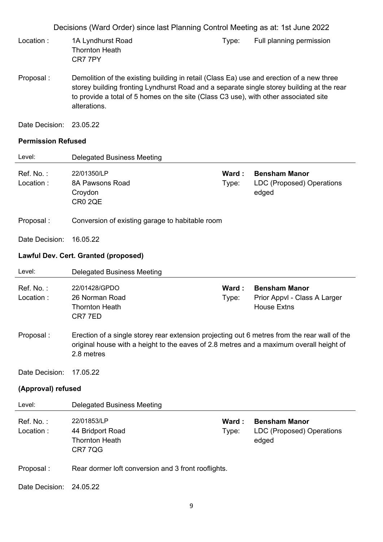- Location : 1A Lyndhurst Road Thornton Heath CR7 7PY Type: Full planning permission
- Proposal : Demolition of the existing building in retail (Class Ea) use and erection of a new three storey building fronting Lyndhurst Road and a separate single storey building at the rear to provide a total of 5 homes on the site (Class C3 use), with other associated site alterations.
- Date Decision: 23.05.22

#### **Permission Refused**

| Level:                 | <b>Delegated Business Meeting</b>                                                                                                                                                                     |                |                                                                            |
|------------------------|-------------------------------------------------------------------------------------------------------------------------------------------------------------------------------------------------------|----------------|----------------------------------------------------------------------------|
| Ref. No.:<br>Location: | 22/01350/LP<br>8A Pawsons Road<br>Croydon<br>CR0 2QE                                                                                                                                                  | Ward:<br>Type: | <b>Bensham Manor</b><br>LDC (Proposed) Operations<br>edged                 |
| Proposal:              | Conversion of existing garage to habitable room                                                                                                                                                       |                |                                                                            |
| Date Decision:         | 16.05.22                                                                                                                                                                                              |                |                                                                            |
|                        | <b>Lawful Dev. Cert. Granted (proposed)</b>                                                                                                                                                           |                |                                                                            |
| Level:                 | <b>Delegated Business Meeting</b>                                                                                                                                                                     |                |                                                                            |
| Ref. No.:<br>Location: | 22/01428/GPDO<br>26 Norman Road<br><b>Thornton Heath</b><br>CR77ED                                                                                                                                    | Ward:<br>Type: | <b>Bensham Manor</b><br>Prior Appvl - Class A Larger<br><b>House Extns</b> |
| Proposal:              | Erection of a single storey rear extension projecting out 6 metres from the rear wall of the<br>original house with a height to the eaves of 2.8 metres and a maximum overall height of<br>2.8 metres |                |                                                                            |
| Date Decision:         | 17.05.22                                                                                                                                                                                              |                |                                                                            |
| (Approval) refused     |                                                                                                                                                                                                       |                |                                                                            |
| Level:                 | <b>Delegated Business Meeting</b>                                                                                                                                                                     |                |                                                                            |
| Ref. No.:<br>Location: | 22/01853/LP<br>44 Bridport Road<br><b>Thornton Heath</b><br><b>CR7 7QG</b>                                                                                                                            | Ward:<br>Type: | <b>Bensham Manor</b><br>LDC (Proposed) Operations<br>edged                 |
| Proposal:              | Rear dormer loft conversion and 3 front rooflights.                                                                                                                                                   |                |                                                                            |
| Date Decision:         | 24.05.22                                                                                                                                                                                              |                |                                                                            |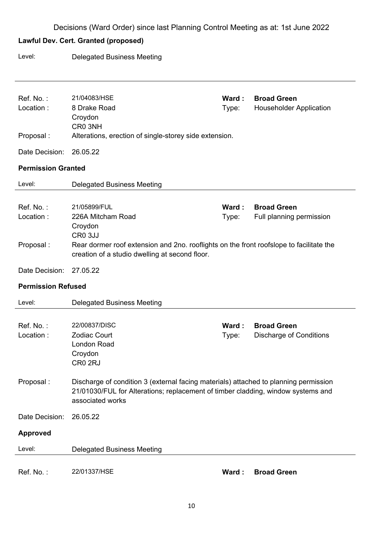# **Lawful Dev. Cert. Granted (proposed)**

Level: Delegated Business Meeting

| Ref. No.:                 | 21/04083/HSE                                                                            | Ward: | <b>Broad Green</b>             |
|---------------------------|-----------------------------------------------------------------------------------------|-------|--------------------------------|
| Location:                 | 8 Drake Road                                                                            | Type: | <b>Householder Application</b> |
|                           | Croydon<br>CR0 3NH                                                                      |       |                                |
| Proposal:                 | Alterations, erection of single-storey side extension.                                  |       |                                |
|                           |                                                                                         |       |                                |
| Date Decision:            | 26.05.22                                                                                |       |                                |
| <b>Permission Granted</b> |                                                                                         |       |                                |
| Level:                    | <b>Delegated Business Meeting</b>                                                       |       |                                |
|                           |                                                                                         |       |                                |
| Ref. No.:                 | 21/05899/FUL                                                                            | Ward: | <b>Broad Green</b>             |
| Location:                 | 226A Mitcham Road                                                                       | Type: | Full planning permission       |
|                           | Croydon<br>CR <sub>0</sub> 3JJ                                                          |       |                                |
| Proposal:                 | Rear dormer roof extension and 2no. rooflights on the front roofslope to facilitate the |       |                                |
|                           | creation of a studio dwelling at second floor.                                          |       |                                |
| Date Decision:            | 27.05.22                                                                                |       |                                |
|                           |                                                                                         |       |                                |
| <b>Permission Refused</b> |                                                                                         |       |                                |
| Level:                    | <b>Delegated Business Meeting</b>                                                       |       |                                |
|                           |                                                                                         |       |                                |
| Ref. No.:                 | 22/00837/DISC                                                                           | Ward: | <b>Broad Green</b>             |
| Location:                 | <b>Zodiac Court</b>                                                                     | Type: | <b>Discharge of Conditions</b> |
|                           | <b>London Road</b>                                                                      |       |                                |
|                           | Croydon                                                                                 |       |                                |
|                           | CR0 2RJ                                                                                 |       |                                |
| Proposal:                 | Discharge of condition 3 (external facing materials) attached to planning permission    |       |                                |
|                           | 21/01030/FUL for Alterations; replacement of timber cladding, window systems and        |       |                                |
|                           | associated works                                                                        |       |                                |
| Date Decision:            | 26.05.22                                                                                |       |                                |
| <b>Approved</b>           |                                                                                         |       |                                |
|                           |                                                                                         |       |                                |
| Level:                    | <b>Delegated Business Meeting</b>                                                       |       |                                |
|                           |                                                                                         |       |                                |
| Ref. No.:                 | 22/01337/HSE                                                                            | Ward: | <b>Broad Green</b>             |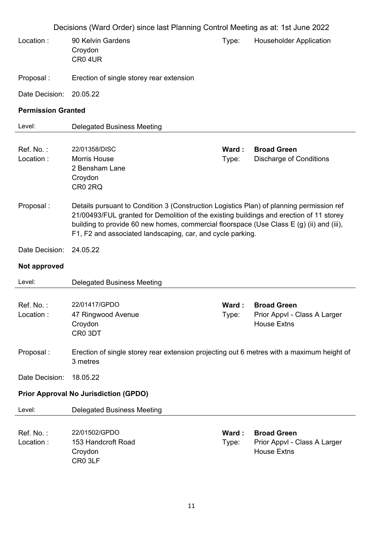|                                              | Decisions (Ward Order) since last Planning Control Meeting as at: 1st June 2022                                                                                                                                                                                                                                                               |                 |                                                                          |  |  |
|----------------------------------------------|-----------------------------------------------------------------------------------------------------------------------------------------------------------------------------------------------------------------------------------------------------------------------------------------------------------------------------------------------|-----------------|--------------------------------------------------------------------------|--|--|
| Location:                                    | 90 Kelvin Gardens<br>Croydon<br>CR04UR                                                                                                                                                                                                                                                                                                        | Type:           | <b>Householder Application</b>                                           |  |  |
| Proposal:                                    | Erection of single storey rear extension                                                                                                                                                                                                                                                                                                      |                 |                                                                          |  |  |
| Date Decision:                               | 20.05.22                                                                                                                                                                                                                                                                                                                                      |                 |                                                                          |  |  |
| <b>Permission Granted</b>                    |                                                                                                                                                                                                                                                                                                                                               |                 |                                                                          |  |  |
| Level:                                       | <b>Delegated Business Meeting</b>                                                                                                                                                                                                                                                                                                             |                 |                                                                          |  |  |
| Ref. No.:<br>Location:                       | 22/01358/DISC<br><b>Morris House</b><br>2 Bensham Lane<br>Croydon<br>CR0 2RQ                                                                                                                                                                                                                                                                  | Ward:<br>Type:  | <b>Broad Green</b><br><b>Discharge of Conditions</b>                     |  |  |
| Proposal:                                    | Details pursuant to Condition 3 (Construction Logistics Plan) of planning permission ref<br>21/00493/FUL granted for Demolition of the existing buildings and erection of 11 storey<br>building to provide 60 new homes, commercial floorspace (Use Class E (g) (ii) and (iii),<br>F1, F2 and associated landscaping, car, and cycle parking. |                 |                                                                          |  |  |
| Date Decision:                               | 24.05.22                                                                                                                                                                                                                                                                                                                                      |                 |                                                                          |  |  |
| Not approved                                 |                                                                                                                                                                                                                                                                                                                                               |                 |                                                                          |  |  |
| Level:                                       | <b>Delegated Business Meeting</b>                                                                                                                                                                                                                                                                                                             |                 |                                                                          |  |  |
| Ref. No.:<br>Location:                       | 22/01417/GPDO<br>47 Ringwood Avenue<br>Croydon<br>CR0 3DT                                                                                                                                                                                                                                                                                     | Ward :<br>Type: | <b>Broad Green</b><br>Prior Appvl - Class A Larger<br><b>House Extns</b> |  |  |
| Proposal:                                    | Erection of single storey rear extension projecting out 6 metres with a maximum height of<br>3 metres                                                                                                                                                                                                                                         |                 |                                                                          |  |  |
| Date Decision:                               | 18.05.22                                                                                                                                                                                                                                                                                                                                      |                 |                                                                          |  |  |
| <b>Prior Approval No Jurisdiction (GPDO)</b> |                                                                                                                                                                                                                                                                                                                                               |                 |                                                                          |  |  |
| Level:                                       | <b>Delegated Business Meeting</b>                                                                                                                                                                                                                                                                                                             |                 |                                                                          |  |  |
| Ref. No.:<br>Location:                       | 22/01502/GPDO<br>153 Handcroft Road<br>Croydon<br>CR0 3LF                                                                                                                                                                                                                                                                                     | Ward:<br>Type:  | <b>Broad Green</b><br>Prior Appvl - Class A Larger<br><b>House Extns</b> |  |  |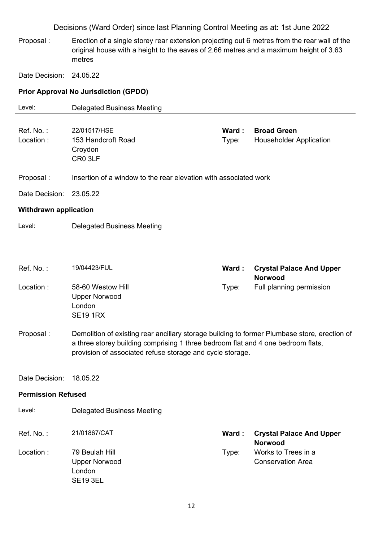Proposal : Erection of a single storey rear extension projecting out 6 metres from the rear wall of the original house with a height to the eaves of 2.66 metres and a maximum height of 3.63 metres

Date Decision: 24.05.22

### **Prior Approval No Jurisdiction (GPDO)**

| Level:                       | <b>Delegated Business Meeting</b>                                                                                                                                                                                                             |                |                                                      |
|------------------------------|-----------------------------------------------------------------------------------------------------------------------------------------------------------------------------------------------------------------------------------------------|----------------|------------------------------------------------------|
| Ref. No.:<br>Location:       | 22/01517/HSE<br>153 Handcroft Road<br>Croydon<br>CR0 3LF                                                                                                                                                                                      | Ward:<br>Type: | <b>Broad Green</b><br><b>Householder Application</b> |
| Proposal:                    | Insertion of a window to the rear elevation with associated work                                                                                                                                                                              |                |                                                      |
| Date Decision:               | 23.05.22                                                                                                                                                                                                                                      |                |                                                      |
| <b>Withdrawn application</b> |                                                                                                                                                                                                                                               |                |                                                      |
| Level:                       | <b>Delegated Business Meeting</b>                                                                                                                                                                                                             |                |                                                      |
|                              |                                                                                                                                                                                                                                               |                |                                                      |
| Ref. No.:                    | 19/04423/FUL                                                                                                                                                                                                                                  | Ward:          | <b>Crystal Palace And Upper</b><br><b>Norwood</b>    |
| Location:                    | 58-60 Westow Hill<br><b>Upper Norwood</b><br>London<br><b>SE19 1RX</b>                                                                                                                                                                        | Type:          | Full planning permission                             |
| Proposal:                    | Demolition of existing rear ancillary storage building to former Plumbase store, erection of<br>a three storey building comprising 1 three bedroom flat and 4 one bedroom flats,<br>provision of associated refuse storage and cycle storage. |                |                                                      |
| Date Decision:               | 18.05.22                                                                                                                                                                                                                                      |                |                                                      |
| <b>Permission Refused</b>    |                                                                                                                                                                                                                                               |                |                                                      |
| Level:                       | <b>Delegated Business Meeting</b>                                                                                                                                                                                                             |                |                                                      |
| Ref. No.:                    | 21/01867/CAT                                                                                                                                                                                                                                  | Ward:          | <b>Crystal Palace And Upper</b><br><b>Norwood</b>    |
| Location:                    | 79 Beulah Hill<br><b>Upper Norwood</b><br>London<br><b>SE19 3EL</b>                                                                                                                                                                           | Type:          | Works to Trees in a<br><b>Conservation Area</b>      |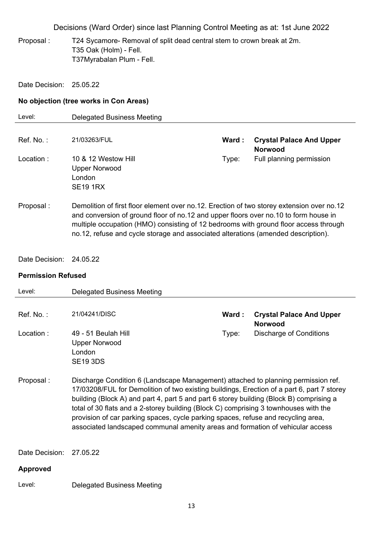Proposal : T24 Sycamore- Removal of split dead central stem to crown break at 2m. T35 Oak (Holm) - Fell. T37Myrabalan Plum - Fell.

Date Decision: 25.05.22

#### **No objection (tree works in Con Areas)**

| Level:       | <b>Delegated Business Meeting</b>                                                                                                                                                                                                                                                                                                                              |        |                                                   |
|--------------|----------------------------------------------------------------------------------------------------------------------------------------------------------------------------------------------------------------------------------------------------------------------------------------------------------------------------------------------------------------|--------|---------------------------------------------------|
| $Ref$ . No.: | 21/03263/FUL                                                                                                                                                                                                                                                                                                                                                   | Ward : | <b>Crystal Palace And Upper</b><br><b>Norwood</b> |
| Location:    | 10 & 12 Westow Hill<br><b>Upper Norwood</b><br>London<br><b>SE19 1RX</b>                                                                                                                                                                                                                                                                                       | Type:  | Full planning permission                          |
| Proposal:    | Demolition of first floor element over no.12. Erection of two storey extension over no.12<br>and conversion of ground floor of no.12 and upper floors over no.10 to form house in<br>multiple occupation (HMO) consisting of 12 bedrooms with ground floor access through<br>no.12, refuse and cycle storage and associated alterations (amended description). |        |                                                   |

Date Decision: 24.05.22

### **Permission Refused**

| Level:          | <b>Delegated Business Meeting</b>                                                                                                                                                                                                                                                                                                                                                                                                                                                                                                         |       |                                                   |
|-----------------|-------------------------------------------------------------------------------------------------------------------------------------------------------------------------------------------------------------------------------------------------------------------------------------------------------------------------------------------------------------------------------------------------------------------------------------------------------------------------------------------------------------------------------------------|-------|---------------------------------------------------|
|                 |                                                                                                                                                                                                                                                                                                                                                                                                                                                                                                                                           |       |                                                   |
| Ref. No.:       | 21/04241/DISC                                                                                                                                                                                                                                                                                                                                                                                                                                                                                                                             | Ward: | <b>Crystal Palace And Upper</b><br><b>Norwood</b> |
| Location:       | 49 - 51 Beulah Hill<br><b>Upper Norwood</b><br>London<br><b>SE19 3DS</b>                                                                                                                                                                                                                                                                                                                                                                                                                                                                  | Type: | Discharge of Conditions                           |
| Proposal:       | Discharge Condition 6 (Landscape Management) attached to planning permission ref.<br>17/03208/FUL for Demolition of two existing buildings, Erection of a part 6, part 7 storey<br>building (Block A) and part 4, part 5 and part 6 storey building (Block B) comprising a<br>total of 30 flats and a 2-storey building (Block C) comprising 3 townhouses with the<br>provision of car parking spaces, cycle parking spaces, refuse and recycling area,<br>associated landscaped communal amenity areas and formation of vehicular access |       |                                                   |
| Date Decision:  | 27.05.22                                                                                                                                                                                                                                                                                                                                                                                                                                                                                                                                  |       |                                                   |
| <b>Approved</b> |                                                                                                                                                                                                                                                                                                                                                                                                                                                                                                                                           |       |                                                   |
| Level:          | <b>Delegated Business Meeting</b>                                                                                                                                                                                                                                                                                                                                                                                                                                                                                                         |       |                                                   |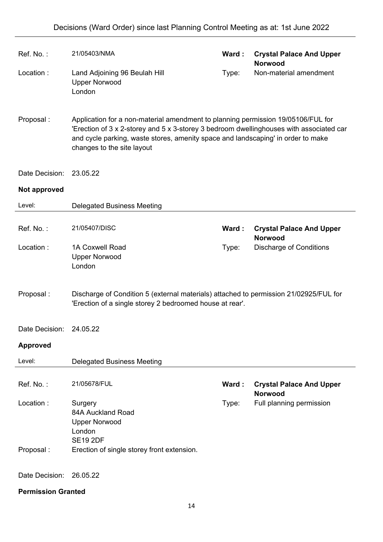| Ref. No.:                 | 21/05403/NMA                                                                                                                                                                                                                                                                                  | Ward: | <b>Crystal Palace And Upper</b><br><b>Norwood</b> |
|---------------------------|-----------------------------------------------------------------------------------------------------------------------------------------------------------------------------------------------------------------------------------------------------------------------------------------------|-------|---------------------------------------------------|
| Location:                 | Land Adjoining 96 Beulah Hill<br><b>Upper Norwood</b><br>London                                                                                                                                                                                                                               | Type: | Non-material amendment                            |
| Proposal:                 | Application for a non-material amendment to planning permission 19/05106/FUL for<br>'Erection of 3 x 2-storey and 5 x 3-storey 3 bedroom dwellinghouses with associated car<br>and cycle parking, waste stores, amenity space and landscaping' in order to make<br>changes to the site layout |       |                                                   |
| Date Decision:            | 23.05.22                                                                                                                                                                                                                                                                                      |       |                                                   |
| Not approved              |                                                                                                                                                                                                                                                                                               |       |                                                   |
| Level:                    | <b>Delegated Business Meeting</b>                                                                                                                                                                                                                                                             |       |                                                   |
| Ref. No.:                 | 21/05407/DISC                                                                                                                                                                                                                                                                                 | Ward: | <b>Crystal Palace And Upper</b><br><b>Norwood</b> |
| Location:                 | 1A Coxwell Road<br><b>Upper Norwood</b><br>London                                                                                                                                                                                                                                             | Type: | <b>Discharge of Conditions</b>                    |
| Proposal:                 | Discharge of Condition 5 (external materials) attached to permission 21/02925/FUL for<br>'Erection of a single storey 2 bedroomed house at rear'.                                                                                                                                             |       |                                                   |
| Date Decision:            | 24.05.22                                                                                                                                                                                                                                                                                      |       |                                                   |
| <b>Approved</b>           |                                                                                                                                                                                                                                                                                               |       |                                                   |
| Level:                    | <b>Delegated Business Meeting</b>                                                                                                                                                                                                                                                             |       |                                                   |
| Ref. No.:                 | 21/05678/FUL                                                                                                                                                                                                                                                                                  | Ward: | <b>Crystal Palace And Upper</b><br><b>Norwood</b> |
| Location:                 | Surgery<br>84A Auckland Road<br><b>Upper Norwood</b><br>London<br><b>SE19 2DF</b>                                                                                                                                                                                                             | Type: | Full planning permission                          |
| Proposal:                 | Erection of single storey front extension.                                                                                                                                                                                                                                                    |       |                                                   |
| Date Decision:            | 26.05.22                                                                                                                                                                                                                                                                                      |       |                                                   |
| <b>Permission Granted</b> |                                                                                                                                                                                                                                                                                               |       |                                                   |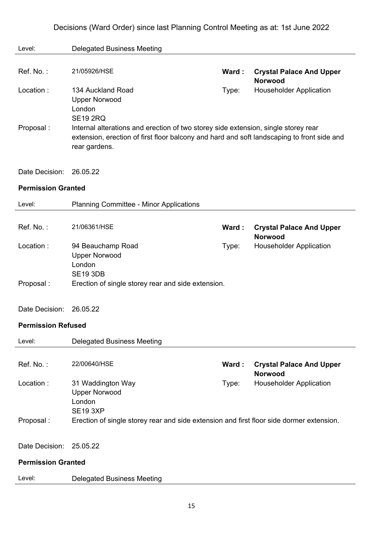| Level:                    | <b>Delegated Business Meeting</b>                                                                                                                                                                                              |       |                                                   |
|---------------------------|--------------------------------------------------------------------------------------------------------------------------------------------------------------------------------------------------------------------------------|-------|---------------------------------------------------|
|                           |                                                                                                                                                                                                                                |       |                                                   |
| Ref. No.:                 | 21/05926/HSE                                                                                                                                                                                                                   | Ward: | <b>Crystal Palace And Upper</b><br><b>Norwood</b> |
| Location:                 | 134 Auckland Road<br><b>Upper Norwood</b>                                                                                                                                                                                      | Type: | <b>Householder Application</b>                    |
| Proposal:                 | London<br><b>SE19 2RQ</b><br>Internal alterations and erection of two storey side extension, single storey rear<br>extension, erection of first floor balcony and hard and soft landscaping to front side and<br>rear gardens. |       |                                                   |
| Date Decision:            | 26.05.22                                                                                                                                                                                                                       |       |                                                   |
| <b>Permission Granted</b> |                                                                                                                                                                                                                                |       |                                                   |
| Level:                    | <b>Planning Committee - Minor Applications</b>                                                                                                                                                                                 |       |                                                   |
|                           |                                                                                                                                                                                                                                |       |                                                   |
| Ref. No.:                 | 21/06361/HSE                                                                                                                                                                                                                   | Ward: | <b>Crystal Palace And Upper</b><br><b>Norwood</b> |
| Location:                 | 94 Beauchamp Road                                                                                                                                                                                                              | Type: | <b>Householder Application</b>                    |
|                           | <b>Upper Norwood</b><br>London                                                                                                                                                                                                 |       |                                                   |
|                           | <b>SE19 3DB</b>                                                                                                                                                                                                                |       |                                                   |
| Proposal:                 | Erection of single storey rear and side extension.                                                                                                                                                                             |       |                                                   |
| Date Decision:            | 26.05.22                                                                                                                                                                                                                       |       |                                                   |
|                           |                                                                                                                                                                                                                                |       |                                                   |
| <b>Permission Refused</b> |                                                                                                                                                                                                                                |       |                                                   |
| Level:                    | <b>Delegated Business Meeting</b>                                                                                                                                                                                              |       |                                                   |
|                           |                                                                                                                                                                                                                                |       |                                                   |
| Ref. No.:                 | 22/00640/HSE                                                                                                                                                                                                                   | Ward: | <b>Crystal Palace And Upper</b><br><b>Norwood</b> |
| Location:                 | 31 Waddington Way                                                                                                                                                                                                              | Type: | <b>Householder Application</b>                    |
|                           | <b>Upper Norwood</b>                                                                                                                                                                                                           |       |                                                   |
|                           | London<br><b>SE19 3XP</b>                                                                                                                                                                                                      |       |                                                   |
| Proposal:                 | Erection of single storey rear and side extension and first floor side dormer extension.                                                                                                                                       |       |                                                   |
|                           |                                                                                                                                                                                                                                |       |                                                   |
| Date Decision:            | 25.05.22                                                                                                                                                                                                                       |       |                                                   |
| <b>Permission Granted</b> |                                                                                                                                                                                                                                |       |                                                   |
| Level:                    | <b>Delegated Business Meeting</b>                                                                                                                                                                                              |       |                                                   |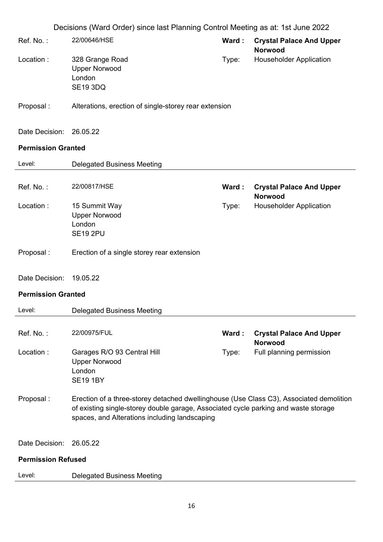| 22/00646/HSE<br>Ref. No.:<br>Ward:<br><b>Crystal Palace And Upper</b><br><b>Norwood</b><br>Location:<br><b>Householder Application</b><br>328 Grange Road<br>Type:<br><b>Upper Norwood</b><br>London<br><b>SE19 3DQ</b><br>Proposal:<br>Alterations, erection of single-storey rear extension<br>Date Decision:<br>26.05.22<br><b>Permission Granted</b><br><b>Delegated Business Meeting</b><br>Level:<br>22/00817/HSE<br>Ref. No.:<br><b>Crystal Palace And Upper</b><br>Ward:<br><b>Norwood</b><br>Location:<br>15 Summit Way<br><b>Householder Application</b><br>Type:<br><b>Upper Norwood</b><br>London<br><b>SE19 2PU</b><br>Proposal:<br>Erection of a single storey rear extension<br>Date Decision:<br>19.05.22<br><b>Permission Granted</b><br>Level:<br><b>Delegated Business Meeting</b><br>Ref. No.:<br>22/00975/FUL<br>Ward:<br><b>Crystal Palace And Upper</b><br><b>Norwood</b><br>Location:<br>Garages R/O 93 Central Hill<br>Full planning permission<br>Type:<br><b>Upper Norwood</b><br>London<br><b>SE19 1BY</b><br>Proposal:<br>Erection of a three-storey detached dwellinghouse (Use Class C3), Associated demolition<br>of existing single-storey double garage, Associated cycle parking and waste storage<br>spaces, and Alterations including landscaping<br>Date Decision:<br>26.05.22<br><b>Permission Refused</b><br>Level:<br><b>Delegated Business Meeting</b> | Decisions (Ward Order) since last Planning Control Meeting as at: 1st June 2022 |  |
|--------------------------------------------------------------------------------------------------------------------------------------------------------------------------------------------------------------------------------------------------------------------------------------------------------------------------------------------------------------------------------------------------------------------------------------------------------------------------------------------------------------------------------------------------------------------------------------------------------------------------------------------------------------------------------------------------------------------------------------------------------------------------------------------------------------------------------------------------------------------------------------------------------------------------------------------------------------------------------------------------------------------------------------------------------------------------------------------------------------------------------------------------------------------------------------------------------------------------------------------------------------------------------------------------------------------------------------------------------------------------------------------------|---------------------------------------------------------------------------------|--|
|                                                                                                                                                                                                                                                                                                                                                                                                                                                                                                                                                                                                                                                                                                                                                                                                                                                                                                                                                                                                                                                                                                                                                                                                                                                                                                                                                                                                  |                                                                                 |  |
|                                                                                                                                                                                                                                                                                                                                                                                                                                                                                                                                                                                                                                                                                                                                                                                                                                                                                                                                                                                                                                                                                                                                                                                                                                                                                                                                                                                                  |                                                                                 |  |
|                                                                                                                                                                                                                                                                                                                                                                                                                                                                                                                                                                                                                                                                                                                                                                                                                                                                                                                                                                                                                                                                                                                                                                                                                                                                                                                                                                                                  |                                                                                 |  |
|                                                                                                                                                                                                                                                                                                                                                                                                                                                                                                                                                                                                                                                                                                                                                                                                                                                                                                                                                                                                                                                                                                                                                                                                                                                                                                                                                                                                  |                                                                                 |  |
|                                                                                                                                                                                                                                                                                                                                                                                                                                                                                                                                                                                                                                                                                                                                                                                                                                                                                                                                                                                                                                                                                                                                                                                                                                                                                                                                                                                                  |                                                                                 |  |
|                                                                                                                                                                                                                                                                                                                                                                                                                                                                                                                                                                                                                                                                                                                                                                                                                                                                                                                                                                                                                                                                                                                                                                                                                                                                                                                                                                                                  |                                                                                 |  |
|                                                                                                                                                                                                                                                                                                                                                                                                                                                                                                                                                                                                                                                                                                                                                                                                                                                                                                                                                                                                                                                                                                                                                                                                                                                                                                                                                                                                  |                                                                                 |  |
|                                                                                                                                                                                                                                                                                                                                                                                                                                                                                                                                                                                                                                                                                                                                                                                                                                                                                                                                                                                                                                                                                                                                                                                                                                                                                                                                                                                                  |                                                                                 |  |
|                                                                                                                                                                                                                                                                                                                                                                                                                                                                                                                                                                                                                                                                                                                                                                                                                                                                                                                                                                                                                                                                                                                                                                                                                                                                                                                                                                                                  |                                                                                 |  |
|                                                                                                                                                                                                                                                                                                                                                                                                                                                                                                                                                                                                                                                                                                                                                                                                                                                                                                                                                                                                                                                                                                                                                                                                                                                                                                                                                                                                  |                                                                                 |  |
|                                                                                                                                                                                                                                                                                                                                                                                                                                                                                                                                                                                                                                                                                                                                                                                                                                                                                                                                                                                                                                                                                                                                                                                                                                                                                                                                                                                                  |                                                                                 |  |
|                                                                                                                                                                                                                                                                                                                                                                                                                                                                                                                                                                                                                                                                                                                                                                                                                                                                                                                                                                                                                                                                                                                                                                                                                                                                                                                                                                                                  |                                                                                 |  |
|                                                                                                                                                                                                                                                                                                                                                                                                                                                                                                                                                                                                                                                                                                                                                                                                                                                                                                                                                                                                                                                                                                                                                                                                                                                                                                                                                                                                  |                                                                                 |  |
|                                                                                                                                                                                                                                                                                                                                                                                                                                                                                                                                                                                                                                                                                                                                                                                                                                                                                                                                                                                                                                                                                                                                                                                                                                                                                                                                                                                                  |                                                                                 |  |
|                                                                                                                                                                                                                                                                                                                                                                                                                                                                                                                                                                                                                                                                                                                                                                                                                                                                                                                                                                                                                                                                                                                                                                                                                                                                                                                                                                                                  |                                                                                 |  |
|                                                                                                                                                                                                                                                                                                                                                                                                                                                                                                                                                                                                                                                                                                                                                                                                                                                                                                                                                                                                                                                                                                                                                                                                                                                                                                                                                                                                  |                                                                                 |  |
|                                                                                                                                                                                                                                                                                                                                                                                                                                                                                                                                                                                                                                                                                                                                                                                                                                                                                                                                                                                                                                                                                                                                                                                                                                                                                                                                                                                                  |                                                                                 |  |
|                                                                                                                                                                                                                                                                                                                                                                                                                                                                                                                                                                                                                                                                                                                                                                                                                                                                                                                                                                                                                                                                                                                                                                                                                                                                                                                                                                                                  |                                                                                 |  |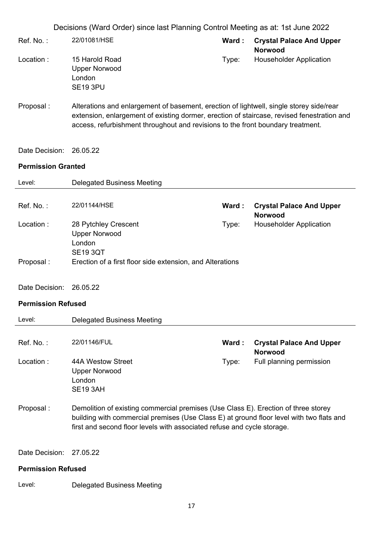- Ref. No. : 22/01081/HSE **Ward : Crystal Palace And Upper Norwood** Location : 15 Harold Road Upper Norwood London SE19 3PU Type: Householder Application
- Proposal : Alterations and enlargement of basement, erection of lightwell, single storey side/rear extension, enlargement of existing dormer, erection of staircase, revised fenestration and access, refurbishment throughout and revisions to the front boundary treatment.
- Date Decision: 26.05.22

#### **Permission Granted**

| Level:                    | <b>Delegated Business Meeting</b>                                                                                                                                              |       |                                                   |
|---------------------------|--------------------------------------------------------------------------------------------------------------------------------------------------------------------------------|-------|---------------------------------------------------|
| Ref. No.:                 | 22/01144/HSE                                                                                                                                                                   | Ward: | <b>Crystal Palace And Upper</b>                   |
| Location:                 | 28 Pytchley Crescent                                                                                                                                                           | Type: | <b>Norwood</b><br><b>Householder Application</b>  |
|                           | <b>Upper Norwood</b><br>London<br><b>SE19 3QT</b>                                                                                                                              |       |                                                   |
| Proposal:                 | Erection of a first floor side extension, and Alterations                                                                                                                      |       |                                                   |
| Date Decision:            | 26.05.22                                                                                                                                                                       |       |                                                   |
| <b>Permission Refused</b> |                                                                                                                                                                                |       |                                                   |
| Level:                    | <b>Delegated Business Meeting</b>                                                                                                                                              |       |                                                   |
| Ref. No.:                 | 22/01146/FUL                                                                                                                                                                   | Ward: | <b>Crystal Palace And Upper</b><br><b>Norwood</b> |
| Location:                 | 44A Westow Street<br><b>Upper Norwood</b><br>London<br><b>SE19 3AH</b>                                                                                                         | Type: | Full planning permission                          |
| Proposal:                 | Demolition of existing commercial premises (Use Class E). Erection of three storey<br>building with commercial premises (Use Class E) at ground floor level with two flats and |       |                                                   |

Date Decision: 27.05.22

#### **Permission Refused**

Level: Delegated Business Meeting

first and second floor levels with associated refuse and cycle storage.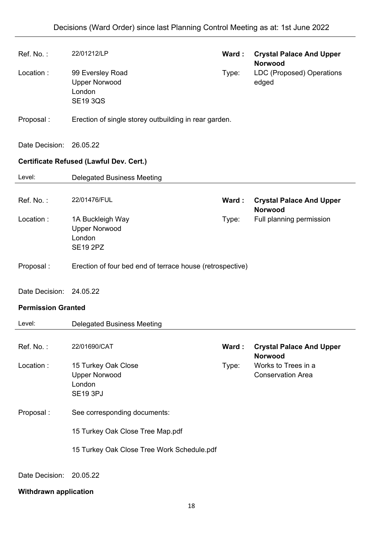| Ref. No.:                 | 22/01212/LP                                                              | Ward: | <b>Crystal Palace And Upper</b><br><b>Norwood</b> |
|---------------------------|--------------------------------------------------------------------------|-------|---------------------------------------------------|
| Location:                 | 99 Eversley Road<br><b>Upper Norwood</b><br>London<br><b>SE19 3QS</b>    | Type: | LDC (Proposed) Operations<br>edged                |
| Proposal:                 | Erection of single storey outbuilding in rear garden.                    |       |                                                   |
| Date Decision:            | 26.05.22                                                                 |       |                                                   |
|                           | Certificate Refused (Lawful Dev. Cert.)                                  |       |                                                   |
| Level:                    | <b>Delegated Business Meeting</b>                                        |       |                                                   |
| Ref. No.:                 | 22/01476/FUL                                                             | Ward: | <b>Crystal Palace And Upper</b><br><b>Norwood</b> |
| Location:                 | 1A Buckleigh Way<br><b>Upper Norwood</b><br>London<br><b>SE19 2PZ</b>    | Type: | Full planning permission                          |
| Proposal:                 | Erection of four bed end of terrace house (retrospective)                |       |                                                   |
| Date Decision: 24.05.22   |                                                                          |       |                                                   |
| <b>Permission Granted</b> |                                                                          |       |                                                   |
| Level:                    | <b>Delegated Business Meeting</b>                                        |       |                                                   |
|                           |                                                                          |       |                                                   |
| Ref. No.:                 | 22/01690/CAT                                                             | Ward: | <b>Crystal Palace And Upper</b><br><b>Norwood</b> |
| Location:                 | 15 Turkey Oak Close<br><b>Upper Norwood</b><br>London<br><b>SE19 3PJ</b> | Type: | Works to Trees in a<br><b>Conservation Area</b>   |
| Proposal:                 | See corresponding documents:                                             |       |                                                   |
|                           | 15 Turkey Oak Close Tree Map.pdf                                         |       |                                                   |
|                           | 15 Turkey Oak Close Tree Work Schedule.pdf                               |       |                                                   |
| Date Decision:            | 20.05.22                                                                 |       |                                                   |

# **Withdrawn application**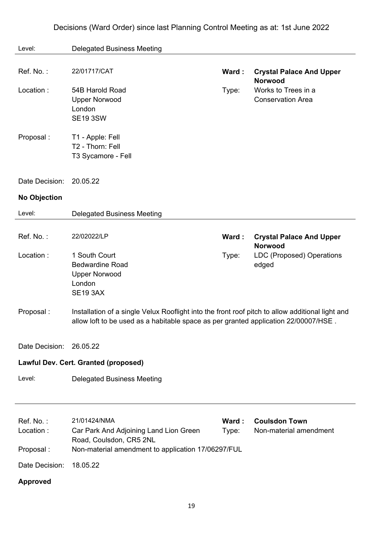| Level:                  | <b>Delegated Business Meeting</b>                                                                                                                                                       |                |                                                   |
|-------------------------|-----------------------------------------------------------------------------------------------------------------------------------------------------------------------------------------|----------------|---------------------------------------------------|
| Ref. No.:               | 22/01717/CAT                                                                                                                                                                            | Ward:          | <b>Crystal Palace And Upper</b><br><b>Norwood</b> |
| Location:               | 54B Harold Road<br><b>Upper Norwood</b><br>London<br><b>SE19 3SW</b>                                                                                                                    | Type:          | Works to Trees in a<br><b>Conservation Area</b>   |
| Proposal:               | T1 - Apple: Fell<br>T2 - Thorn: Fell<br>T3 Sycamore - Fell                                                                                                                              |                |                                                   |
| Date Decision:          | 20.05.22                                                                                                                                                                                |                |                                                   |
| <b>No Objection</b>     |                                                                                                                                                                                         |                |                                                   |
| Level:                  | <b>Delegated Business Meeting</b>                                                                                                                                                       |                |                                                   |
| Ref. No.:               | 22/02022/LP                                                                                                                                                                             | Ward:          | <b>Crystal Palace And Upper</b><br><b>Norwood</b> |
| Location:               | 1 South Court<br><b>Bedwardine Road</b><br><b>Upper Norwood</b><br>London<br><b>SE19 3AX</b>                                                                                            | Type:          | <b>LDC (Proposed) Operations</b><br>edged         |
| Proposal:               | Installation of a single Velux Rooflight into the front roof pitch to allow additional light and<br>allow loft to be used as a habitable space as per granted application 22/00007/HSE. |                |                                                   |
| Date Decision: 26.05.22 |                                                                                                                                                                                         |                |                                                   |
|                         | Lawful Dev. Cert. Granted (proposed)                                                                                                                                                    |                |                                                   |
| Level:                  | <b>Delegated Business Meeting</b>                                                                                                                                                       |                |                                                   |
|                         |                                                                                                                                                                                         |                |                                                   |
| Ref. No.:<br>Location:  | 21/01424/NMA<br>Car Park And Adjoining Land Lion Green<br>Road, Coulsdon, CR5 2NL                                                                                                       | Ward:<br>Type: | <b>Coulsdon Town</b><br>Non-material amendment    |
| Proposal:               | Non-material amendment to application 17/06297/FUL                                                                                                                                      |                |                                                   |
| Date Decision:          | 18.05.22                                                                                                                                                                                |                |                                                   |
| <b>Approved</b>         |                                                                                                                                                                                         |                |                                                   |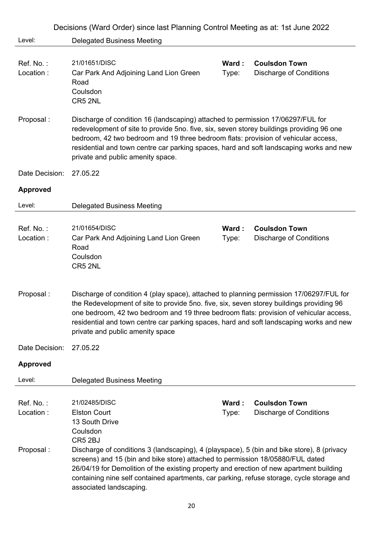|                        | Decisions (Ward Order) since last Planning Control Meeting as at: 1st June 2022                                                                                                                                                                                                                                                                                                                              |                |                                                        |
|------------------------|--------------------------------------------------------------------------------------------------------------------------------------------------------------------------------------------------------------------------------------------------------------------------------------------------------------------------------------------------------------------------------------------------------------|----------------|--------------------------------------------------------|
| Level:                 | <b>Delegated Business Meeting</b>                                                                                                                                                                                                                                                                                                                                                                            |                |                                                        |
| Ref. No.:              | 21/01651/DISC                                                                                                                                                                                                                                                                                                                                                                                                | Ward:          | <b>Coulsdon Town</b>                                   |
| Location:              | Car Park And Adjoining Land Lion Green<br>Road<br>Coulsdon<br>CR5 2NL                                                                                                                                                                                                                                                                                                                                        | Type:          | <b>Discharge of Conditions</b>                         |
| Proposal:              | Discharge of condition 16 (landscaping) attached to permission 17/06297/FUL for<br>redevelopment of site to provide 5no. five, six, seven storey buildings providing 96 one<br>bedroom, 42 two bedroom and 19 three bedroom flats: provision of vehicular access,<br>residential and town centre car parking spaces, hard and soft landscaping works and new<br>private and public amenity space.            |                |                                                        |
| Date Decision:         | 27.05.22                                                                                                                                                                                                                                                                                                                                                                                                     |                |                                                        |
| <b>Approved</b>        |                                                                                                                                                                                                                                                                                                                                                                                                              |                |                                                        |
| Level:                 | <b>Delegated Business Meeting</b>                                                                                                                                                                                                                                                                                                                                                                            |                |                                                        |
| Ref. No.:<br>Location: | 21/01654/DISC<br>Car Park And Adjoining Land Lion Green                                                                                                                                                                                                                                                                                                                                                      | Ward:<br>Type: | <b>Coulsdon Town</b><br><b>Discharge of Conditions</b> |
|                        | Road<br>Coulsdon<br>CR5 2NL                                                                                                                                                                                                                                                                                                                                                                                  |                |                                                        |
| Proposal:              | Discharge of condition 4 (play space), attached to planning permission 17/06297/FUL for<br>the Redevelopment of site to provide 5no. five, six, seven storey buildings providing 96<br>one bedroom, 42 two bedroom and 19 three bedroom flats: provision of vehicular access,<br>residential and town centre car parking spaces, hard and soft landscaping works and new<br>private and public amenity space |                |                                                        |
| Date Decision:         | 27.05.22                                                                                                                                                                                                                                                                                                                                                                                                     |                |                                                        |
| <b>Approved</b>        |                                                                                                                                                                                                                                                                                                                                                                                                              |                |                                                        |
| Level:                 | <b>Delegated Business Meeting</b>                                                                                                                                                                                                                                                                                                                                                                            |                |                                                        |
|                        |                                                                                                                                                                                                                                                                                                                                                                                                              |                |                                                        |
| Ref. No.:              | 21/02485/DISC                                                                                                                                                                                                                                                                                                                                                                                                | Ward:          | <b>Coulsdon Town</b>                                   |
| Location:              | <b>Elston Court</b>                                                                                                                                                                                                                                                                                                                                                                                          | Type:          | <b>Discharge of Conditions</b>                         |
|                        | 13 South Drive<br>Coulsdon                                                                                                                                                                                                                                                                                                                                                                                   |                |                                                        |
|                        | CR5 2BJ                                                                                                                                                                                                                                                                                                                                                                                                      |                |                                                        |
| Proposal:              | Discharge of conditions 3 (landscaping), 4 (playspace), 5 (bin and bike store), 8 (privacy                                                                                                                                                                                                                                                                                                                   |                |                                                        |
|                        | screens) and 15 (bin and bike store) attached to permission 18/05880/FUL dated<br>26/04/19 for Demolition of the existing property and erection of new apartment building                                                                                                                                                                                                                                    |                |                                                        |
|                        | containing nine self contained apartments, car parking, refuse storage, cycle storage and<br>associated landscaping.                                                                                                                                                                                                                                                                                         |                |                                                        |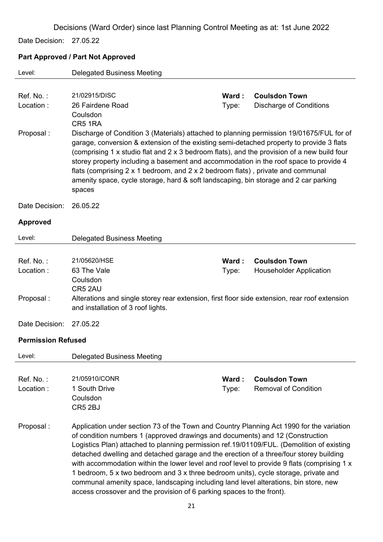Date Decision: 27.05.22

#### **Part Approved / Part Not Approved**

| Level:                    | <b>Delegated Business Meeting</b>                                                                                                                                                                                                                                                                                                                                                                                                                                                                                                                                                                                                                                                                                       |       |                                |
|---------------------------|-------------------------------------------------------------------------------------------------------------------------------------------------------------------------------------------------------------------------------------------------------------------------------------------------------------------------------------------------------------------------------------------------------------------------------------------------------------------------------------------------------------------------------------------------------------------------------------------------------------------------------------------------------------------------------------------------------------------------|-------|--------------------------------|
| Ref. No.:                 | 21/02915/DISC                                                                                                                                                                                                                                                                                                                                                                                                                                                                                                                                                                                                                                                                                                           | Ward: | <b>Coulsdon Town</b>           |
| Location:                 | 26 Fairdene Road<br>Coulsdon<br>CR51RA                                                                                                                                                                                                                                                                                                                                                                                                                                                                                                                                                                                                                                                                                  | Type: | <b>Discharge of Conditions</b> |
| Proposal:                 | Discharge of Condition 3 (Materials) attached to planning permission 19/01675/FUL for of<br>garage, conversion & extension of the existing semi-detached property to provide 3 flats<br>(comprising 1 x studio flat and 2 x 3 bedroom flats), and the provision of a new build four<br>storey property including a basement and accommodation in the roof space to provide 4<br>flats (comprising 2 x 1 bedroom, and 2 x 2 bedroom flats), private and communal<br>amenity space, cycle storage, hard & soft landscaping, bin storage and 2 car parking<br>spaces                                                                                                                                                       |       |                                |
| Date Decision:            | 26.05.22                                                                                                                                                                                                                                                                                                                                                                                                                                                                                                                                                                                                                                                                                                                |       |                                |
| <b>Approved</b>           |                                                                                                                                                                                                                                                                                                                                                                                                                                                                                                                                                                                                                                                                                                                         |       |                                |
| Level:                    | <b>Delegated Business Meeting</b>                                                                                                                                                                                                                                                                                                                                                                                                                                                                                                                                                                                                                                                                                       |       |                                |
| Ref. No.:                 | 21/05620/HSE                                                                                                                                                                                                                                                                                                                                                                                                                                                                                                                                                                                                                                                                                                            | Ward: | <b>Coulsdon Town</b>           |
| Location:                 | 63 The Vale<br>Coulsdon                                                                                                                                                                                                                                                                                                                                                                                                                                                                                                                                                                                                                                                                                                 | Type: | <b>Householder Application</b> |
| Proposal:                 | CR5 2AU<br>Alterations and single storey rear extension, first floor side extension, rear roof extension<br>and installation of 3 roof lights.                                                                                                                                                                                                                                                                                                                                                                                                                                                                                                                                                                          |       |                                |
| Date Decision:            | 27.05.22                                                                                                                                                                                                                                                                                                                                                                                                                                                                                                                                                                                                                                                                                                                |       |                                |
| <b>Permission Refused</b> |                                                                                                                                                                                                                                                                                                                                                                                                                                                                                                                                                                                                                                                                                                                         |       |                                |
| Level:                    | <b>Delegated Business Meeting</b>                                                                                                                                                                                                                                                                                                                                                                                                                                                                                                                                                                                                                                                                                       |       |                                |
| Ref. No.:                 | 21/05910/CONR                                                                                                                                                                                                                                                                                                                                                                                                                                                                                                                                                                                                                                                                                                           | Ward: | <b>Coulsdon Town</b>           |
| Location:                 | 1 South Drive<br>Coulsdon<br>CR5 2BJ                                                                                                                                                                                                                                                                                                                                                                                                                                                                                                                                                                                                                                                                                    | Type: | <b>Removal of Condition</b>    |
| Proposal:                 | Application under section 73 of the Town and Country Planning Act 1990 for the variation<br>of condition numbers 1 (approved drawings and documents) and 12 (Construction<br>Logistics Plan) attached to planning permission ref.19/01109/FUL. (Demolition of existing<br>detached dwelling and detached garage and the erection of a three/four storey building<br>with accommodation within the lower level and roof level to provide 9 flats (comprising 1 x<br>1 bedroom, 5 x two bedroom and 3 x three bedroom units), cycle storage, private and<br>communal amenity space, landscaping including land level alterations, bin store, new<br>access crossover and the provision of 6 parking spaces to the front). |       |                                |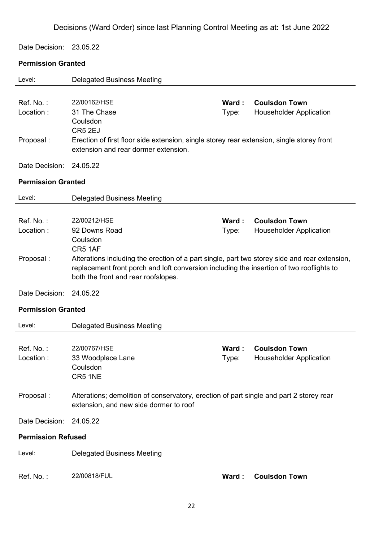Date Decision: 23.05.22

# **Permission Granted**

| Level:                    | <b>Delegated Business Meeting</b>                                                             |       |                                                        |
|---------------------------|-----------------------------------------------------------------------------------------------|-------|--------------------------------------------------------|
|                           |                                                                                               |       |                                                        |
| Ref. No.:                 | 22/00162/HSE                                                                                  | Ward: | <b>Coulsdon Town</b>                                   |
| Location:                 | 31 The Chase                                                                                  | Type: | <b>Householder Application</b>                         |
|                           | Coulsdon                                                                                      |       |                                                        |
|                           | CR5 2EJ                                                                                       |       |                                                        |
| Proposal:                 | Erection of first floor side extension, single storey rear extension, single storey front     |       |                                                        |
|                           | extension and rear dormer extension.                                                          |       |                                                        |
| Date Decision:            | 24.05.22                                                                                      |       |                                                        |
| <b>Permission Granted</b> |                                                                                               |       |                                                        |
| Level:                    | <b>Delegated Business Meeting</b>                                                             |       |                                                        |
|                           |                                                                                               |       |                                                        |
|                           | 22/00212/HSE                                                                                  |       |                                                        |
| Ref. No.:<br>Location:    | 92 Downs Road                                                                                 | Ward: | <b>Coulsdon Town</b><br><b>Householder Application</b> |
|                           | Coulsdon                                                                                      | Type: |                                                        |
|                           | CR5 1AF                                                                                       |       |                                                        |
| Proposal:                 | Alterations including the erection of a part single, part two storey side and rear extension, |       |                                                        |
|                           | replacement front porch and loft conversion including the insertion of two rooflights to      |       |                                                        |
|                           | both the front and rear roofslopes.                                                           |       |                                                        |
|                           |                                                                                               |       |                                                        |
| Date Decision:            | 24.05.22                                                                                      |       |                                                        |
| <b>Permission Granted</b> |                                                                                               |       |                                                        |
| Level:                    | <b>Delegated Business Meeting</b>                                                             |       |                                                        |
|                           |                                                                                               |       |                                                        |
| Ref. No.:                 | 22/00767/HSE                                                                                  | Ward: | <b>Coulsdon Town</b>                                   |
| Location :                | 33 Woodplace Lane                                                                             | Type: | Householder Application                                |
|                           | Coulsdon                                                                                      |       |                                                        |
|                           | CR5 1NE                                                                                       |       |                                                        |
| Proposal:                 | Alterations; demolition of conservatory, erection of part single and part 2 storey rear       |       |                                                        |
|                           | extension, and new side dormer to roof                                                        |       |                                                        |
|                           |                                                                                               |       |                                                        |
| Date Decision:            | 24.05.22                                                                                      |       |                                                        |
| <b>Permission Refused</b> |                                                                                               |       |                                                        |
| Level:                    | <b>Delegated Business Meeting</b>                                                             |       |                                                        |
|                           |                                                                                               |       |                                                        |
| Ref. No.:                 | 22/00818/FUL                                                                                  | Ward: | <b>Coulsdon Town</b>                                   |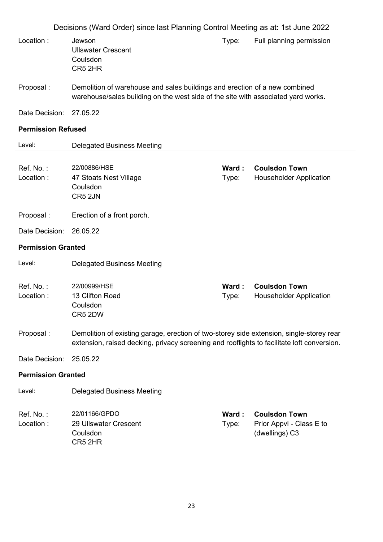|                           | Decisions (Ward Order) since last Planning Control Meeting as at: 1st June 2022                                                                                                        |                |                                                        |
|---------------------------|----------------------------------------------------------------------------------------------------------------------------------------------------------------------------------------|----------------|--------------------------------------------------------|
| Location:                 | Jewson<br><b>Ullswater Crescent</b><br>Coulsdon<br>CR5 2HR                                                                                                                             | Type:          | Full planning permission                               |
| Proposal:                 | Demolition of warehouse and sales buildings and erection of a new combined<br>warehouse/sales building on the west side of the site with associated yard works.                        |                |                                                        |
| Date Decision:            | 27.05.22                                                                                                                                                                               |                |                                                        |
| <b>Permission Refused</b> |                                                                                                                                                                                        |                |                                                        |
| Level:                    | <b>Delegated Business Meeting</b>                                                                                                                                                      |                |                                                        |
| Ref. No.:<br>Location:    | 22/00886/HSE<br>47 Stoats Nest Village<br>Coulsdon<br>CR5 2JN                                                                                                                          | Ward:<br>Type: | <b>Coulsdon Town</b><br><b>Householder Application</b> |
| Proposal:                 | Erection of a front porch.                                                                                                                                                             |                |                                                        |
| Date Decision:            | 26.05.22                                                                                                                                                                               |                |                                                        |
| <b>Permission Granted</b> |                                                                                                                                                                                        |                |                                                        |
| Level:                    | <b>Delegated Business Meeting</b>                                                                                                                                                      |                |                                                        |
| Ref. No.:<br>Location:    | 22/00999/HSE<br>13 Clifton Road<br>Coulsdon                                                                                                                                            | Ward:<br>Type: | <b>Coulsdon Town</b><br><b>Householder Application</b> |
|                           | CR5 2DW                                                                                                                                                                                |                |                                                        |
| Proposal:                 | Demolition of existing garage, erection of two-storey side extension, single-storey rear<br>extension, raised decking, privacy screening and rooflights to facilitate loft conversion. |                |                                                        |
| Date Decision:            | 25.05.22                                                                                                                                                                               |                |                                                        |
| <b>Permission Granted</b> |                                                                                                                                                                                        |                |                                                        |
| Level:                    | <b>Delegated Business Meeting</b>                                                                                                                                                      |                |                                                        |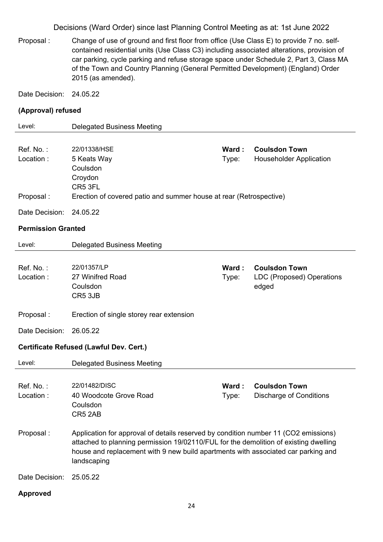Proposal : Change of use of ground and first floor from office (Use Class E) to provide 7 no. selfcontained residential units (Use Class C3) including associated alterations, provision of car parking, cycle parking and refuse storage space under Schedule 2, Part 3, Class MA of the Town and Country Planning (General Permitted Development) (England) Order 2015 (as amended).

Date Decision: 24.05.22

#### **(Approval) refused**

| Level:                    | <b>Delegated Business Meeting</b>                                                                                                                                                                                                                                               |                |                                                            |
|---------------------------|---------------------------------------------------------------------------------------------------------------------------------------------------------------------------------------------------------------------------------------------------------------------------------|----------------|------------------------------------------------------------|
| Ref. No.:<br>Location:    | 22/01338/HSE<br>5 Keats Way<br>Coulsdon<br>Croydon<br>CR5 3FL                                                                                                                                                                                                                   | Ward:<br>Type: | <b>Coulsdon Town</b><br><b>Householder Application</b>     |
| Proposal:                 | Erection of covered patio and summer house at rear (Retrospective)                                                                                                                                                                                                              |                |                                                            |
| Date Decision:            | 24.05.22                                                                                                                                                                                                                                                                        |                |                                                            |
| <b>Permission Granted</b> |                                                                                                                                                                                                                                                                                 |                |                                                            |
| Level:                    | <b>Delegated Business Meeting</b>                                                                                                                                                                                                                                               |                |                                                            |
| Ref. No.:<br>Location:    | 22/01357/LP<br>27 Winifred Road<br>Coulsdon<br>CR5 3JB                                                                                                                                                                                                                          | Ward:<br>Type: | <b>Coulsdon Town</b><br>LDC (Proposed) Operations<br>edged |
| Proposal:                 | Erection of single storey rear extension                                                                                                                                                                                                                                        |                |                                                            |
| Date Decision:            | 26.05.22                                                                                                                                                                                                                                                                        |                |                                                            |
|                           | Certificate Refused (Lawful Dev. Cert.)                                                                                                                                                                                                                                         |                |                                                            |
| Level:                    | <b>Delegated Business Meeting</b>                                                                                                                                                                                                                                               |                |                                                            |
| Ref. No.:<br>Location:    | 22/01482/DISC<br>40 Woodcote Grove Road<br>Coulsdon<br>CR5 2AB                                                                                                                                                                                                                  | Ward:<br>Type: | <b>Coulsdon Town</b><br><b>Discharge of Conditions</b>     |
| Proposal:                 | Application for approval of details reserved by condition number 11 (CO2 emissions)<br>attached to planning permission 19/02110/FUL for the demolition of existing dwelling<br>house and replacement with 9 new build apartments with associated car parking and<br>landscaping |                |                                                            |
| Date Decision:            | 25.05.22                                                                                                                                                                                                                                                                        |                |                                                            |
| <b>Approved</b>           |                                                                                                                                                                                                                                                                                 |                |                                                            |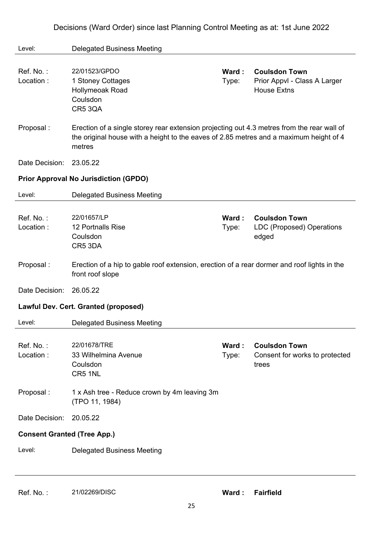| Decisions (Ward Order) since last Planning Control Meeting as at: 1st June 2022 |  |  |  |  |
|---------------------------------------------------------------------------------|--|--|--|--|
|---------------------------------------------------------------------------------|--|--|--|--|

| Level:                             | <b>Delegated Business Meeting</b>                                                                                                                                                              |                |                                                      |
|------------------------------------|------------------------------------------------------------------------------------------------------------------------------------------------------------------------------------------------|----------------|------------------------------------------------------|
| Ref. No.:<br>Location:             | 22/01523/GPDO<br>1 Stoney Cottages                                                                                                                                                             | Ward:<br>Type: | <b>Coulsdon Town</b><br>Prior Appvl - Class A Larger |
|                                    | Hollymeoak Road<br>Coulsdon<br><b>CR5 3QA</b>                                                                                                                                                  |                | <b>House Extns</b>                                   |
| Proposal:                          | Erection of a single storey rear extension projecting out 4.3 metres from the rear wall of<br>the original house with a height to the eaves of 2.85 metres and a maximum height of 4<br>metres |                |                                                      |
| Date Decision:                     | 23.05.22                                                                                                                                                                                       |                |                                                      |
|                                    | <b>Prior Approval No Jurisdiction (GPDO)</b>                                                                                                                                                   |                |                                                      |
| Level:                             | <b>Delegated Business Meeting</b>                                                                                                                                                              |                |                                                      |
| Ref. No.:                          | 22/01657/LP                                                                                                                                                                                    | Ward:          | <b>Coulsdon Town</b>                                 |
| Location:                          | 12 Portnalls Rise                                                                                                                                                                              | Type:          | <b>LDC (Proposed) Operations</b>                     |
|                                    | Coulsdon<br>CR5 3DA                                                                                                                                                                            |                | edged                                                |
| Proposal:                          | Erection of a hip to gable roof extension, erection of a rear dormer and roof lights in the<br>front roof slope                                                                                |                |                                                      |
| Date Decision:                     | 26.05.22                                                                                                                                                                                       |                |                                                      |
|                                    | Lawful Dev. Cert. Granted (proposed)                                                                                                                                                           |                |                                                      |
| Level:                             | <b>Delegated Business Meeting</b>                                                                                                                                                              |                |                                                      |
| Ref. No.:                          | 22/01678/TRE                                                                                                                                                                                   | Ward:          | <b>Coulsdon Town</b>                                 |
| Location:                          | 33 Wilhelmina Avenue                                                                                                                                                                           | Type:          | Consent for works to protected                       |
|                                    | Coulsdon<br>CR5 1NL                                                                                                                                                                            |                | trees                                                |
| Proposal:                          | 1 x Ash tree - Reduce crown by 4m leaving 3m<br>(TPO 11, 1984)                                                                                                                                 |                |                                                      |
| Date Decision:                     | 20.05.22                                                                                                                                                                                       |                |                                                      |
| <b>Consent Granted (Tree App.)</b> |                                                                                                                                                                                                |                |                                                      |
| Level:                             | <b>Delegated Business Meeting</b>                                                                                                                                                              |                |                                                      |
|                                    |                                                                                                                                                                                                |                |                                                      |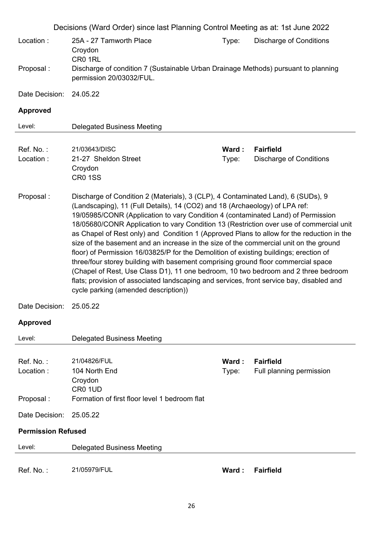|                           | Decisions (Ward Order) since last Planning Control Meeting as at: 1st June 2022                                                                                                                                                                                                                                                                                                                                                                                                                                                                                                                                                                                                                                                                                                                                                                                                                                                              |                |                                                    |  |  |
|---------------------------|----------------------------------------------------------------------------------------------------------------------------------------------------------------------------------------------------------------------------------------------------------------------------------------------------------------------------------------------------------------------------------------------------------------------------------------------------------------------------------------------------------------------------------------------------------------------------------------------------------------------------------------------------------------------------------------------------------------------------------------------------------------------------------------------------------------------------------------------------------------------------------------------------------------------------------------------|----------------|----------------------------------------------------|--|--|
| Location:                 | 25A - 27 Tamworth Place<br>Croydon<br>CR0 1RL                                                                                                                                                                                                                                                                                                                                                                                                                                                                                                                                                                                                                                                                                                                                                                                                                                                                                                | Type:          | <b>Discharge of Conditions</b>                     |  |  |
| Proposal:                 | Discharge of condition 7 (Sustainable Urban Drainage Methods) pursuant to planning<br>permission 20/03032/FUL.                                                                                                                                                                                                                                                                                                                                                                                                                                                                                                                                                                                                                                                                                                                                                                                                                               |                |                                                    |  |  |
| Date Decision:            | 24.05.22                                                                                                                                                                                                                                                                                                                                                                                                                                                                                                                                                                                                                                                                                                                                                                                                                                                                                                                                     |                |                                                    |  |  |
| <b>Approved</b>           |                                                                                                                                                                                                                                                                                                                                                                                                                                                                                                                                                                                                                                                                                                                                                                                                                                                                                                                                              |                |                                                    |  |  |
| Level:                    | <b>Delegated Business Meeting</b>                                                                                                                                                                                                                                                                                                                                                                                                                                                                                                                                                                                                                                                                                                                                                                                                                                                                                                            |                |                                                    |  |  |
| Ref. No.:<br>Location:    | 21/03643/DISC<br>21-27 Sheldon Street<br>Croydon<br><b>CR0 1SS</b>                                                                                                                                                                                                                                                                                                                                                                                                                                                                                                                                                                                                                                                                                                                                                                                                                                                                           | Ward:<br>Type: | <b>Fairfield</b><br><b>Discharge of Conditions</b> |  |  |
| Proposal:                 | Discharge of Condition 2 (Materials), 3 (CLP), 4 Contaminated Land), 6 (SUDs), 9<br>(Landscaping), 11 (Full Details), 14 (CO2) and 18 (Archaeology) of LPA ref:<br>19/05985/CONR (Application to vary Condition 4 (contaminated Land) of Permission<br>18/05680/CONR Application to vary Condition 13 (Restriction over use of commercial unit<br>as Chapel of Rest only) and Condition 1 (Approved Plans to allow for the reduction in the<br>size of the basement and an increase in the size of the commercial unit on the ground<br>floor) of Permission 16/03825/P for the Demolition of existing buildings; erection of<br>three/four storey building with basement comprising ground floor commercial space<br>(Chapel of Rest, Use Class D1), 11 one bedroom, 10 two bedroom and 2 three bedroom<br>flats; provision of associated landscaping and services, front service bay, disabled and<br>cycle parking (amended description)) |                |                                                    |  |  |
| Date Decision:            | 25.05.22                                                                                                                                                                                                                                                                                                                                                                                                                                                                                                                                                                                                                                                                                                                                                                                                                                                                                                                                     |                |                                                    |  |  |
| <b>Approved</b>           |                                                                                                                                                                                                                                                                                                                                                                                                                                                                                                                                                                                                                                                                                                                                                                                                                                                                                                                                              |                |                                                    |  |  |
| Level:                    | <b>Delegated Business Meeting</b>                                                                                                                                                                                                                                                                                                                                                                                                                                                                                                                                                                                                                                                                                                                                                                                                                                                                                                            |                |                                                    |  |  |
| Ref. No.:<br>Location:    | 21/04826/FUL<br>104 North End<br>Croydon                                                                                                                                                                                                                                                                                                                                                                                                                                                                                                                                                                                                                                                                                                                                                                                                                                                                                                     | Ward:<br>Type: | <b>Fairfield</b><br>Full planning permission       |  |  |
| Proposal:                 | CR <sub>0</sub> 1UD<br>Formation of first floor level 1 bedroom flat                                                                                                                                                                                                                                                                                                                                                                                                                                                                                                                                                                                                                                                                                                                                                                                                                                                                         |                |                                                    |  |  |
| Date Decision:            | 25.05.22                                                                                                                                                                                                                                                                                                                                                                                                                                                                                                                                                                                                                                                                                                                                                                                                                                                                                                                                     |                |                                                    |  |  |
| <b>Permission Refused</b> |                                                                                                                                                                                                                                                                                                                                                                                                                                                                                                                                                                                                                                                                                                                                                                                                                                                                                                                                              |                |                                                    |  |  |
| Level:                    | <b>Delegated Business Meeting</b>                                                                                                                                                                                                                                                                                                                                                                                                                                                                                                                                                                                                                                                                                                                                                                                                                                                                                                            |                |                                                    |  |  |
| Ref. No.:                 | 21/05979/FUL                                                                                                                                                                                                                                                                                                                                                                                                                                                                                                                                                                                                                                                                                                                                                                                                                                                                                                                                 | Ward:          | <b>Fairfield</b>                                   |  |  |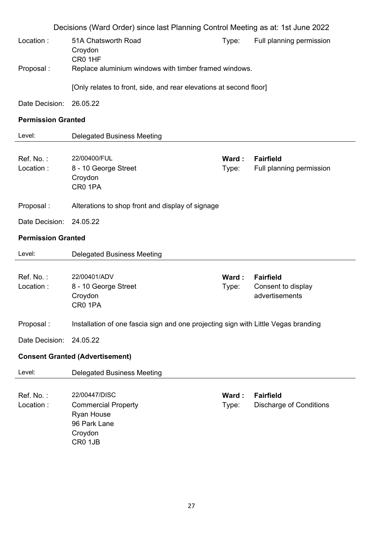|                           | Decisions (Ward Order) since last Planning Control Meeting as at: 1st June 2022                        |                |                                                          |
|---------------------------|--------------------------------------------------------------------------------------------------------|----------------|----------------------------------------------------------|
| Location:                 | 51A Chatsworth Road<br>Croydon<br>CR0 1HF                                                              | Type:          | Full planning permission                                 |
| Proposal :                | Replace aluminium windows with timber framed windows.                                                  |                |                                                          |
|                           | [Only relates to front, side, and rear elevations at second floor]                                     |                |                                                          |
| Date Decision:            | 26.05.22                                                                                               |                |                                                          |
| <b>Permission Granted</b> |                                                                                                        |                |                                                          |
| Level:                    | <b>Delegated Business Meeting</b>                                                                      |                |                                                          |
| Ref. No.:<br>Location:    | 22/00400/FUL<br>8 - 10 George Street<br>Croydon<br>CR0 1PA                                             | Ward:<br>Type: | <b>Fairfield</b><br>Full planning permission             |
| Proposal:                 | Alterations to shop front and display of signage                                                       |                |                                                          |
| Date Decision:            | 24.05.22                                                                                               |                |                                                          |
| <b>Permission Granted</b> |                                                                                                        |                |                                                          |
| Level:                    | <b>Delegated Business Meeting</b>                                                                      |                |                                                          |
| Ref. No.:<br>Location:    | 22/00401/ADV<br>8 - 10 George Street<br>Croydon<br>CR0 1PA                                             | Ward:<br>Type: | <b>Fairfield</b><br>Consent to display<br>advertisements |
| Proposal:                 | Installation of one fascia sign and one projecting sign with Little Vegas branding                     |                |                                                          |
| Date Decision:            | 24.05.22                                                                                               |                |                                                          |
|                           | <b>Consent Granted (Advertisement)</b>                                                                 |                |                                                          |
| Level:                    | <b>Delegated Business Meeting</b>                                                                      |                |                                                          |
| Ref. No.:<br>Location:    | 22/00447/DISC<br><b>Commercial Property</b><br><b>Ryan House</b><br>96 Park Lane<br>Croydon<br>CR0 1JB | Ward:<br>Type: | <b>Fairfield</b><br><b>Discharge of Conditions</b>       |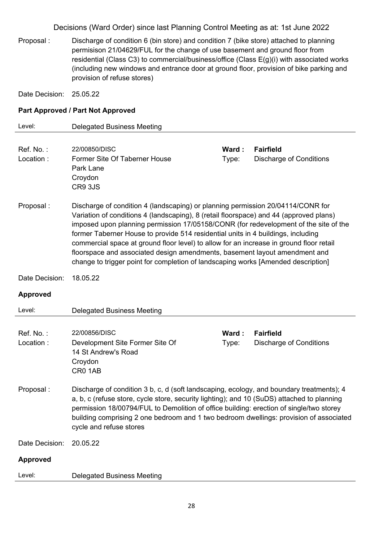Proposal : Discharge of condition 6 (bin store) and condition 7 (bike store) attached to planning permisison 21/04629/FUL for the change of use basement and ground floor from residential (Class C3) to commercial/business/office (Class E(g)(i) with associated works (including new windows and entrance door at ground floor, provision of bike parking and provision of refuse stores)

Date Decision: 25.05.22

### **Part Approved / Part Not Approved**

| Level:                 | <b>Delegated Business Meeting</b>                                                                                                                                                                                                                                                                                                                                                                                                                                                                                                                                                                                   |                |                                                    |
|------------------------|---------------------------------------------------------------------------------------------------------------------------------------------------------------------------------------------------------------------------------------------------------------------------------------------------------------------------------------------------------------------------------------------------------------------------------------------------------------------------------------------------------------------------------------------------------------------------------------------------------------------|----------------|----------------------------------------------------|
| Ref. No.:<br>Location: | 22/00850/DISC<br><b>Former Site Of Taberner House</b><br>Park Lane<br>Croydon<br>CR9 3JS                                                                                                                                                                                                                                                                                                                                                                                                                                                                                                                            | Ward:<br>Type: | <b>Fairfield</b><br><b>Discharge of Conditions</b> |
| Proposal:              | Discharge of condition 4 (landscaping) or planning permission 20/04114/CONR for<br>Variation of conditions 4 (landscaping), 8 (retail floorspace) and 44 (approved plans)<br>imposed upon planning permission 17/05158/CONR (for redevelopment of the site of the<br>former Taberner House to provide 514 residential units in 4 buildings, including<br>commercial space at ground floor level) to allow for an increase in ground floor retail<br>floorspace and associated design amendments, basement layout amendment and<br>change to trigger point for completion of landscaping works [Amended description] |                |                                                    |
| Date Decision:         | 18.05.22                                                                                                                                                                                                                                                                                                                                                                                                                                                                                                                                                                                                            |                |                                                    |
| <b>Approved</b>        |                                                                                                                                                                                                                                                                                                                                                                                                                                                                                                                                                                                                                     |                |                                                    |
| Level:                 | <b>Delegated Business Meeting</b>                                                                                                                                                                                                                                                                                                                                                                                                                                                                                                                                                                                   |                |                                                    |
| Ref. No.:<br>Location: | 22/00856/DISC<br>Development Site Former Site Of<br>14 St Andrew's Road<br>Croydon<br>CR0 1AB                                                                                                                                                                                                                                                                                                                                                                                                                                                                                                                       | Ward:<br>Type: | <b>Fairfield</b><br><b>Discharge of Conditions</b> |
| Proposal:              | Discharge of condition 3 b, c, d (soft landscaping, ecology, and boundary treatments); 4<br>a, b, c (refuse store, cycle store, security lighting); and 10 (SuDS) attached to planning<br>permission 18/00794/FUL to Demolition of office building: erection of single/two storey<br>building comprising 2 one bedroom and 1 two bedroom dwellings: provision of associated<br>cycle and refuse stores                                                                                                                                                                                                              |                |                                                    |
| Date Decision:         | 20.05.22                                                                                                                                                                                                                                                                                                                                                                                                                                                                                                                                                                                                            |                |                                                    |
| <b>Approved</b>        |                                                                                                                                                                                                                                                                                                                                                                                                                                                                                                                                                                                                                     |                |                                                    |
| Level:                 | <b>Delegated Business Meeting</b>                                                                                                                                                                                                                                                                                                                                                                                                                                                                                                                                                                                   |                |                                                    |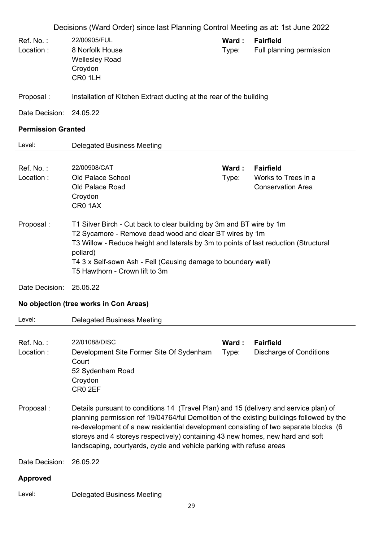- Ref. No. : 22/00905/FUL **Ward : Fairfield** Location : 8 Norfolk House Wellesley Road **Croydon** CR0 1LH Type: Full planning permission Proposal : Installation of Kitchen Extract ducting at the rear of the building Date Decision: 24.05.22 **Permission Granted**  Level: Delegated Business Meeting Ref. No. : 22/00908/CAT **Ward : Fairfield** Location : Old Palace School Old Palace Road Croydon CR0 1AX Type: Works to Trees in a Conservation Area Proposal : T1 Silver Birch - Cut back to clear building by 3m and BT wire by 1m T2 Sycamore - Remove dead wood and clear BT wires by 1m T3 Willow - Reduce height and laterals by 3m to points of last reduction (Structural pollard) T4 3 x Self-sown Ash - Fell (Causing damage to boundary wall) T5 Hawthorn - Crown lift to 3m Date Decision: 25.05.22 **No objection (tree works in Con Areas)**  Level: Delegated Business Meeting Ref. No. : 22/01088/DISC **Ward : Fairfield** Location : Development Site Former Site Of Sydenham **Court** 52 Sydenham Road Croydon CR0 2EF Type: Discharge of Conditions Proposal : Details pursuant to conditions 14 (Travel Plan) and 15 (delivery and service plan) of planning permission ref 19/04764/ful Demolition of the existing buildings followed by the re-development of a new residential development consisting of two separate blocks (6 storeys and 4 storeys respectively) containing 43 new homes, new hard and soft landscaping, courtyards, cycle and vehicle parking with refuse areas Date Decision: 26.05.22 **Approved**
- Level: Delegated Business Meeting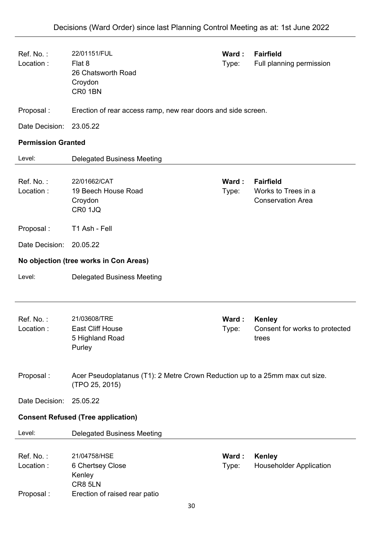| Ref. No.:<br>Location:                    | 22/01151/FUL<br>Flat 8<br>26 Chatsworth Road<br>Croydon<br>CR0 1BN                             | Ward:<br>Type: | <b>Fairfield</b><br>Full planning permission                        |  |  |
|-------------------------------------------|------------------------------------------------------------------------------------------------|----------------|---------------------------------------------------------------------|--|--|
| Proposal:                                 | Erection of rear access ramp, new rear doors and side screen.                                  |                |                                                                     |  |  |
| Date Decision:                            | 23.05.22                                                                                       |                |                                                                     |  |  |
| <b>Permission Granted</b>                 |                                                                                                |                |                                                                     |  |  |
| Level:                                    | <b>Delegated Business Meeting</b>                                                              |                |                                                                     |  |  |
| Ref. No.:<br>Location:                    | 22/01662/CAT<br>19 Beech House Road<br>Croydon<br>CR0 1JQ                                      | Ward:<br>Type: | <b>Fairfield</b><br>Works to Trees in a<br><b>Conservation Area</b> |  |  |
| Proposal:                                 | T1 Ash - Fell                                                                                  |                |                                                                     |  |  |
| Date Decision:                            | 20.05.22                                                                                       |                |                                                                     |  |  |
|                                           | No objection (tree works in Con Areas)                                                         |                |                                                                     |  |  |
| Level:                                    | <b>Delegated Business Meeting</b>                                                              |                |                                                                     |  |  |
| Ref. No.:<br>Location:                    | 21/03608/TRE<br><b>East Cliff House</b><br>5 Highland Road<br>Purley                           | Ward:<br>Type: | <b>Kenley</b><br>Consent for works to protected<br>trees            |  |  |
| Proposal:                                 | Acer Pseudoplatanus (T1): 2 Metre Crown Reduction up to a 25mm max cut size.<br>(TPO 25, 2015) |                |                                                                     |  |  |
| Date Decision:                            | 25.05.22                                                                                       |                |                                                                     |  |  |
| <b>Consent Refused (Tree application)</b> |                                                                                                |                |                                                                     |  |  |
| Level:                                    | <b>Delegated Business Meeting</b>                                                              |                |                                                                     |  |  |
| Ref. No.:<br>Location:<br>Proposal:       | 21/04758/HSE<br>6 Chertsey Close<br>Kenley<br>CR8 5LN<br>Erection of raised rear patio         | Ward:<br>Type: | <b>Kenley</b><br><b>Householder Application</b>                     |  |  |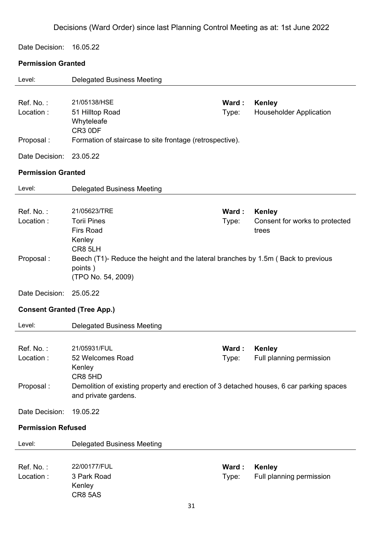Date Decision: 16.05.22

## **Permission Granted**

| Level:                               | <b>Delegated Business Meeting</b>                                                                                                                                        |                |                                                          |  |  |
|--------------------------------------|--------------------------------------------------------------------------------------------------------------------------------------------------------------------------|----------------|----------------------------------------------------------|--|--|
| Ref. No.:<br>Location:               | 21/05138/HSE<br>51 Hilltop Road<br>Whyteleafe<br>CR3 0DF                                                                                                                 | Ward:<br>Type: | <b>Kenley</b><br><b>Householder Application</b>          |  |  |
| Proposal:                            | Formation of staircase to site frontage (retrospective).                                                                                                                 |                |                                                          |  |  |
| Date Decision:                       | 23.05.22                                                                                                                                                                 |                |                                                          |  |  |
| <b>Permission Granted</b>            |                                                                                                                                                                          |                |                                                          |  |  |
| Level:                               | <b>Delegated Business Meeting</b>                                                                                                                                        |                |                                                          |  |  |
| Ref. No.:<br>Location:               | 21/05623/TRE<br><b>Torii Pines</b><br><b>Firs Road</b><br>Kenley                                                                                                         | Ward:<br>Type: | <b>Kenley</b><br>Consent for works to protected<br>trees |  |  |
| Proposal:                            | CR8 5LH<br>Beech (T1)- Reduce the height and the lateral branches by 1.5m (Back to previous<br>points)<br>(TPO No. 54, 2009)                                             |                |                                                          |  |  |
| Date Decision:                       | 25.05.22                                                                                                                                                                 |                |                                                          |  |  |
| <b>Consent Granted (Tree App.)</b>   |                                                                                                                                                                          |                |                                                          |  |  |
| Level:                               | <b>Delegated Business Meeting</b>                                                                                                                                        |                |                                                          |  |  |
| Ref. No.:<br>Location :<br>Proposal: | 21/05931/FUL<br>52 Welcomes Road<br>Kenley<br>CR8 5HD<br>Demolition of existing property and erection of 3 detached houses, 6 car parking spaces<br>and private gardens. | Ward:<br>Type: | <b>Kenley</b><br>Full planning permission                |  |  |
| Date Decision:                       | 19.05.22                                                                                                                                                                 |                |                                                          |  |  |
| <b>Permission Refused</b>            |                                                                                                                                                                          |                |                                                          |  |  |
| Level:                               | <b>Delegated Business Meeting</b>                                                                                                                                        |                |                                                          |  |  |
| Ref. No.:<br>Location:               | 22/00177/FUL<br>3 Park Road<br>Kenley<br><b>CR8 5AS</b>                                                                                                                  | Ward:<br>Type: | <b>Kenley</b><br>Full planning permission                |  |  |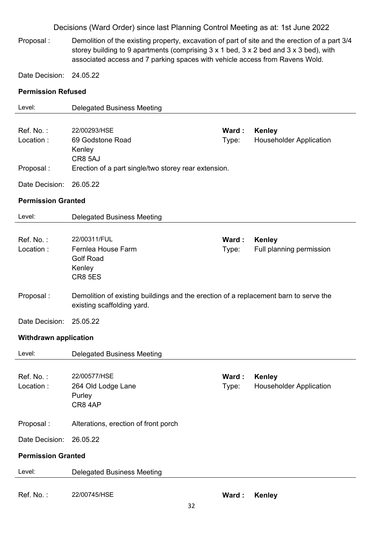Proposal : Demolition of the existing property, excavation of part of site and the erection of a part 3/4 storey building to 9 apartments (comprising 3 x 1 bed, 3 x 2 bed and 3 x 3 bed), with associated access and 7 parking spaces with vehicle access from Ravens Wold.

Date Decision: 24.05.22

### **Permission Refused**

| Level:                       | <b>Delegated Business Meeting</b>                                                    |       |                                |  |  |
|------------------------------|--------------------------------------------------------------------------------------|-------|--------------------------------|--|--|
|                              |                                                                                      |       |                                |  |  |
| Ref. No.:                    | 22/00293/HSE                                                                         | Ward: | <b>Kenley</b>                  |  |  |
| Location:                    | 69 Godstone Road                                                                     | Type: | <b>Householder Application</b> |  |  |
|                              | Kenley                                                                               |       |                                |  |  |
|                              | CR8 5AJ                                                                              |       |                                |  |  |
| Proposal:                    | Erection of a part single/two storey rear extension.                                 |       |                                |  |  |
| Date Decision:               | 26.05.22                                                                             |       |                                |  |  |
| <b>Permission Granted</b>    |                                                                                      |       |                                |  |  |
| Level:                       | <b>Delegated Business Meeting</b>                                                    |       |                                |  |  |
|                              |                                                                                      |       |                                |  |  |
| Ref. No.:                    | 22/00311/FUL                                                                         | Ward: | <b>Kenley</b>                  |  |  |
| Location:                    | Fernlea House Farm                                                                   | Type: | Full planning permission       |  |  |
|                              | <b>Golf Road</b>                                                                     |       |                                |  |  |
|                              | Kenley                                                                               |       |                                |  |  |
|                              | <b>CR8 5ES</b>                                                                       |       |                                |  |  |
| Proposal:                    | Demolition of existing buildings and the erection of a replacement barn to serve the |       |                                |  |  |
|                              | existing scaffolding yard.                                                           |       |                                |  |  |
|                              |                                                                                      |       |                                |  |  |
| Date Decision:               | 25.05.22                                                                             |       |                                |  |  |
| <b>Withdrawn application</b> |                                                                                      |       |                                |  |  |
| Level:                       | <b>Delegated Business Meeting</b>                                                    |       |                                |  |  |
|                              |                                                                                      |       |                                |  |  |
| Ref. No.:                    | 22/00577/HSE                                                                         | Ward: | <b>Kenley</b>                  |  |  |
| Location:                    | 264 Old Lodge Lane                                                                   | Type: | <b>Householder Application</b> |  |  |
|                              | Purley                                                                               |       |                                |  |  |
|                              | CR84AP                                                                               |       |                                |  |  |
| Proposal:                    | Alterations, erection of front porch                                                 |       |                                |  |  |
|                              |                                                                                      |       |                                |  |  |
| Date Decision:               | 26.05.22                                                                             |       |                                |  |  |
| <b>Permission Granted</b>    |                                                                                      |       |                                |  |  |
| Level:                       | <b>Delegated Business Meeting</b>                                                    |       |                                |  |  |
|                              |                                                                                      |       |                                |  |  |
| Ref. No.:                    | 22/00745/HSE                                                                         | Ward: | <b>Kenley</b>                  |  |  |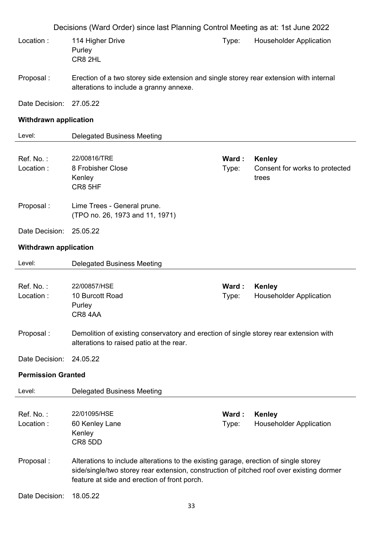|                              | Decisions (Ward Order) since last Planning Control Meeting as at: 1st June 2022                                                                                                                                                  |                |                                                          |  |
|------------------------------|----------------------------------------------------------------------------------------------------------------------------------------------------------------------------------------------------------------------------------|----------------|----------------------------------------------------------|--|
| Location:                    | 114 Higher Drive<br>Purley<br>CR8 2HL                                                                                                                                                                                            | Type:          | <b>Householder Application</b>                           |  |
| Proposal:                    | Erection of a two storey side extension and single storey rear extension with internal<br>alterations to include a granny annexe.                                                                                                |                |                                                          |  |
| Date Decision:               | 27.05.22                                                                                                                                                                                                                         |                |                                                          |  |
| <b>Withdrawn application</b> |                                                                                                                                                                                                                                  |                |                                                          |  |
| Level:                       | <b>Delegated Business Meeting</b>                                                                                                                                                                                                |                |                                                          |  |
| Ref. No.:<br>Location:       | 22/00816/TRE<br>8 Frobisher Close<br>Kenley<br>CR8 5HF                                                                                                                                                                           | Ward:<br>Type: | <b>Kenley</b><br>Consent for works to protected<br>trees |  |
| Proposal:                    | Lime Trees - General prune.<br>(TPO no. 26, 1973 and 11, 1971)                                                                                                                                                                   |                |                                                          |  |
| Date Decision:               | 25.05.22                                                                                                                                                                                                                         |                |                                                          |  |
| <b>Withdrawn application</b> |                                                                                                                                                                                                                                  |                |                                                          |  |
| Level:                       | <b>Delegated Business Meeting</b>                                                                                                                                                                                                |                |                                                          |  |
| Ref. No.:<br>Location:       | 22/00857/HSE<br>10 Burcott Road<br>Purley<br>CR84AA                                                                                                                                                                              | Ward:<br>Type: | <b>Kenley</b><br><b>Householder Application</b>          |  |
| Proposal:                    | Demolition of existing conservatory and erection of single storey rear extension with<br>alterations to raised patio at the rear.                                                                                                |                |                                                          |  |
| Date Decision:               | 24.05.22                                                                                                                                                                                                                         |                |                                                          |  |
| <b>Permission Granted</b>    |                                                                                                                                                                                                                                  |                |                                                          |  |
| Level:                       | <b>Delegated Business Meeting</b>                                                                                                                                                                                                |                |                                                          |  |
| Ref. No.:<br>Location:       | 22/01095/HSE<br>60 Kenley Lane<br>Kenley<br>CR8 5DD                                                                                                                                                                              | Ward:<br>Type: | <b>Kenley</b><br><b>Householder Application</b>          |  |
| Proposal:                    | Alterations to include alterations to the existing garage, erection of single storey<br>side/single/two storey rear extension, construction of pitched roof over existing dormer<br>feature at side and erection of front porch. |                |                                                          |  |
| Date Decision:               | 18.05.22<br>33                                                                                                                                                                                                                   |                |                                                          |  |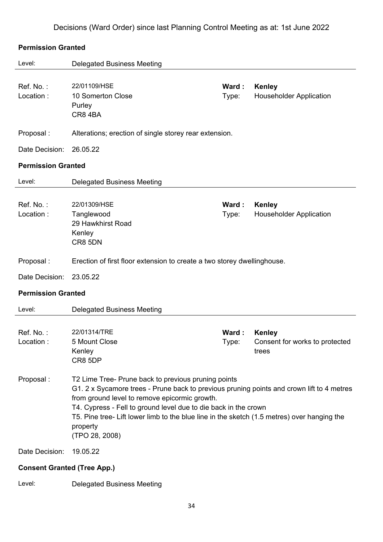#### **Permission Granted**

| Level:                             | <b>Delegated Business Meeting</b>                                                                                                                                                                                                                                                                                                                                                                 |                |                                                   |
|------------------------------------|---------------------------------------------------------------------------------------------------------------------------------------------------------------------------------------------------------------------------------------------------------------------------------------------------------------------------------------------------------------------------------------------------|----------------|---------------------------------------------------|
| Ref. No.:<br>Location:             | 22/01109/HSE<br>10 Somerton Close<br>Purley<br>CR84BA                                                                                                                                                                                                                                                                                                                                             | Ward:<br>Type: | <b>Kenley</b><br><b>Householder Application</b>   |
| Proposal:                          | Alterations; erection of single storey rear extension.                                                                                                                                                                                                                                                                                                                                            |                |                                                   |
| Date Decision:                     | 26.05.22                                                                                                                                                                                                                                                                                                                                                                                          |                |                                                   |
| <b>Permission Granted</b>          |                                                                                                                                                                                                                                                                                                                                                                                                   |                |                                                   |
| Level:                             | <b>Delegated Business Meeting</b>                                                                                                                                                                                                                                                                                                                                                                 |                |                                                   |
| Ref. No.:<br>Location:             | 22/01309/HSE<br>Tanglewood<br>29 Hawkhirst Road<br>Kenley<br>CR8 5DN                                                                                                                                                                                                                                                                                                                              | Ward:<br>Type: | <b>Kenley</b><br><b>Householder Application</b>   |
| Proposal:                          | Erection of first floor extension to create a two storey dwellinghouse.                                                                                                                                                                                                                                                                                                                           |                |                                                   |
| Date Decision:                     | 23.05.22                                                                                                                                                                                                                                                                                                                                                                                          |                |                                                   |
| <b>Permission Granted</b>          |                                                                                                                                                                                                                                                                                                                                                                                                   |                |                                                   |
| Level:                             | <b>Delegated Business Meeting</b>                                                                                                                                                                                                                                                                                                                                                                 |                |                                                   |
| Ref. No.:<br>Location:             | 22/01314/TRE<br>5 Mount Close<br>Kenley<br>CR8 5DP                                                                                                                                                                                                                                                                                                                                                | Ward:<br>Type: | Kenley<br>Consent for works to protected<br>trees |
| Proposal:                          | T2 Lime Tree- Prune back to previous pruning points<br>G1. 2 x Sycamore trees - Prune back to previous pruning points and crown lift to 4 metres<br>from ground level to remove epicormic growth.<br>T4. Cypress - Fell to ground level due to die back in the crown<br>T5. Pine tree- Lift lower limb to the blue line in the sketch (1.5 metres) over hanging the<br>property<br>(TPO 28, 2008) |                |                                                   |
| Date Decision:                     | 19.05.22                                                                                                                                                                                                                                                                                                                                                                                          |                |                                                   |
| <b>Consent Granted (Tree App.)</b> |                                                                                                                                                                                                                                                                                                                                                                                                   |                |                                                   |

Level: Delegated Business Meeting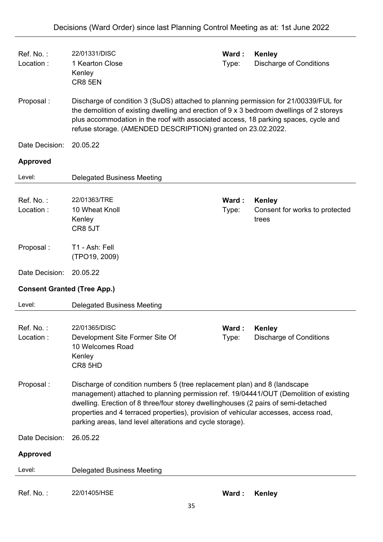| Ref. No.:<br>Location:             | 22/01331/DISC<br>1 Kearton Close<br>Kenley<br>CR8 5EN                                                                                                                                                                                                                                                                                                                                                         | Ward:<br>Type: | <b>Kenley</b><br><b>Discharge of Conditions</b>   |
|------------------------------------|---------------------------------------------------------------------------------------------------------------------------------------------------------------------------------------------------------------------------------------------------------------------------------------------------------------------------------------------------------------------------------------------------------------|----------------|---------------------------------------------------|
| Proposal:                          | Discharge of condition 3 (SuDS) attached to planning permission for 21/00339/FUL for<br>the demolition of existing dwelling and erection of 9 x 3 bedroom dwellings of 2 storeys<br>plus accommodation in the roof with associated access, 18 parking spaces, cycle and<br>refuse storage. (AMENDED DESCRIPTION) granted on 23.02.2022.                                                                       |                |                                                   |
| Date Decision:                     | 20.05.22                                                                                                                                                                                                                                                                                                                                                                                                      |                |                                                   |
| <b>Approved</b>                    |                                                                                                                                                                                                                                                                                                                                                                                                               |                |                                                   |
| Level:                             | <b>Delegated Business Meeting</b>                                                                                                                                                                                                                                                                                                                                                                             |                |                                                   |
| Ref. No.:<br>Location:             | 22/01363/TRE<br>10 Wheat Knoll<br>Kenley<br>CR8 5JT                                                                                                                                                                                                                                                                                                                                                           | Ward:<br>Type: | Kenley<br>Consent for works to protected<br>trees |
| Proposal:                          | T1 - Ash: Fell<br>(TPO19, 2009)                                                                                                                                                                                                                                                                                                                                                                               |                |                                                   |
| Date Decision:                     | 20.05.22                                                                                                                                                                                                                                                                                                                                                                                                      |                |                                                   |
| <b>Consent Granted (Tree App.)</b> |                                                                                                                                                                                                                                                                                                                                                                                                               |                |                                                   |
| Level:                             | <b>Delegated Business Meeting</b>                                                                                                                                                                                                                                                                                                                                                                             |                |                                                   |
| Ref. No.:<br>Location:             | 22/01365/DISC<br>Development Site Former Site Of<br>10 Welcomes Road<br>Kenley<br>CR8 5HD                                                                                                                                                                                                                                                                                                                     | Ward:<br>Type: | <b>Kenley</b><br><b>Discharge of Conditions</b>   |
| Proposal:                          | Discharge of condition numbers 5 (tree replacement plan) and 8 (landscape<br>management) attached to planning permission ref. 19/04441/OUT (Demolition of existing<br>dwelling. Erection of 8 three/four storey dwellinghouses (2 pairs of semi-detached<br>properties and 4 terraced properties), provision of vehicular accesses, access road,<br>parking areas, land level alterations and cycle storage). |                |                                                   |
| Date Decision:                     | 26.05.22                                                                                                                                                                                                                                                                                                                                                                                                      |                |                                                   |
| <b>Approved</b>                    |                                                                                                                                                                                                                                                                                                                                                                                                               |                |                                                   |
| Level:                             | <b>Delegated Business Meeting</b>                                                                                                                                                                                                                                                                                                                                                                             |                |                                                   |
| Ref. No.:                          | 22/01405/HSE                                                                                                                                                                                                                                                                                                                                                                                                  | Ward:          | <b>Kenley</b>                                     |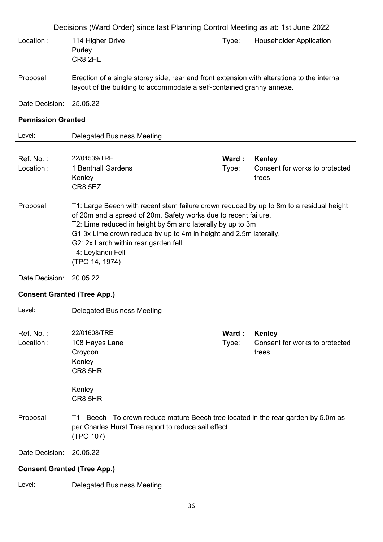| Decisions (Ward Order) since last Planning Control Meeting as at: 1st June 2022 |                                                                                                                                                                                                                                                                                                                                                                               |                |                                                          |
|---------------------------------------------------------------------------------|-------------------------------------------------------------------------------------------------------------------------------------------------------------------------------------------------------------------------------------------------------------------------------------------------------------------------------------------------------------------------------|----------------|----------------------------------------------------------|
| Location:                                                                       | 114 Higher Drive<br>Purley<br>CR8 2HL                                                                                                                                                                                                                                                                                                                                         | Type:          | <b>Householder Application</b>                           |
| Proposal:                                                                       | Erection of a single storey side, rear and front extension with alterations to the internal<br>layout of the building to accommodate a self-contained granny annexe.                                                                                                                                                                                                          |                |                                                          |
| Date Decision:                                                                  | 25.05.22                                                                                                                                                                                                                                                                                                                                                                      |                |                                                          |
| <b>Permission Granted</b>                                                       |                                                                                                                                                                                                                                                                                                                                                                               |                |                                                          |
| Level:                                                                          | <b>Delegated Business Meeting</b>                                                                                                                                                                                                                                                                                                                                             |                |                                                          |
| Ref. No.:<br>Location:                                                          | 22/01539/TRE<br>1 Benthall Gardens<br>Kenley<br>CR8 5EZ                                                                                                                                                                                                                                                                                                                       | Ward:<br>Type: | Kenley<br>Consent for works to protected<br>trees        |
| Proposal:                                                                       | T1: Large Beech with recent stem failure crown reduced by up to 8m to a residual height<br>of 20m and a spread of 20m. Safety works due to recent failure.<br>T2: Lime reduced in height by 5m and laterally by up to 3m<br>G1 3x Lime crown reduce by up to 4m in height and 2.5m laterally.<br>G2: 2x Larch within rear garden fell<br>T4: Leylandii Fell<br>(TPO 14, 1974) |                |                                                          |
| Date Decision:                                                                  | 20.05.22                                                                                                                                                                                                                                                                                                                                                                      |                |                                                          |
| <b>Consent Granted (Tree App.)</b>                                              |                                                                                                                                                                                                                                                                                                                                                                               |                |                                                          |
| Level:                                                                          | <b>Delegated Business Meeting</b>                                                                                                                                                                                                                                                                                                                                             |                |                                                          |
| Ref. No.:<br>Location:                                                          | 22/01608/TRE<br>108 Hayes Lane<br>Croydon<br>Kenley<br>CR8 5HR<br>Kenley                                                                                                                                                                                                                                                                                                      | Ward:<br>Type: | <b>Kenley</b><br>Consent for works to protected<br>trees |
| Proposal:                                                                       | CR8 5HR<br>T1 - Beech - To crown reduce mature Beech tree located in the rear garden by 5.0m as<br>per Charles Hurst Tree report to reduce sail effect.<br>(TPO 107)                                                                                                                                                                                                          |                |                                                          |
| Date Decision:                                                                  | 20.05.22                                                                                                                                                                                                                                                                                                                                                                      |                |                                                          |
| <b>Consent Granted (Tree App.)</b>                                              |                                                                                                                                                                                                                                                                                                                                                                               |                |                                                          |
|                                                                                 |                                                                                                                                                                                                                                                                                                                                                                               |                |                                                          |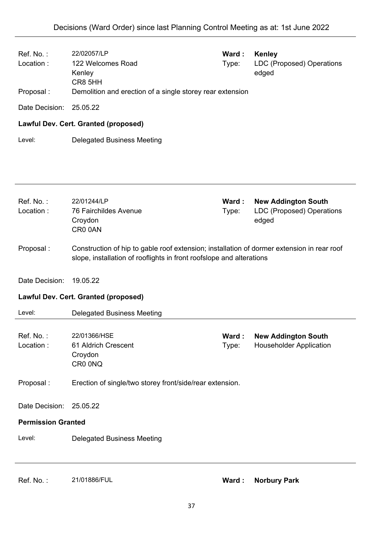| Ref. No.:<br>Location:<br>Proposal: | 22/02057/LP<br>122 Welcomes Road<br>Kenley<br>CR8 5HH<br>Demolition and erection of a single storey rear extension                                                 | Ward:<br>Type: | <b>Kenley</b><br>LDC (Proposed) Operations<br>edged                     |
|-------------------------------------|--------------------------------------------------------------------------------------------------------------------------------------------------------------------|----------------|-------------------------------------------------------------------------|
| Date Decision:                      | 25.05.22                                                                                                                                                           |                |                                                                         |
|                                     | Lawful Dev. Cert. Granted (proposed)                                                                                                                               |                |                                                                         |
| Level:                              | <b>Delegated Business Meeting</b>                                                                                                                                  |                |                                                                         |
|                                     |                                                                                                                                                                    |                |                                                                         |
| Ref. No.:<br>Location:              | 22/01244/LP<br><b>76 Fairchildes Avenue</b><br>Croydon<br>CR0 0AN                                                                                                  | Ward:<br>Type: | <b>New Addington South</b><br><b>LDC (Proposed) Operations</b><br>edged |
| Proposal:                           | Construction of hip to gable roof extension; installation of dormer extension in rear roof<br>slope, installation of rooflights in front roofslope and alterations |                |                                                                         |
| Date Decision:                      | 19.05.22                                                                                                                                                           |                |                                                                         |
|                                     | <b>Lawful Dev. Cert. Granted (proposed)</b>                                                                                                                        |                |                                                                         |
| Level:                              | <b>Delegated Business Meeting</b>                                                                                                                                  |                |                                                                         |
| Ref. No.:<br>Location:              | 22/01366/HSE<br>61 Aldrich Crescent<br>Croydon<br>CR0 0NQ                                                                                                          | Ward:<br>Type: | <b>New Addington South</b><br><b>Householder Application</b>            |
| Proposal:                           | Erection of single/two storey front/side/rear extension.                                                                                                           |                |                                                                         |
| Date Decision:                      | 25.05.22                                                                                                                                                           |                |                                                                         |
| <b>Permission Granted</b>           |                                                                                                                                                                    |                |                                                                         |
| Level:                              | <b>Delegated Business Meeting</b>                                                                                                                                  |                |                                                                         |
|                                     |                                                                                                                                                                    |                |                                                                         |

Ref. No. : 21/01886/FUL **Ward : Norbury Park**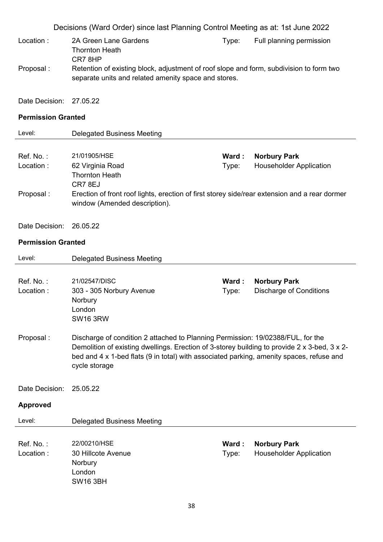- Location : 2A Green Lane Gardens Thornton Heath CR7 8HP Type: Full planning permission Proposal : Retention of existing block, adjustment of roof slope and form, subdivision to form two separate units and related amenity space and stores.
- Date Decision: 27.05.22

## **Permission Granted**

| Level:     | Delegated Business Meeting                                                                                                     |        |                                |
|------------|--------------------------------------------------------------------------------------------------------------------------------|--------|--------------------------------|
| Ref. No. : | 21/01905/HSE                                                                                                                   | Ward : | <b>Norbury Park</b>            |
| Location:  | 62 Virginia Road<br><b>Thornton Heath</b><br>CR78EJ                                                                            | Type:  | <b>Householder Application</b> |
| Proposal : | Erection of front roof lights, erection of first storey side/rear extension and a rear dormer<br>window (Amended description). |        |                                |

Date Decision: 26.05.22

|                 | <b>Delegated Business Meeting</b>                                                                                                                                               |       |                                |
|-----------------|---------------------------------------------------------------------------------------------------------------------------------------------------------------------------------|-------|--------------------------------|
|                 |                                                                                                                                                                                 |       |                                |
| Ref. No.:       | 21/02547/DISC                                                                                                                                                                   | Ward: | <b>Norbury Park</b>            |
| Location:       | 303 - 305 Norbury Avenue                                                                                                                                                        | Type: | <b>Discharge of Conditions</b> |
|                 | Norbury<br>London                                                                                                                                                               |       |                                |
|                 | <b>SW16 3RW</b>                                                                                                                                                                 |       |                                |
|                 |                                                                                                                                                                                 |       |                                |
| Proposal:       | Discharge of condition 2 attached to Planning Permission: 19/02388/FUL, for the<br>Demolition of existing dwellings. Erection of 3-storey building to provide 2 x 3-bed, 3 x 2- |       |                                |
|                 | bed and 4 x 1-bed flats (9 in total) with associated parking, amenity spaces, refuse and<br>cycle storage                                                                       |       |                                |
|                 |                                                                                                                                                                                 |       |                                |
| Date Decision:  | 25.05.22                                                                                                                                                                        |       |                                |
| <b>Approved</b> |                                                                                                                                                                                 |       |                                |
| Level:          | <b>Delegated Business Meeting</b>                                                                                                                                               |       |                                |
|                 |                                                                                                                                                                                 |       |                                |
|                 |                                                                                                                                                                                 | Ward: |                                |
| $Ref. No.$ :    | 22/00210/HSE                                                                                                                                                                    |       | <b>Norbury Park</b>            |
| Location:       | 30 Hillcote Avenue                                                                                                                                                              | Type: | <b>Householder Application</b> |
|                 | Norbury<br>London                                                                                                                                                               |       |                                |
|                 |                                                                                                                                                                                 |       |                                |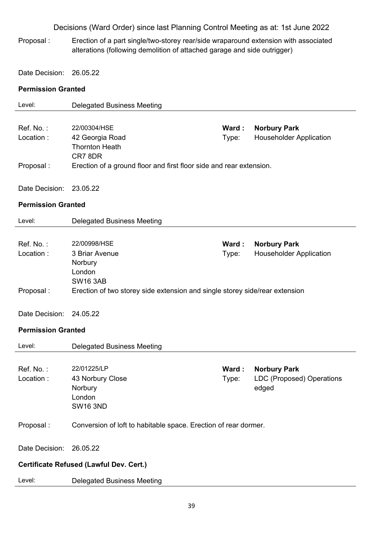Proposal : Erection of a part single/two-storey rear/side wraparound extension with associated alterations (following demolition of attached garage and side outrigger)

Date Decision: 26.05.22

| Level:                    | <b>Delegated Business Meeting</b>                                           |       |                                  |
|---------------------------|-----------------------------------------------------------------------------|-------|----------------------------------|
|                           |                                                                             |       |                                  |
| Ref. No.:                 | 22/00304/HSE                                                                | Ward: | <b>Norbury Park</b>              |
| Location:                 | 42 Georgia Road                                                             | Type: | <b>Householder Application</b>   |
|                           | <b>Thornton Heath</b>                                                       |       |                                  |
|                           | CR78DR                                                                      |       |                                  |
| Proposal:                 | Erection of a ground floor and first floor side and rear extension.         |       |                                  |
|                           |                                                                             |       |                                  |
| Date Decision:            | 23.05.22                                                                    |       |                                  |
| <b>Permission Granted</b> |                                                                             |       |                                  |
| Level:                    | <b>Delegated Business Meeting</b>                                           |       |                                  |
|                           |                                                                             |       |                                  |
| Ref. No.:                 | 22/00998/HSE                                                                | Ward: | <b>Norbury Park</b>              |
| Location:                 | 3 Briar Avenue                                                              | Type: | <b>Householder Application</b>   |
|                           | Norbury                                                                     |       |                                  |
|                           | London<br><b>SW16 3AB</b>                                                   |       |                                  |
| Proposal:                 | Erection of two storey side extension and single storey side/rear extension |       |                                  |
|                           |                                                                             |       |                                  |
| Date Decision:            | 24.05.22                                                                    |       |                                  |
|                           |                                                                             |       |                                  |
| <b>Permission Granted</b> |                                                                             |       |                                  |
| Level:                    | <b>Delegated Business Meeting</b>                                           |       |                                  |
|                           |                                                                             |       |                                  |
| Ref. No.:                 | 22/01225/LP                                                                 | Ward: | <b>Norbury Park</b>              |
| Location:                 | 43 Norbury Close                                                            | Type: | <b>LDC (Proposed) Operations</b> |
|                           | Norbury                                                                     |       | edged                            |
|                           | London                                                                      |       |                                  |
|                           | <b>SW16 3ND</b>                                                             |       |                                  |
| Proposal:                 | Conversion of loft to habitable space. Erection of rear dormer.             |       |                                  |
|                           |                                                                             |       |                                  |
| Date Decision:            | 26.05.22                                                                    |       |                                  |
|                           | <b>Certificate Refused (Lawful Dev. Cert.)</b>                              |       |                                  |
|                           |                                                                             |       |                                  |
| Level:                    | <b>Delegated Business Meeting</b>                                           |       |                                  |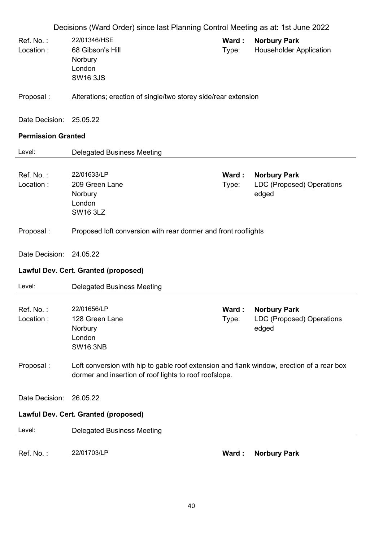|                           | Decisions (Ward Order) since last Planning Control Meeting as at: 1st June 2022                                                                     |                |                                                           |
|---------------------------|-----------------------------------------------------------------------------------------------------------------------------------------------------|----------------|-----------------------------------------------------------|
| Ref. No.:<br>Location:    | 22/01346/HSE<br>68 Gibson's Hill<br>Norbury<br>London<br><b>SW16 3JS</b>                                                                            | Ward:<br>Type: | <b>Norbury Park</b><br><b>Householder Application</b>     |
| Proposal:                 | Alterations; erection of single/two storey side/rear extension                                                                                      |                |                                                           |
| Date Decision:            | 25.05.22                                                                                                                                            |                |                                                           |
| <b>Permission Granted</b> |                                                                                                                                                     |                |                                                           |
| Level:                    | <b>Delegated Business Meeting</b>                                                                                                                   |                |                                                           |
| Ref. No.:<br>Location:    | 22/01633/LP<br>209 Green Lane<br>Norbury<br>London<br><b>SW16 3LZ</b>                                                                               | Ward:<br>Type: | <b>Norbury Park</b><br>LDC (Proposed) Operations<br>edged |
| Proposal:                 | Proposed loft conversion with rear dormer and front rooflights                                                                                      |                |                                                           |
| Date Decision:            | 24.05.22                                                                                                                                            |                |                                                           |
|                           | Lawful Dev. Cert. Granted (proposed)                                                                                                                |                |                                                           |
| Level:                    | <b>Delegated Business Meeting</b>                                                                                                                   |                |                                                           |
| Ref. No.:<br>Location:    | 22/01656/LP<br>128 Green Lane<br>Norbury<br>London<br><b>SW16 3NB</b>                                                                               | Type:          | Ward: Norbury Park<br>LDC (Proposed) Operations<br>edged  |
| Proposal:                 | Loft conversion with hip to gable roof extension and flank window, erection of a rear box<br>dormer and insertion of roof lights to roof roofslope. |                |                                                           |
| Date Decision:            | 26.05.22                                                                                                                                            |                |                                                           |
|                           | <b>Lawful Dev. Cert. Granted (proposed)</b>                                                                                                         |                |                                                           |
| Level:                    | <b>Delegated Business Meeting</b>                                                                                                                   |                |                                                           |
| Ref. No.:                 | 22/01703/LP                                                                                                                                         | Ward:          | <b>Norbury Park</b>                                       |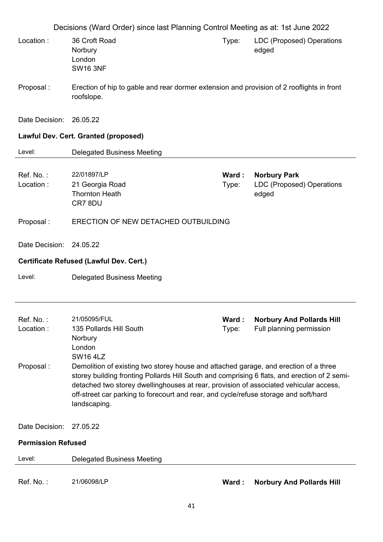|                                     | Decisions (Ward Order) since last Planning Control Meeting as at: 1st June 2022                                                                                                                                                                                                               |                |                                                              |
|-------------------------------------|-----------------------------------------------------------------------------------------------------------------------------------------------------------------------------------------------------------------------------------------------------------------------------------------------|----------------|--------------------------------------------------------------|
| Location:                           | 36 Croft Road<br>Norbury<br>London<br><b>SW16 3NF</b>                                                                                                                                                                                                                                         | Type:          | LDC (Proposed) Operations<br>edged                           |
| Proposal:                           | Erection of hip to gable and rear dormer extension and provision of 2 rooflights in front<br>roofslope.                                                                                                                                                                                       |                |                                                              |
| Date Decision:                      | 26.05.22                                                                                                                                                                                                                                                                                      |                |                                                              |
|                                     | Lawful Dev. Cert. Granted (proposed)                                                                                                                                                                                                                                                          |                |                                                              |
| Level:                              | <b>Delegated Business Meeting</b>                                                                                                                                                                                                                                                             |                |                                                              |
| Ref. No.:<br>Location:              | 22/01897/LP<br>21 Georgia Road<br><b>Thornton Heath</b><br>CR7 8DU                                                                                                                                                                                                                            | Ward:<br>Type: | <b>Norbury Park</b><br>LDC (Proposed) Operations<br>edged    |
| Proposal:                           | ERECTION OF NEW DETACHED OUTBUILDING                                                                                                                                                                                                                                                          |                |                                                              |
| Date Decision: 24.05.22             |                                                                                                                                                                                                                                                                                               |                |                                                              |
|                                     |                                                                                                                                                                                                                                                                                               |                |                                                              |
|                                     | Certificate Refused (Lawful Dev. Cert.)                                                                                                                                                                                                                                                       |                |                                                              |
| Level:                              | <b>Delegated Business Meeting</b>                                                                                                                                                                                                                                                             |                |                                                              |
| Ref. No.:<br>Location:<br>Proposal: | 21/05095/FUL<br>135 Pollards Hill South<br>Norbury<br>London<br><b>SW16 4LZ</b><br>Demolition of existing two storey house and attached garage, and erection of a three                                                                                                                       | Ward:<br>Type: | <b>Norbury And Pollards Hill</b><br>Full planning permission |
|                                     | storey building fronting Pollards Hill South and comprising 6 flats, and erection of 2 semi-<br>detached two storey dwellinghouses at rear, provision of associated vehicular access,<br>off-street car parking to forecourt and rear, and cycle/refuse storage and soft/hard<br>landscaping. |                |                                                              |
| Date Decision:                      | 27.05.22                                                                                                                                                                                                                                                                                      |                |                                                              |
| <b>Permission Refused</b>           |                                                                                                                                                                                                                                                                                               |                |                                                              |
| Level:                              | <b>Delegated Business Meeting</b>                                                                                                                                                                                                                                                             |                |                                                              |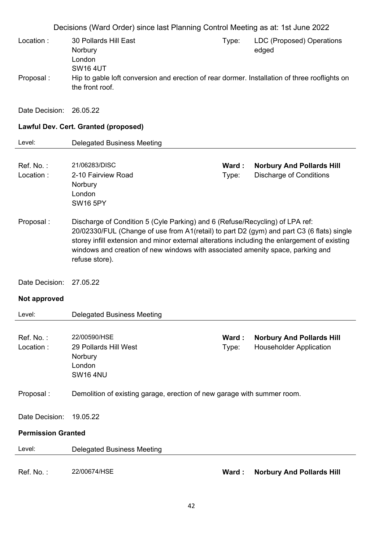| Location:                 | Decisions (Ward Order) since last Planning Control Meeting as at: 1st June 2022<br>30 Pollards Hill East<br>Norbury<br>London<br><b>SW16 4UT</b>                                                                                                                                                                                                                              | Type:          | LDC (Proposed) Operations<br>edged                                 |
|---------------------------|-------------------------------------------------------------------------------------------------------------------------------------------------------------------------------------------------------------------------------------------------------------------------------------------------------------------------------------------------------------------------------|----------------|--------------------------------------------------------------------|
| Proposal:                 | Hip to gable loft conversion and erection of rear dormer. Installation of three rooflights on<br>the front roof.                                                                                                                                                                                                                                                              |                |                                                                    |
| Date Decision: 26.05.22   |                                                                                                                                                                                                                                                                                                                                                                               |                |                                                                    |
|                           | Lawful Dev. Cert. Granted (proposed)                                                                                                                                                                                                                                                                                                                                          |                |                                                                    |
| Level:                    | <b>Delegated Business Meeting</b>                                                                                                                                                                                                                                                                                                                                             |                |                                                                    |
| Ref. No.:<br>Location:    | 21/06283/DISC<br>2-10 Fairview Road<br>Norbury<br>London<br><b>SW16 5PY</b>                                                                                                                                                                                                                                                                                                   | Ward:<br>Type: | <b>Norbury And Pollards Hill</b><br><b>Discharge of Conditions</b> |
| Proposal:                 | Discharge of Condition 5 (Cyle Parking) and 6 (Refuse/Recycling) of LPA ref:<br>20/02330/FUL (Change of use from A1(retail) to part D2 (gym) and part C3 (6 flats) single<br>storey infill extension and minor external alterations including the enlargement of existing<br>windows and creation of new windows with associated amenity space, parking and<br>refuse store). |                |                                                                    |
| Date Decision:            | 27.05.22                                                                                                                                                                                                                                                                                                                                                                      |                |                                                                    |
| Not approved              |                                                                                                                                                                                                                                                                                                                                                                               |                |                                                                    |
| Level:                    | <b>Delegated Business Meeting</b>                                                                                                                                                                                                                                                                                                                                             |                |                                                                    |
| Ref. No.:<br>Location:    | 22/00590/HSE<br>29 Pollards Hill West<br>Norbury<br>London<br><b>SW16 4NU</b>                                                                                                                                                                                                                                                                                                 | Ward:<br>Type: | <b>Norbury And Pollards Hill</b><br><b>Householder Application</b> |
| Proposal:                 | Demolition of existing garage, erection of new garage with summer room.                                                                                                                                                                                                                                                                                                       |                |                                                                    |
| Date Decision:            | 19.05.22                                                                                                                                                                                                                                                                                                                                                                      |                |                                                                    |
| <b>Permission Granted</b> |                                                                                                                                                                                                                                                                                                                                                                               |                |                                                                    |
| Level:                    | <b>Delegated Business Meeting</b>                                                                                                                                                                                                                                                                                                                                             |                |                                                                    |
| Ref. No.:                 | 22/00674/HSE                                                                                                                                                                                                                                                                                                                                                                  | Ward:          | <b>Norbury And Pollards Hill</b>                                   |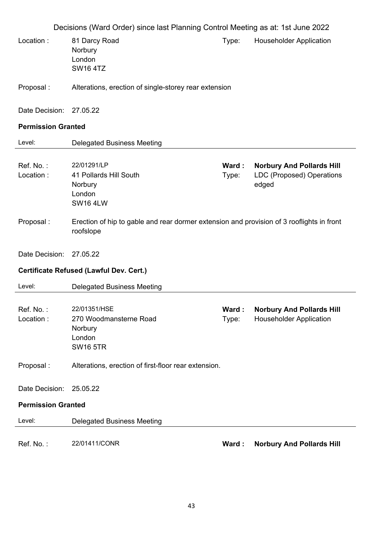|                           | Decisions (Ward Order) since last Planning Control Meeting as at: 1st June 2022                        |                 |                                                                        |  |
|---------------------------|--------------------------------------------------------------------------------------------------------|-----------------|------------------------------------------------------------------------|--|
| Location:                 | 81 Darcy Road<br>Norbury<br>London<br><b>SW164TZ</b>                                                   | Type:           | <b>Householder Application</b>                                         |  |
| Proposal:                 | Alterations, erection of single-storey rear extension                                                  |                 |                                                                        |  |
| Date Decision:            | 27.05.22                                                                                               |                 |                                                                        |  |
| <b>Permission Granted</b> |                                                                                                        |                 |                                                                        |  |
| Level:                    | <b>Delegated Business Meeting</b>                                                                      |                 |                                                                        |  |
| Ref. No.:<br>Location:    | 22/01291/LP<br>41 Pollards Hill South<br>Norbury<br>London<br><b>SW16 4LW</b>                          | Ward:<br>Type:  | <b>Norbury And Pollards Hill</b><br>LDC (Proposed) Operations<br>edged |  |
| Proposal:                 | Erection of hip to gable and rear dormer extension and provision of 3 rooflights in front<br>roofslope |                 |                                                                        |  |
| Date Decision:            | 27.05.22                                                                                               |                 |                                                                        |  |
|                           | <b>Certificate Refused (Lawful Dev. Cert.)</b>                                                         |                 |                                                                        |  |
| Level:                    | <b>Delegated Business Meeting</b>                                                                      |                 |                                                                        |  |
| Ref. No.:<br>Location:    | 22/01351/HSE<br>270 Woodmansterne Road<br>Norbury<br>London<br><b>SW16 5TR</b>                         | Ward :<br>Type: | <b>Norbury And Pollards Hill</b><br><b>Householder Application</b>     |  |
| Proposal:                 | Alterations, erection of first-floor rear extension.                                                   |                 |                                                                        |  |
| Date Decision:            | 25.05.22                                                                                               |                 |                                                                        |  |
| <b>Permission Granted</b> |                                                                                                        |                 |                                                                        |  |
|                           |                                                                                                        |                 |                                                                        |  |
| Level:                    | <b>Delegated Business Meeting</b>                                                                      |                 |                                                                        |  |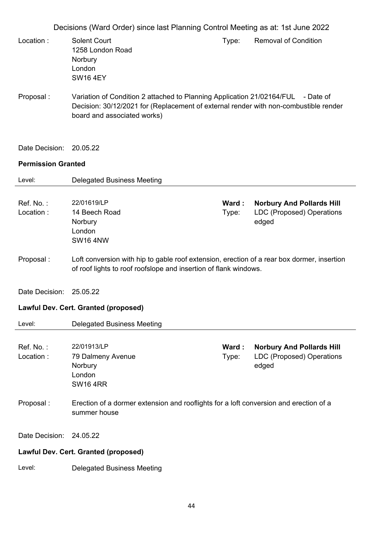- Location : Solent Court 1258 London Road Norbury London SW16 4EY Type: Removal of Condition
- Proposal : Variation of Condition 2 attached to Planning Application 21/02164/FUL Date of Decision: 30/12/2021 for (Replacement of external render with non-combustible render board and associated works)
- Date Decision: 20.05.22

| Level:                 | <b>Delegated Business Meeting</b>                                                                                                                              |                 |                                                                               |
|------------------------|----------------------------------------------------------------------------------------------------------------------------------------------------------------|-----------------|-------------------------------------------------------------------------------|
| Ref. No.:<br>Location: | 22/01619/LP<br>14 Beech Road<br>Norbury<br>London<br><b>SW16 4NW</b>                                                                                           | Ward :<br>Type: | <b>Norbury And Pollards Hill</b><br><b>LDC (Proposed) Operations</b><br>edged |
| Proposal:              | Loft conversion with hip to gable roof extension, erection of a rear box dormer, insertion<br>of roof lights to roof roofslope and insertion of flank windows. |                 |                                                                               |
| Date Decision:         | 25.05.22                                                                                                                                                       |                 |                                                                               |
|                        | Lawful Dev. Cert. Granted (proposed)                                                                                                                           |                 |                                                                               |
| Level:                 | <b>Delegated Business Meeting</b>                                                                                                                              |                 |                                                                               |
| Ref. No.:<br>Location: | 22/01913/LP<br>79 Dalmeny Avenue<br>Norbury<br>London<br><b>SW16 4RR</b>                                                                                       | Ward:<br>Type:  | <b>Norbury And Pollards Hill</b><br><b>LDC (Proposed) Operations</b><br>edged |
| Proposal:              | Erection of a dormer extension and rooflights for a loft conversion and erection of a<br>summer house                                                          |                 |                                                                               |
| Date Decision:         | 24.05.22                                                                                                                                                       |                 |                                                                               |
|                        | Lawful Dev. Cert. Granted (proposed)                                                                                                                           |                 |                                                                               |
| Level:                 | <b>Delegated Business Meeting</b>                                                                                                                              |                 |                                                                               |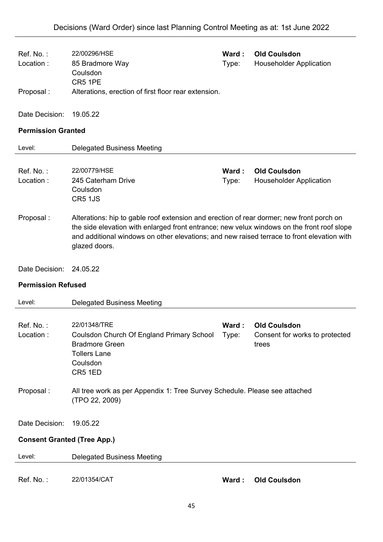| Ref. No.:<br>Location:             | 22/00296/HSE<br>85 Bradmore Way<br>Coulsdon                                                                                                                                                                                                                                                           | Ward:<br>Type: | <b>Old Coulsdon</b><br><b>Householder Application</b>          |
|------------------------------------|-------------------------------------------------------------------------------------------------------------------------------------------------------------------------------------------------------------------------------------------------------------------------------------------------------|----------------|----------------------------------------------------------------|
| Proposal:                          | CR5 1PE<br>Alterations, erection of first floor rear extension.                                                                                                                                                                                                                                       |                |                                                                |
| Date Decision:                     | 19.05.22                                                                                                                                                                                                                                                                                              |                |                                                                |
| <b>Permission Granted</b>          |                                                                                                                                                                                                                                                                                                       |                |                                                                |
| Level:                             | <b>Delegated Business Meeting</b>                                                                                                                                                                                                                                                                     |                |                                                                |
| Ref. No.:<br>Location:             | 22/00779/HSE<br>245 Caterham Drive<br>Coulsdon<br>CR5 1JS                                                                                                                                                                                                                                             | Ward:<br>Type: | <b>Old Coulsdon</b><br><b>Householder Application</b>          |
| Proposal:                          | Alterations: hip to gable roof extension and erection of rear dormer; new front porch on<br>the side elevation with enlarged front entrance; new velux windows on the front roof slope<br>and additional windows on other elevations; and new raised terrace to front elevation with<br>glazed doors. |                |                                                                |
| Date Decision:                     | 24.05.22                                                                                                                                                                                                                                                                                              |                |                                                                |
| <b>Permission Refused</b>          |                                                                                                                                                                                                                                                                                                       |                |                                                                |
| Level:                             | <b>Delegated Business Meeting</b>                                                                                                                                                                                                                                                                     |                |                                                                |
| Ref. No.:<br>Location:             | 22/01348/TRE<br>Coulsdon Church Of England Primary School Type:<br><b>Bradmore Green</b><br><b>Tollers Lane</b><br>Coulsdon<br>CR5 1ED                                                                                                                                                                | Ward:          | <b>Old Coulsdon</b><br>Consent for works to protected<br>trees |
| Proposal:                          | All tree work as per Appendix 1: Tree Survey Schedule. Please see attached<br>(TPO 22, 2009)                                                                                                                                                                                                          |                |                                                                |
| Date Decision:                     | 19.05.22                                                                                                                                                                                                                                                                                              |                |                                                                |
| <b>Consent Granted (Tree App.)</b> |                                                                                                                                                                                                                                                                                                       |                |                                                                |
| Level:                             | <b>Delegated Business Meeting</b>                                                                                                                                                                                                                                                                     |                |                                                                |
| Ref. No.:                          | 22/01354/CAT                                                                                                                                                                                                                                                                                          | Ward:          | <b>Old Coulsdon</b>                                            |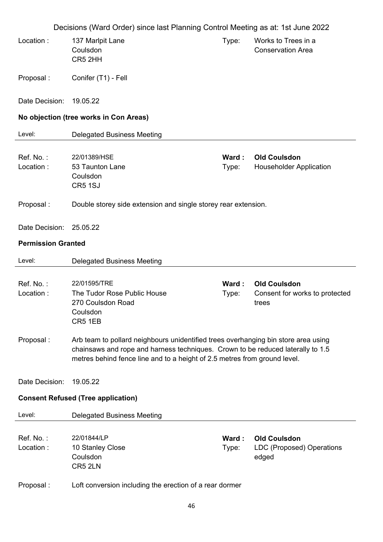|                           | Decisions (Ward Order) since last Planning Control Meeting as at: 1st June 2022                                                                                                                                                                    |                |                                                                |
|---------------------------|----------------------------------------------------------------------------------------------------------------------------------------------------------------------------------------------------------------------------------------------------|----------------|----------------------------------------------------------------|
| Location:                 | 137 Marlpit Lane<br>Coulsdon<br>CR5 2HH                                                                                                                                                                                                            | Type:          | Works to Trees in a<br><b>Conservation Area</b>                |
| Proposal:                 | Conifer (T1) - Fell                                                                                                                                                                                                                                |                |                                                                |
| Date Decision:            | 19.05.22                                                                                                                                                                                                                                           |                |                                                                |
|                           | No objection (tree works in Con Areas)                                                                                                                                                                                                             |                |                                                                |
| Level:                    | <b>Delegated Business Meeting</b>                                                                                                                                                                                                                  |                |                                                                |
| Ref. No.:<br>Location:    | 22/01389/HSE<br>53 Taunton Lane<br>Coulsdon<br>CR5 1SJ                                                                                                                                                                                             | Ward:<br>Type: | <b>Old Coulsdon</b><br><b>Householder Application</b>          |
| Proposal:                 | Double storey side extension and single storey rear extension.                                                                                                                                                                                     |                |                                                                |
| Date Decision:            | 25.05.22                                                                                                                                                                                                                                           |                |                                                                |
| <b>Permission Granted</b> |                                                                                                                                                                                                                                                    |                |                                                                |
| Level:                    | <b>Delegated Business Meeting</b>                                                                                                                                                                                                                  |                |                                                                |
| Ref. No.:<br>Location:    | 22/01595/TRE<br>The Tudor Rose Public House<br>270 Coulsdon Road<br>Coulsdon<br>CR5 1EB                                                                                                                                                            | Ward:<br>Type: | <b>Old Coulsdon</b><br>Consent for works to protected<br>trees |
| Proposal:                 | Arb team to pollard neighbours unidentified trees overhanging bin store area using<br>chainsaws and rope and harness techniques. Crown to be reduced laterally to 1.5<br>metres behind fence line and to a height of 2.5 metres from ground level. |                |                                                                |
| Date Decision:            | 19.05.22                                                                                                                                                                                                                                           |                |                                                                |
|                           | <b>Consent Refused (Tree application)</b>                                                                                                                                                                                                          |                |                                                                |
| Level:                    | <b>Delegated Business Meeting</b>                                                                                                                                                                                                                  |                |                                                                |
| Ref. No.:<br>Location:    | 22/01844/LP<br>10 Stanley Close<br>Coulsdon<br>CR5 2LN                                                                                                                                                                                             | Ward:<br>Type: | <b>Old Coulsdon</b><br>LDC (Proposed) Operations<br>edged      |
| Proposal:                 | Loft conversion including the erection of a rear dormer                                                                                                                                                                                            |                |                                                                |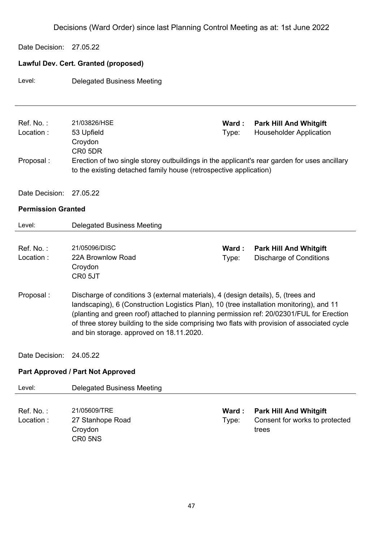Date Decision: 27.05.22

## **Lawful Dev. Cert. Granted (proposed)**

Level: Delegated Business Meeting

| Ref. No.:                 | 21/03826/HSE                                                                                 | Ward : | <b>Park Hill And Whitgift</b>  |  |
|---------------------------|----------------------------------------------------------------------------------------------|--------|--------------------------------|--|
| Location:                 | 53 Upfield                                                                                   | Type:  | <b>Householder Application</b> |  |
|                           | Croydon                                                                                      |        |                                |  |
|                           | CR <sub>0</sub> 5DR                                                                          |        |                                |  |
| Proposal :                | Erection of two single storey outbuildings in the applicant's rear garden for uses ancillary |        |                                |  |
|                           | to the existing detached family house (retrospective application)                            |        |                                |  |
|                           |                                                                                              |        |                                |  |
| Date Decision:            | 27.05.22                                                                                     |        |                                |  |
|                           |                                                                                              |        |                                |  |
| <b>Permission Granted</b> |                                                                                              |        |                                |  |
| Level:                    | Delegated Business Meeting                                                                   |        |                                |  |
|                           |                                                                                              |        |                                |  |

| Ref. No. : | 21/05096/DISC     | Ward : | <b>Park Hill And Whitgift</b> |
|------------|-------------------|--------|-------------------------------|
| Location:  | 22A Brownlow Road | Type:  | Discharge of Conditions       |
|            | Croydon           |        |                               |
|            | CRO 5JT           |        |                               |
|            |                   |        |                               |

- Proposal : Discharge of conditions 3 (external materials), 4 (design details), 5, (trees and landscaping), 6 (Construction Logistics Plan), 10 (tree installation monitoring), and 11 (planting and green roof) attached to planning permission ref: 20/02301/FUL for Erection of three storey building to the side comprising two flats with provision of associated cycle and bin storage. approved on 18.11.2020.
- Date Decision: 24.05.22

### **Part Approved / Part Not Approved**

| Level:                   | Delegated Business Meeting                                         |                 |                                                                          |
|--------------------------|--------------------------------------------------------------------|-----------------|--------------------------------------------------------------------------|
| Ref. No. :<br>Location : | 21/05609/TRE<br>27 Stanhope Road<br>Croydon<br>CR <sub>0</sub> 5NS | Ward :<br>Type: | <b>Park Hill And Whitgift</b><br>Consent for works to protected<br>trees |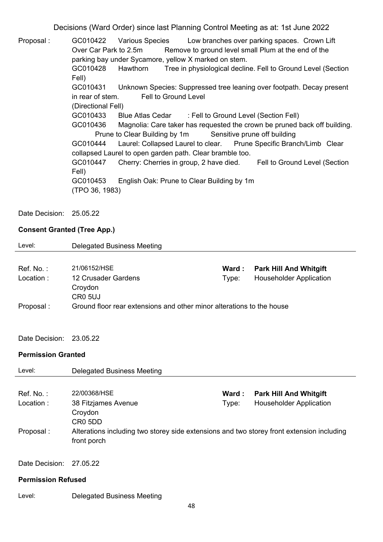Proposal : GC010422 Various Species Low branches over parking spaces. Crown Lift Over Car Park to 2.5m Remove to ground level small Plum at the end of the parking bay under Sycamore, yellow X marked on stem. GC010428 Hawthorn Tree in physiological decline. Fell to Ground Level (Section Fell) GC010431 Unknown Species: Suppressed tree leaning over footpath. Decay present in rear of stem. Fell to Ground Level (Directional Fell) GC010433 Blue Atlas Cedar : Fell to Ground Level (Section Fell) GC010436 Magnolia: Care taker has requested the crown be pruned back off building. Prune to Clear Building by 1m Sensitive prune off building GC010444 Laurel: Collapsed Laurel to clear. Prune Specific Branch/Limb Clear collapsed Laurel to open garden path. Clear bramble too. GC010447 Cherry: Cherries in group, 2 have died. Fell to Ground Level (Section Fell) GC010453 English Oak: Prune to Clear Building by 1m (TPO 36, 1983)

Date Decision: 25.05.22

## **Consent Granted (Tree App.)**

| Level:                    | <b>Delegated Business Meeting</b>                                                                        |       |                                |
|---------------------------|----------------------------------------------------------------------------------------------------------|-------|--------------------------------|
|                           |                                                                                                          |       |                                |
| Ref. No.:                 | 21/06152/HSE                                                                                             | Ward: | <b>Park Hill And Whitgift</b>  |
| Location:                 | 12 Crusader Gardens                                                                                      | Type: | <b>Householder Application</b> |
|                           | Croydon                                                                                                  |       |                                |
|                           | <b>CR0 5UJ</b>                                                                                           |       |                                |
| Proposal:                 | Ground floor rear extensions and other minor alterations to the house                                    |       |                                |
|                           |                                                                                                          |       |                                |
|                           |                                                                                                          |       |                                |
| Date Decision:            | 23.05.22                                                                                                 |       |                                |
| <b>Permission Granted</b> |                                                                                                          |       |                                |
| Level:                    | <b>Delegated Business Meeting</b>                                                                        |       |                                |
|                           |                                                                                                          |       |                                |
| Ref. No.:                 | 22/00368/HSE                                                                                             | Ward: | <b>Park Hill And Whitgift</b>  |
| Location:                 | 38 Fitzjames Avenue                                                                                      | Type: | <b>Householder Application</b> |
|                           | Croydon                                                                                                  |       |                                |
|                           | CR <sub>0</sub> 5D <sub>D</sub>                                                                          |       |                                |
| Proposal:                 | Alterations including two storey side extensions and two storey front extension including<br>front porch |       |                                |
|                           |                                                                                                          |       |                                |
| Date Decision:            | 27.05.22                                                                                                 |       |                                |
| <b>Permission Refused</b> |                                                                                                          |       |                                |
| Level:                    | <b>Delegated Business Meeting</b>                                                                        |       |                                |
|                           | 48                                                                                                       |       |                                |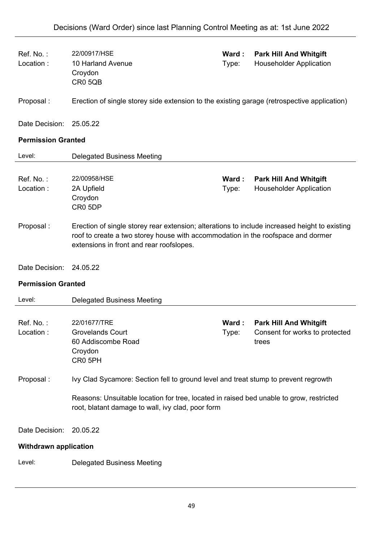| Ref. No.:<br>Location:       | 22/00917/HSE<br>10 Harland Avenue<br>Croydon<br>CR0 5QB                                                                                                                                                                       | Ward:<br>Type: | <b>Park Hill And Whitgift</b><br><b>Householder Application</b>          |  |
|------------------------------|-------------------------------------------------------------------------------------------------------------------------------------------------------------------------------------------------------------------------------|----------------|--------------------------------------------------------------------------|--|
| Proposal:                    | Erection of single storey side extension to the existing garage (retrospective application)                                                                                                                                   |                |                                                                          |  |
| Date Decision:               | 25.05.22                                                                                                                                                                                                                      |                |                                                                          |  |
| <b>Permission Granted</b>    |                                                                                                                                                                                                                               |                |                                                                          |  |
| Level:                       | <b>Delegated Business Meeting</b>                                                                                                                                                                                             |                |                                                                          |  |
| Ref. No.:<br>Location:       | 22/00958/HSE<br>2A Upfield<br>Croydon<br>CR0 5DP                                                                                                                                                                              | Ward:<br>Type: | <b>Park Hill And Whitgift</b><br><b>Householder Application</b>          |  |
| Proposal:                    | Erection of single storey rear extension; alterations to include increased height to existing<br>roof to create a two storey house with accommodation in the roofspace and dormer<br>extensions in front and rear roofslopes. |                |                                                                          |  |
| Date Decision:               | 24.05.22                                                                                                                                                                                                                      |                |                                                                          |  |
| <b>Permission Granted</b>    |                                                                                                                                                                                                                               |                |                                                                          |  |
| Level:                       | <b>Delegated Business Meeting</b>                                                                                                                                                                                             |                |                                                                          |  |
| Ref. No.:<br>Location:       | 22/01677/TRE<br><b>Grovelands Court</b><br>60 Addiscombe Road<br>Croydon<br>CR0 5PH                                                                                                                                           | Ward:<br>Type: | <b>Park Hill And Whitgift</b><br>Consent for works to protected<br>trees |  |
| Proposal:                    | Ivy Clad Sycamore: Section fell to ground level and treat stump to prevent regrowth                                                                                                                                           |                |                                                                          |  |
|                              | Reasons: Unsuitable location for tree, located in raised bed unable to grow, restricted<br>root, blatant damage to wall, ivy clad, poor form                                                                                  |                |                                                                          |  |
| Date Decision:               | 20.05.22                                                                                                                                                                                                                      |                |                                                                          |  |
| <b>Withdrawn application</b> |                                                                                                                                                                                                                               |                |                                                                          |  |
|                              |                                                                                                                                                                                                                               |                |                                                                          |  |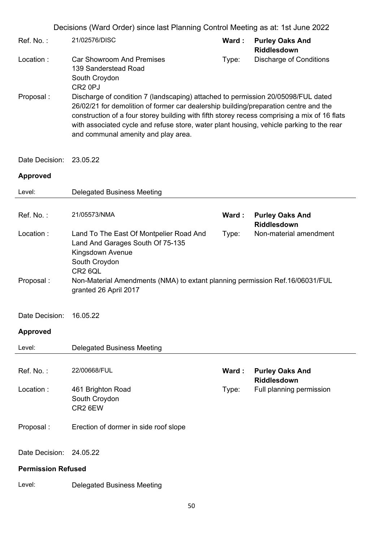| Ref. No.:  | 21/02576/DISC                                                                                                                                                                                                                                                                                                                                                                                               | Ward: | <b>Purley Oaks And</b><br><b>Riddlesdown</b> |  |  |
|------------|-------------------------------------------------------------------------------------------------------------------------------------------------------------------------------------------------------------------------------------------------------------------------------------------------------------------------------------------------------------------------------------------------------------|-------|----------------------------------------------|--|--|
| Location : | <b>Car Showroom And Premises</b><br>139 Sanderstead Road                                                                                                                                                                                                                                                                                                                                                    | Type: | Discharge of Conditions                      |  |  |
|            | South Croydon<br>CR <sub>2</sub> 0PJ                                                                                                                                                                                                                                                                                                                                                                        |       |                                              |  |  |
| Proposal : | Discharge of condition 7 (landscaping) attached to permission 20/05098/FUL dated<br>26/02/21 for demolition of former car dealership building/preparation centre and the<br>construction of a four storey building with fifth storey recess comprising a mix of 16 flats<br>with associated cycle and refuse store, water plant housing, vehicle parking to the rear<br>and communal amenity and play area. |       |                                              |  |  |

# Date Decision: 23.05.22

| Level:                    | <b>Delegated Business Meeting</b>                                                                                                                              |       |                                       |  |  |
|---------------------------|----------------------------------------------------------------------------------------------------------------------------------------------------------------|-------|---------------------------------------|--|--|
| Ref. No.:                 | 21/05573/NMA                                                                                                                                                   | Ward: | <b>Purley Oaks And</b>                |  |  |
|                           |                                                                                                                                                                |       | <b>Riddlesdown</b>                    |  |  |
| Location:                 | Land To The East Of Montpelier Road And<br>Non-material amendment<br>Type:<br>Land And Garages South Of 75-135<br>Kingsdown Avenue<br>South Croydon<br>CR2 6QL |       |                                       |  |  |
| Proposal:                 | Non-Material Amendments (NMA) to extant planning permission Ref.16/06031/FUL<br>granted 26 April 2017                                                          |       |                                       |  |  |
| Date Decision:            | 16.05.22                                                                                                                                                       |       |                                       |  |  |
| <b>Approved</b>           |                                                                                                                                                                |       |                                       |  |  |
| Level:                    | <b>Delegated Business Meeting</b>                                                                                                                              |       |                                       |  |  |
|                           |                                                                                                                                                                |       |                                       |  |  |
| Ref. No.:                 | 22/00668/FUL                                                                                                                                                   | Ward: | <b>Purley Oaks And</b><br>Riddlesdown |  |  |
| Location:                 | 461 Brighton Road<br>South Croydon<br>CR2 6EW                                                                                                                  | Type: | Full planning permission              |  |  |
| Proposal:                 | Erection of dormer in side roof slope                                                                                                                          |       |                                       |  |  |
| Date Decision:            | 24.05.22                                                                                                                                                       |       |                                       |  |  |
| <b>Permission Refused</b> |                                                                                                                                                                |       |                                       |  |  |
| Level:                    | <b>Delegated Business Meeting</b>                                                                                                                              |       |                                       |  |  |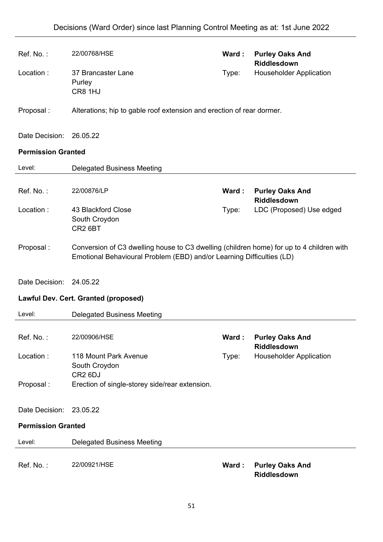| Ref. No.:                 | 22/00768/HSE                                                                                                                                                      | Ward: | <b>Purley Oaks And</b><br><b>Riddlesdown</b> |  |  |  |  |  |
|---------------------------|-------------------------------------------------------------------------------------------------------------------------------------------------------------------|-------|----------------------------------------------|--|--|--|--|--|
| Location:                 | 37 Brancaster Lane<br>Type:<br>Purley<br>CR8 1HJ                                                                                                                  |       | <b>Householder Application</b>               |  |  |  |  |  |
| Proposal:                 | Alterations; hip to gable roof extension and erection of rear dormer.                                                                                             |       |                                              |  |  |  |  |  |
| Date Decision: 26.05.22   |                                                                                                                                                                   |       |                                              |  |  |  |  |  |
| <b>Permission Granted</b> |                                                                                                                                                                   |       |                                              |  |  |  |  |  |
| Level:                    | <b>Delegated Business Meeting</b>                                                                                                                                 |       |                                              |  |  |  |  |  |
| Ref. No.:                 | 22/00876/LP                                                                                                                                                       | Ward: | <b>Purley Oaks And</b><br>Riddlesdown        |  |  |  |  |  |
| Location:                 | 43 Blackford Close<br>South Croydon<br>CR <sub>2</sub> 6BT                                                                                                        | Type: | LDC (Proposed) Use edged                     |  |  |  |  |  |
| Proposal:                 | Conversion of C3 dwelling house to C3 dwelling (children home) for up to 4 children with<br>Emotional Behavioural Problem (EBD) and/or Learning Difficulties (LD) |       |                                              |  |  |  |  |  |
| Date Decision: 24.05.22   |                                                                                                                                                                   |       |                                              |  |  |  |  |  |
|                           | Lawful Dev. Cert. Granted (proposed)                                                                                                                              |       |                                              |  |  |  |  |  |
| Level:                    | <b>Delegated Business Meeting</b>                                                                                                                                 |       |                                              |  |  |  |  |  |
| Ref. No.:                 | 22/00906/HSE                                                                                                                                                      | Ward: | <b>Purley Oaks And</b><br>Riddlesdown        |  |  |  |  |  |
| Location:                 | 118 Mount Park Avenue<br>South Croydon<br>CR <sub>2</sub> 6DJ                                                                                                     | Type: | <b>Householder Application</b>               |  |  |  |  |  |
| Proposal:                 | Erection of single-storey side/rear extension.                                                                                                                    |       |                                              |  |  |  |  |  |
| Date Decision:            | 23.05.22                                                                                                                                                          |       |                                              |  |  |  |  |  |
| <b>Permission Granted</b> |                                                                                                                                                                   |       |                                              |  |  |  |  |  |
| Level:                    | <b>Delegated Business Meeting</b>                                                                                                                                 |       |                                              |  |  |  |  |  |
| Ref. No.:                 | 22/00921/HSE                                                                                                                                                      | Ward: | <b>Purley Oaks And</b><br>Riddlesdown        |  |  |  |  |  |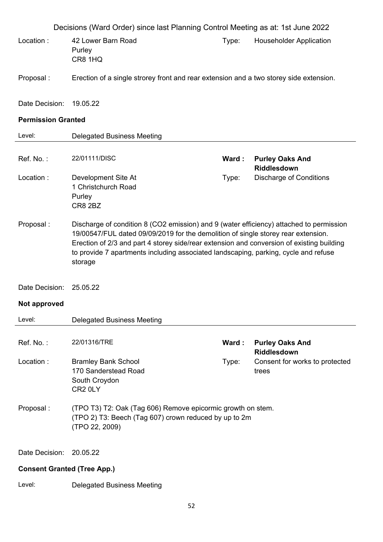|                                    | Decisions (Ward Order) since last Planning Control Meeting as at: 1st June 2022                                                                                                                                                                                                                                                                                             |       |                                              |  |  |  |
|------------------------------------|-----------------------------------------------------------------------------------------------------------------------------------------------------------------------------------------------------------------------------------------------------------------------------------------------------------------------------------------------------------------------------|-------|----------------------------------------------|--|--|--|
| Location:                          | 42 Lower Barn Road<br>Purley<br>CR8 1HQ                                                                                                                                                                                                                                                                                                                                     | Type: | <b>Householder Application</b>               |  |  |  |
| Proposal:                          | Erection of a single strorey front and rear extension and a two storey side extension.                                                                                                                                                                                                                                                                                      |       |                                              |  |  |  |
| Date Decision:                     | 19.05.22                                                                                                                                                                                                                                                                                                                                                                    |       |                                              |  |  |  |
| <b>Permission Granted</b>          |                                                                                                                                                                                                                                                                                                                                                                             |       |                                              |  |  |  |
| Level:                             | <b>Delegated Business Meeting</b>                                                                                                                                                                                                                                                                                                                                           |       |                                              |  |  |  |
| Ref. No.:                          | 22/01111/DISC                                                                                                                                                                                                                                                                                                                                                               | Ward: | <b>Purley Oaks And</b><br><b>Riddlesdown</b> |  |  |  |
| Location:                          | Development Site At<br>1 Christchurch Road<br>Purley<br><b>CR8 2BZ</b>                                                                                                                                                                                                                                                                                                      | Type: | <b>Discharge of Conditions</b>               |  |  |  |
| Proposal:                          | Discharge of condition 8 (CO2 emission) and 9 (water efficiency) attached to permission<br>19/00547/FUL dated 09/09/2019 for the demolition of single storey rear extension.<br>Erection of 2/3 and part 4 storey side/rear extension and conversion of existing building<br>to provide 7 apartments including associated landscaping, parking, cycle and refuse<br>storage |       |                                              |  |  |  |
| Date Decision:                     | 25.05.22                                                                                                                                                                                                                                                                                                                                                                    |       |                                              |  |  |  |
| Not approved                       |                                                                                                                                                                                                                                                                                                                                                                             |       |                                              |  |  |  |
| Level:                             | <b>Delegated Business Meeting</b>                                                                                                                                                                                                                                                                                                                                           |       |                                              |  |  |  |
| Ref. No.:                          | 22/01316/TRE                                                                                                                                                                                                                                                                                                                                                                | Ward: | <b>Purley Oaks And</b><br><b>Riddlesdown</b> |  |  |  |
| Location:                          | <b>Bramley Bank School</b><br>170 Sanderstead Road<br>South Croydon<br>CR <sub>2</sub> 0LY                                                                                                                                                                                                                                                                                  | Type: | Consent for works to protected<br>trees      |  |  |  |
| Proposal:                          | (TPO T3) T2: Oak (Tag 606) Remove epicormic growth on stem.<br>(TPO 2) T3: Beech (Tag 607) crown reduced by up to 2m<br>(TPO 22, 2009)                                                                                                                                                                                                                                      |       |                                              |  |  |  |
| Date Decision:                     | 20.05.22                                                                                                                                                                                                                                                                                                                                                                    |       |                                              |  |  |  |
| <b>Consent Granted (Tree App.)</b> |                                                                                                                                                                                                                                                                                                                                                                             |       |                                              |  |  |  |
| Level:                             | <b>Delegated Business Meeting</b>                                                                                                                                                                                                                                                                                                                                           |       |                                              |  |  |  |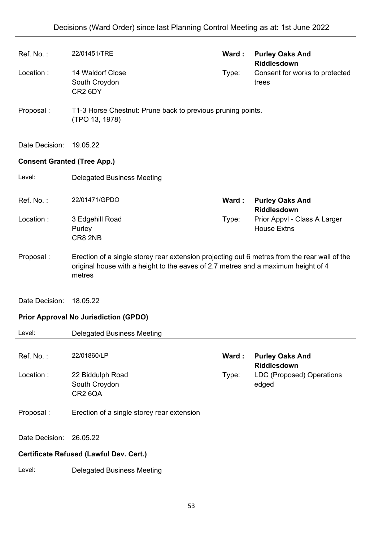| Ref. No.:      | 22/01451/TRE                                                                                                                                                                                | Ward:                                                       | <b>Purley Oaks And</b><br><b>Riddlesdown</b>       |  |  |  |  |
|----------------|---------------------------------------------------------------------------------------------------------------------------------------------------------------------------------------------|-------------------------------------------------------------|----------------------------------------------------|--|--|--|--|
| Location:      | 14 Waldorf Close<br>South Croydon<br>CR <sub>2</sub> 6DY                                                                                                                                    | Type:                                                       | Consent for works to protected<br>trees            |  |  |  |  |
| Proposal:      | (TPO 13, 1978)                                                                                                                                                                              | T1-3 Horse Chestnut: Prune back to previous pruning points. |                                                    |  |  |  |  |
| Date Decision: | 19.05.22                                                                                                                                                                                    |                                                             |                                                    |  |  |  |  |
|                | <b>Consent Granted (Tree App.)</b>                                                                                                                                                          |                                                             |                                                    |  |  |  |  |
| Level:         | <b>Delegated Business Meeting</b>                                                                                                                                                           |                                                             |                                                    |  |  |  |  |
| Ref. No.:      | 22/01471/GPDO                                                                                                                                                                               | Ward:                                                       | <b>Purley Oaks And</b><br>Riddlesdown              |  |  |  |  |
| Location:      | 3 Edgehill Road<br>Purley<br>CR8 2NB                                                                                                                                                        | Type:                                                       | Prior Appvl - Class A Larger<br><b>House Extns</b> |  |  |  |  |
| Proposal:      | Erection of a single storey rear extension projecting out 6 metres from the rear wall of the<br>original house with a height to the eaves of 2.7 metres and a maximum height of 4<br>metres |                                                             |                                                    |  |  |  |  |
| Date Decision: | 18.05.22                                                                                                                                                                                    |                                                             |                                                    |  |  |  |  |
|                | <b>Prior Approval No Jurisdiction (GPDO)</b>                                                                                                                                                |                                                             |                                                    |  |  |  |  |
| Level:         | <b>Delegated Business Meeting</b>                                                                                                                                                           |                                                             |                                                    |  |  |  |  |
| Ref. No.:      | 22/01860/LP                                                                                                                                                                                 | Ward:                                                       | <b>Purley Oaks And</b><br>Riddlesdown              |  |  |  |  |
| Location:      | 22 Biddulph Road<br>South Croydon<br>CR2 6QA                                                                                                                                                | Type:                                                       | <b>LDC (Proposed) Operations</b><br>edged          |  |  |  |  |
| Proposal:      | Erection of a single storey rear extension                                                                                                                                                  |                                                             |                                                    |  |  |  |  |
| Date Decision: | 26.05.22                                                                                                                                                                                    |                                                             |                                                    |  |  |  |  |
|                | <b>Certificate Refused (Lawful Dev. Cert.)</b>                                                                                                                                              |                                                             |                                                    |  |  |  |  |
| Level:         | <b>Delegated Business Meeting</b>                                                                                                                                                           |                                                             |                                                    |  |  |  |  |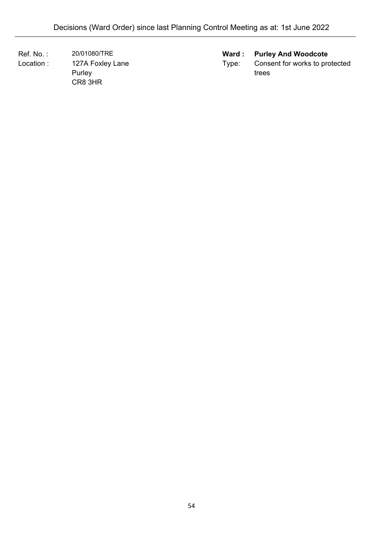Location : 127A Foxley Lane Purley CR8 3HR

# Ref. No. : 20/01080/TRE **Ward : Purley And Woodcote**

Type: Consent for works to protected trees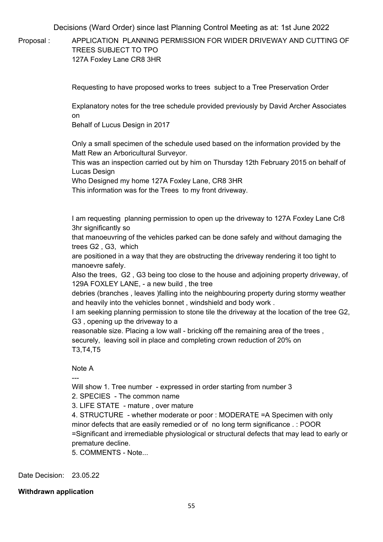Proposal : APPLICATION PLANNING PERMISSION FOR WIDER DRIVEWAY AND CUTTING OF TREES SUBJECT TO TPO 127A Foxley Lane CR8 3HR

Requesting to have proposed works to trees subject to a Tree Preservation Order

Explanatory notes for the tree schedule provided previously by David Archer Associates on

Behalf of Lucus Design in 2017

Only a small specimen of the schedule used based on the information provided by the Matt Rew an Arboricultural Surveyor.

This was an inspection carried out by him on Thursday 12th February 2015 on behalf of Lucas Design

Who Designed my home 127A Foxley Lane, CR8 3HR

This information was for the Trees to my front driveway.

I am requesting planning permission to open up the driveway to 127A Foxley Lane Cr8 3hr significantly so

that manoeuvring of the vehicles parked can be done safely and without damaging the trees G2 , G3, which

are positioned in a way that they are obstructing the driveway rendering it too tight to manoevre safely.

Also the trees, G2 , G3 being too close to the house and adjoining property driveway, of 129A FOXLEY LANE, - a new build , the tree

debries (branches , leaves )falling into the neighbouring property during stormy weather and heavily into the vehicles bonnet , windshield and body work .

I am seeking planning permission to stone tile the driveway at the location of the tree G2, G3 , opening up the driveway to a

reasonable size. Placing a low wall - bricking off the remaining area of the trees , securely, leaving soil in place and completing crown reduction of 20% on T3,T4,T5

Note A

---

Will show 1. Tree number - expressed in order starting from number 3

2. SPECIES - The common name

3. LIFE STATE - mature , over mature

4. STRUCTURE - whether moderate or poor : MODERATE =A Specimen with only minor defects that are easily remedied or of no long term significance . : POOR =Significant and irremediable physiological or structural defects that may lead to early or premature decline.

5. COMMENTS - Note...

Date Decision: 23.05.22

**Withdrawn application**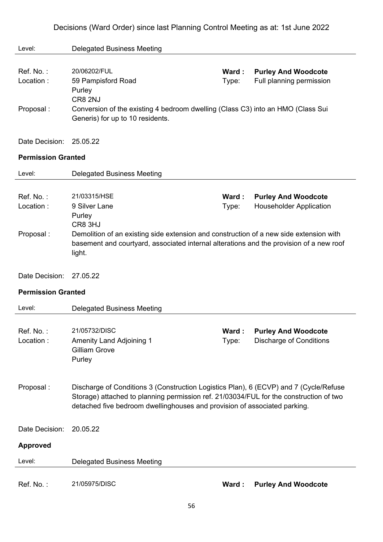| Level:                    | <b>Delegated Business Meeting</b>                                                                                                                                                                                                                            |                |                                                              |
|---------------------------|--------------------------------------------------------------------------------------------------------------------------------------------------------------------------------------------------------------------------------------------------------------|----------------|--------------------------------------------------------------|
| Ref. No.:<br>Location:    | 20/06202/FUL<br>59 Pampisford Road<br>Purley                                                                                                                                                                                                                 | Ward:<br>Type: | <b>Purley And Woodcote</b><br>Full planning permission       |
| Proposal:                 | CR8 2NJ<br>Conversion of the existing 4 bedroom dwelling (Class C3) into an HMO (Class Sui<br>Generis) for up to 10 residents.                                                                                                                               |                |                                                              |
| Date Decision:            | 25.05.22                                                                                                                                                                                                                                                     |                |                                                              |
| <b>Permission Granted</b> |                                                                                                                                                                                                                                                              |                |                                                              |
| Level:                    | <b>Delegated Business Meeting</b>                                                                                                                                                                                                                            |                |                                                              |
| Ref. No.:<br>Location:    | 21/03315/HSE<br>9 Silver Lane<br>Purley<br>CR8 3HJ                                                                                                                                                                                                           | Ward:<br>Type: | <b>Purley And Woodcote</b><br><b>Householder Application</b> |
| Proposal:                 | Demolition of an existing side extension and construction of a new side extension with<br>basement and courtyard, associated internal alterations and the provision of a new roof<br>light.                                                                  |                |                                                              |
| Date Decision:            | 27.05.22                                                                                                                                                                                                                                                     |                |                                                              |
| <b>Permission Granted</b> |                                                                                                                                                                                                                                                              |                |                                                              |
| Level:                    | <b>Delegated Business Meeting</b>                                                                                                                                                                                                                            |                |                                                              |
| Ref. No. :<br>Location:   | 21/05732/DISC<br><b>Amenity Land Adjoining 1</b><br><b>Gilliam Grove</b><br>Purley                                                                                                                                                                           | Ward:<br>Type: | <b>Purley And Woodcote</b><br><b>Discharge of Conditions</b> |
| Proposal:                 | Discharge of Conditions 3 (Construction Logistics Plan), 6 (ECVP) and 7 (Cycle/Refuse<br>Storage) attached to planning permission ref. 21/03034/FUL for the construction of two<br>detached five bedroom dwellinghouses and provision of associated parking. |                |                                                              |
| Date Decision:            | 20.05.22                                                                                                                                                                                                                                                     |                |                                                              |
| <b>Approved</b>           |                                                                                                                                                                                                                                                              |                |                                                              |
| Level:                    | <b>Delegated Business Meeting</b>                                                                                                                                                                                                                            |                |                                                              |
| Ref. No.:                 | 21/05975/DISC                                                                                                                                                                                                                                                | Ward :         | <b>Purley And Woodcote</b>                                   |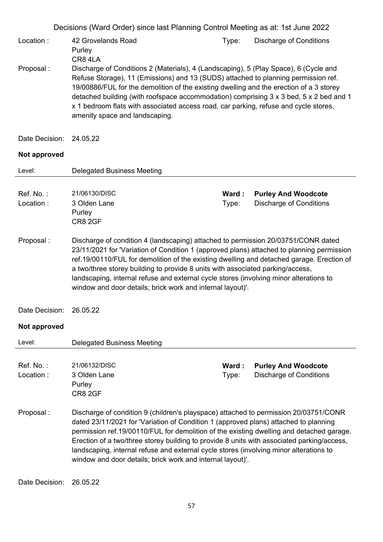|                         | Decisions (Ward Order) since last Planning Control Meeting as at: 1st June 2022                                                                                                                                                                                                                                                                                                                                                                                                                                                |                |                                                              |  |  |  |
|-------------------------|--------------------------------------------------------------------------------------------------------------------------------------------------------------------------------------------------------------------------------------------------------------------------------------------------------------------------------------------------------------------------------------------------------------------------------------------------------------------------------------------------------------------------------|----------------|--------------------------------------------------------------|--|--|--|
| Location:               | 42 Grovelands Road<br>Purley<br>CR84LA                                                                                                                                                                                                                                                                                                                                                                                                                                                                                         | Type:          | <b>Discharge of Conditions</b>                               |  |  |  |
| Proposal:               | Discharge of Conditions 2 (Materials), 4 (Landscaping), 5 (Play Space), 6 (Cycle and<br>Refuse Storage), 11 (Emissions) and 13 (SUDS) attached to planning permission ref.<br>19/00886/FUL for the demolition of the existing dwelling and the erection of a 3 storey<br>detached building (with roofspace accommodation) comprising 3 x 3 bed, 5 x 2 bed and 1<br>x 1 bedroom flats with associated access road, car parking, refuse and cycle stores,<br>amenity space and landscaping.                                      |                |                                                              |  |  |  |
| Date Decision:          | 24.05.22                                                                                                                                                                                                                                                                                                                                                                                                                                                                                                                       |                |                                                              |  |  |  |
| Not approved            |                                                                                                                                                                                                                                                                                                                                                                                                                                                                                                                                |                |                                                              |  |  |  |
| Level:                  | <b>Delegated Business Meeting</b>                                                                                                                                                                                                                                                                                                                                                                                                                                                                                              |                |                                                              |  |  |  |
| Ref. No.:<br>Location:  | 21/06130/DISC<br>3 Olden Lane<br>Purley<br>CR8 2GF                                                                                                                                                                                                                                                                                                                                                                                                                                                                             | Ward:<br>Type: | <b>Purley And Woodcote</b><br><b>Discharge of Conditions</b> |  |  |  |
| Proposal:               | Discharge of condition 4 (landscaping) attached to permission 20/03751/CONR dated<br>23/11/2021 for 'Variation of Condition 1 (approved plans) attached to planning permission<br>ref.19/00110/FUL for demolition of the existing dwelling and detached garage. Erection of<br>a two/three storey building to provide 8 units with associated parking/access,<br>landscaping, internal refuse and external cycle stores (involving minor alterations to<br>window and door details; brick work and internal layout)'.          |                |                                                              |  |  |  |
| Date Decision: 26.05.22 |                                                                                                                                                                                                                                                                                                                                                                                                                                                                                                                                |                |                                                              |  |  |  |
| Not approved            |                                                                                                                                                                                                                                                                                                                                                                                                                                                                                                                                |                |                                                              |  |  |  |
| Level:                  | <b>Delegated Business Meeting</b>                                                                                                                                                                                                                                                                                                                                                                                                                                                                                              |                |                                                              |  |  |  |
| Ref. No.:<br>Location:  | 21/06132/DISC<br>3 Olden Lane<br>Purley<br>CR8 2GF                                                                                                                                                                                                                                                                                                                                                                                                                                                                             | Ward:<br>Type: | <b>Purley And Woodcote</b><br><b>Discharge of Conditions</b> |  |  |  |
| Proposal:               | Discharge of condition 9 (children's playspace) attached to permission 20/03751/CONR<br>dated 23/11/2021 for 'Variation of Condition 1 (approved plans) attached to planning<br>permission ref.19/00110/FUL for demolition of the existing dwelling and detached garage.<br>Erection of a two/three storey building to provide 8 units with associated parking/access,<br>landscaping, internal refuse and external cycle stores (involving minor alterations to<br>window and door details; brick work and internal layout)'. |                |                                                              |  |  |  |

Date Decision: 26.05.22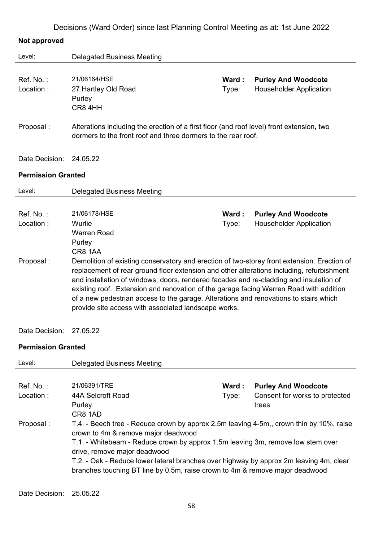|  |  | Decisions (Ward Order) since last Planning Control Meeting as at: 1st June 2022 |
|--|--|---------------------------------------------------------------------------------|
|  |  |                                                                                 |

# **Not approved**

| Level:                              | <b>Delegated Business Meeting</b>                                                                                                                                                                                                                                                                                                                                                                                                                                                                                             |                |                                                                       |  |
|-------------------------------------|-------------------------------------------------------------------------------------------------------------------------------------------------------------------------------------------------------------------------------------------------------------------------------------------------------------------------------------------------------------------------------------------------------------------------------------------------------------------------------------------------------------------------------|----------------|-----------------------------------------------------------------------|--|
| Ref. No.:<br>Location:              | 21/06164/HSE<br>27 Hartley Old Road<br>Purley<br>CR84HH                                                                                                                                                                                                                                                                                                                                                                                                                                                                       | Ward:<br>Type: | <b>Purley And Woodcote</b><br><b>Householder Application</b>          |  |
| Proposal:                           | Alterations including the erection of a first floor (and roof level) front extension, two<br>dormers to the front roof and three dormers to the rear roof.                                                                                                                                                                                                                                                                                                                                                                    |                |                                                                       |  |
| Date Decision:                      | 24.05.22                                                                                                                                                                                                                                                                                                                                                                                                                                                                                                                      |                |                                                                       |  |
| <b>Permission Granted</b>           |                                                                                                                                                                                                                                                                                                                                                                                                                                                                                                                               |                |                                                                       |  |
| Level:                              | <b>Delegated Business Meeting</b>                                                                                                                                                                                                                                                                                                                                                                                                                                                                                             |                |                                                                       |  |
| Ref. No.:<br>Location:              | 21/06178/HSE<br>Wurlie<br><b>Warren Road</b><br>Purley<br>CR8 1AA                                                                                                                                                                                                                                                                                                                                                                                                                                                             | Ward:<br>Type: | <b>Purley And Woodcote</b><br><b>Householder Application</b>          |  |
| Proposal:                           | Demolition of existing conservatory and erection of two-storey front extension. Erection of<br>replacement of rear ground floor extension and other alterations including, refurbishment<br>and installation of windows, doors, rendered facades and re-cladding and insulation of<br>existing roof. Extension and renovation of the garage facing Warren Road with addition<br>of a new pedestrian access to the garage. Alterations and renovations to stairs which<br>provide site access with associated landscape works. |                |                                                                       |  |
| Date Decision:                      | 27.05.22                                                                                                                                                                                                                                                                                                                                                                                                                                                                                                                      |                |                                                                       |  |
| <b>Permission Granted</b>           |                                                                                                                                                                                                                                                                                                                                                                                                                                                                                                                               |                |                                                                       |  |
| Level:                              | <b>Delegated Business Meeting</b>                                                                                                                                                                                                                                                                                                                                                                                                                                                                                             |                |                                                                       |  |
| Ref. No.:<br>Location:<br>Proposal: | 21/06391/TRE<br>44A Selcroft Road<br>Purley<br>CR8 1AD<br>T.4. - Beech tree - Reduce crown by approx 2.5m leaving 4-5m,, crown thin by 10%, raise<br>crown to 4m & remove major deadwood<br>T.1. - Whitebeam - Reduce crown by approx 1.5m leaving 3m, remove low stem over<br>drive, remove major deadwood<br>T.2. - Oak - Reduce lower lateral branches over highway by approx 2m leaving 4m, clear<br>branches touching BT line by 0.5m, raise crown to 4m & remove major deadwood                                         | Ward:<br>Type: | <b>Purley And Woodcote</b><br>Consent for works to protected<br>trees |  |
|                                     |                                                                                                                                                                                                                                                                                                                                                                                                                                                                                                                               |                |                                                                       |  |

Date Decision: 25.05.22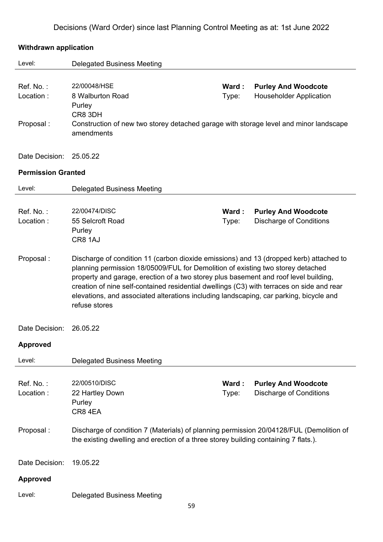| <b>Withdrawn application</b> |                                                                                                                                                                                                                                                                                                                                                                                                                                                                           |                |                                                              |  |  |
|------------------------------|---------------------------------------------------------------------------------------------------------------------------------------------------------------------------------------------------------------------------------------------------------------------------------------------------------------------------------------------------------------------------------------------------------------------------------------------------------------------------|----------------|--------------------------------------------------------------|--|--|
| Level:                       | <b>Delegated Business Meeting</b>                                                                                                                                                                                                                                                                                                                                                                                                                                         |                |                                                              |  |  |
| Ref. No.:<br>Location:       | 22/00048/HSE<br>8 Walburton Road<br>Purley<br>CR8 3DH                                                                                                                                                                                                                                                                                                                                                                                                                     | Ward:<br>Type: | <b>Purley And Woodcote</b><br><b>Householder Application</b> |  |  |
| Proposal:                    | Construction of new two storey detached garage with storage level and minor landscape<br>amendments                                                                                                                                                                                                                                                                                                                                                                       |                |                                                              |  |  |
| Date Decision:               | 25.05.22                                                                                                                                                                                                                                                                                                                                                                                                                                                                  |                |                                                              |  |  |
| <b>Permission Granted</b>    |                                                                                                                                                                                                                                                                                                                                                                                                                                                                           |                |                                                              |  |  |
| Level:                       | <b>Delegated Business Meeting</b>                                                                                                                                                                                                                                                                                                                                                                                                                                         |                |                                                              |  |  |
| Ref. No.:<br>Location:       | 22/00474/DISC<br>55 Selcroft Road<br>Purley<br>CR8 1AJ                                                                                                                                                                                                                                                                                                                                                                                                                    | Ward:<br>Type: | <b>Purley And Woodcote</b><br><b>Discharge of Conditions</b> |  |  |
| Proposal:                    | Discharge of condition 11 (carbon dioxide emissions) and 13 (dropped kerb) attached to<br>planning permission 18/05009/FUL for Demolition of existing two storey detached<br>property and garage, erection of a two storey plus basement and roof level building,<br>creation of nine self-contained residential dwellings (C3) with terraces on side and rear<br>elevations, and associated alterations including landscaping, car parking, bicycle and<br>refuse stores |                |                                                              |  |  |
| Date Decision:               | 26.05.22                                                                                                                                                                                                                                                                                                                                                                                                                                                                  |                |                                                              |  |  |
| <b>Approved</b>              |                                                                                                                                                                                                                                                                                                                                                                                                                                                                           |                |                                                              |  |  |
| Level:                       | <b>Delegated Business Meeting</b>                                                                                                                                                                                                                                                                                                                                                                                                                                         |                |                                                              |  |  |
| Ref. No.:<br>Location:       | 22/00510/DISC<br>22 Hartley Down<br>Purley<br>CR84EA                                                                                                                                                                                                                                                                                                                                                                                                                      | Ward:<br>Type: | <b>Purley And Woodcote</b><br><b>Discharge of Conditions</b> |  |  |
| Proposal:                    | Discharge of condition 7 (Materials) of planning permission 20/04128/FUL (Demolition of<br>the existing dwelling and erection of a three storey building containing 7 flats.).                                                                                                                                                                                                                                                                                            |                |                                                              |  |  |
| Date Decision:               | 19.05.22                                                                                                                                                                                                                                                                                                                                                                                                                                                                  |                |                                                              |  |  |
| <b>Approved</b>              |                                                                                                                                                                                                                                                                                                                                                                                                                                                                           |                |                                                              |  |  |
| Level:                       | <b>Delegated Business Meeting</b>                                                                                                                                                                                                                                                                                                                                                                                                                                         |                |                                                              |  |  |

#### 59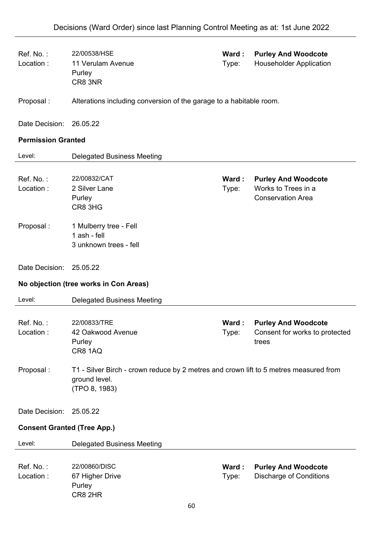| Ref. No.:<br>Location:             | 22/00538/HSE<br>11 Verulam Avenue<br>Purley<br>CR8 3NR                                                                  | Ward:<br>Type: | <b>Purley And Woodcote</b><br><b>Householder Application</b>                  |  |
|------------------------------------|-------------------------------------------------------------------------------------------------------------------------|----------------|-------------------------------------------------------------------------------|--|
| Proposal:                          | Alterations including conversion of the garage to a habitable room.                                                     |                |                                                                               |  |
| Date Decision:                     | 26.05.22                                                                                                                |                |                                                                               |  |
| <b>Permission Granted</b>          |                                                                                                                         |                |                                                                               |  |
| Level:                             | <b>Delegated Business Meeting</b>                                                                                       |                |                                                                               |  |
| Ref. No.:<br>Location:             | 22/00832/CAT<br>2 Silver Lane<br>Purley<br>CR8 3HG                                                                      | Ward:<br>Type: | <b>Purley And Woodcote</b><br>Works to Trees in a<br><b>Conservation Area</b> |  |
| Proposal:                          | 1 Mulberry tree - Fell<br>1 ash - fell<br>3 unknown trees - fell                                                        |                |                                                                               |  |
| Date Decision:                     | 25.05.22                                                                                                                |                |                                                                               |  |
|                                    | No objection (tree works in Con Areas)                                                                                  |                |                                                                               |  |
| Level:                             | <b>Delegated Business Meeting</b>                                                                                       |                |                                                                               |  |
| Ref. No.:<br>Location:             | 22/00833/TRE<br>42 Oakwood Avenue<br>Purley<br><b>CR8 1AQ</b>                                                           | Ward:<br>Type: | <b>Purley And Woodcote</b><br>Consent for works to protected<br>trees         |  |
| Proposal:                          | T1 - Silver Birch - crown reduce by 2 metres and crown lift to 5 metres measured from<br>ground level.<br>(TPO 8, 1983) |                |                                                                               |  |
| Date Decision:                     | 25.05.22                                                                                                                |                |                                                                               |  |
| <b>Consent Granted (Tree App.)</b> |                                                                                                                         |                |                                                                               |  |
| Level:                             | <b>Delegated Business Meeting</b>                                                                                       |                |                                                                               |  |
| Ref. No.:<br>Location:             | 22/00860/DISC<br>67 Higher Drive<br>Purley<br>CR8 2HR                                                                   | Ward:<br>Type: | <b>Purley And Woodcote</b><br><b>Discharge of Conditions</b>                  |  |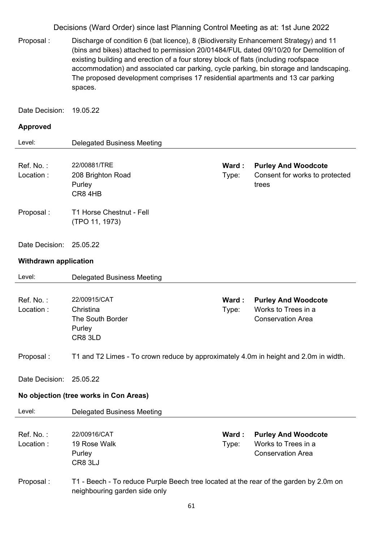Proposal : Discharge of condition 6 (bat licence), 8 (Biodiversity Enhancement Strategy) and 11 (bins and bikes) attached to permission 20/01484/FUL dated 09/10/20 for Demolition of existing building and erection of a four storey block of flats (including roofspace accommodation) and associated car parking, cycle parking, bin storage and landscaping. The proposed development comprises 17 residential apartments and 13 car parking spaces.

Date Decision: 19.05.22

| Level:                       | <b>Delegated Business Meeting</b>                                                                                      |                 |                                                                               |
|------------------------------|------------------------------------------------------------------------------------------------------------------------|-----------------|-------------------------------------------------------------------------------|
| Ref. No.:<br>Location:       | 22/00881/TRE<br>208 Brighton Road<br>Purley<br>CR84HB                                                                  | Ward :<br>Type: | <b>Purley And Woodcote</b><br>Consent for works to protected<br>trees         |
| Proposal:                    | T1 Horse Chestnut - Fell<br>(TPO 11, 1973)                                                                             |                 |                                                                               |
| Date Decision:               | 25.05.22                                                                                                               |                 |                                                                               |
| <b>Withdrawn application</b> |                                                                                                                        |                 |                                                                               |
| Level:                       | <b>Delegated Business Meeting</b>                                                                                      |                 |                                                                               |
| Ref. No.:<br>Location:       | 22/00915/CAT<br>Christina<br>The South Border<br>Purley<br>CR8 3LD                                                     | Ward :<br>Type: | <b>Purley And Woodcote</b><br>Works to Trees in a<br><b>Conservation Area</b> |
| Proposal :                   | T1 and T2 Limes - To crown reduce by approximately 4.0m in height and 2.0m in width.                                   |                 |                                                                               |
| Date Decision:               | 25.05.22                                                                                                               |                 |                                                                               |
|                              | No objection (tree works in Con Areas)                                                                                 |                 |                                                                               |
| Level:                       | <b>Delegated Business Meeting</b>                                                                                      |                 |                                                                               |
| Ref. No.:<br>Location:       | 22/00916/CAT<br>19 Rose Walk<br>Purley<br>CR8 3LJ                                                                      | Ward:<br>Type:  | <b>Purley And Woodcote</b><br>Works to Trees in a<br><b>Conservation Area</b> |
| Proposal:                    | T1 - Beech - To reduce Purple Beech tree located at the rear of the garden by 2.0m on<br>neighbouring garden side only |                 |                                                                               |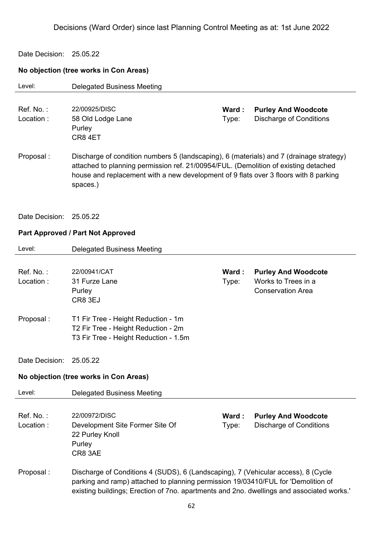#### Date Decision: 25.05.22

# **No objection (tree works in Con Areas)**

| Level:                 | <b>Delegated Business Meeting</b>                                                                                                                                                                                                                                                  |                |                                                                               |  |  |
|------------------------|------------------------------------------------------------------------------------------------------------------------------------------------------------------------------------------------------------------------------------------------------------------------------------|----------------|-------------------------------------------------------------------------------|--|--|
| Ref. No.:<br>Location: | 22/00925/DISC<br>58 Old Lodge Lane<br>Purley<br>CR84ET                                                                                                                                                                                                                             | Ward:<br>Type: | <b>Purley And Woodcote</b><br><b>Discharge of Conditions</b>                  |  |  |
| Proposal:              | Discharge of condition numbers 5 (landscaping), 6 (materials) and 7 (drainage strategy)<br>attached to planning permission ref. 21/00954/FUL. (Demolition of existing detached<br>house and replacement with a new development of 9 flats over 3 floors with 8 parking<br>spaces.) |                |                                                                               |  |  |
| Date Decision:         | 25.05.22                                                                                                                                                                                                                                                                           |                |                                                                               |  |  |
|                        | Part Approved / Part Not Approved                                                                                                                                                                                                                                                  |                |                                                                               |  |  |
| Level:                 | <b>Delegated Business Meeting</b>                                                                                                                                                                                                                                                  |                |                                                                               |  |  |
| Ref. No.:<br>Location: | 22/00941/CAT<br>31 Furze Lane<br>Purley<br>CR8 3EJ                                                                                                                                                                                                                                 | Ward:<br>Type: | <b>Purley And Woodcote</b><br>Works to Trees in a<br><b>Conservation Area</b> |  |  |
| Proposal:              | T1 Fir Tree - Height Reduction - 1m<br>T2 Fir Tree - Height Reduction - 2m<br>T3 Fir Tree - Height Reduction - 1.5m                                                                                                                                                                |                |                                                                               |  |  |
| Date Decision:         | 25.05.22                                                                                                                                                                                                                                                                           |                |                                                                               |  |  |
|                        | No objection (tree works in Con Areas)                                                                                                                                                                                                                                             |                |                                                                               |  |  |
| Level:                 | <b>Delegated Business Meeting</b>                                                                                                                                                                                                                                                  |                |                                                                               |  |  |
| Ref. No.:<br>Location: | 22/00972/DISC<br>Development Site Former Site Of<br>22 Purley Knoll<br>Purley<br>CR8 3AE                                                                                                                                                                                           | Ward:<br>Type: | <b>Purley And Woodcote</b><br><b>Discharge of Conditions</b>                  |  |  |
| Proposal:              | Discharge of Conditions 4 (SUDS), 6 (Landscaping), 7 (Vehicular access), 8 (Cycle<br>parking and ramp) attached to planning permission 19/03410/FUL for 'Demolition of<br>existing buildings; Erection of 7no. apartments and 2no. dwellings and associated works.'                |                |                                                                               |  |  |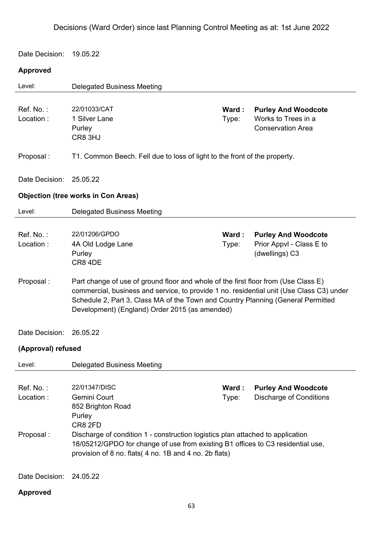Date Decision: 19.05.22

# **Approved**

| Level:                              | <b>Delegated Business Meeting</b>                                                                                                                                                                                                                                                                                    |                |                                                                               |  |  |
|-------------------------------------|----------------------------------------------------------------------------------------------------------------------------------------------------------------------------------------------------------------------------------------------------------------------------------------------------------------------|----------------|-------------------------------------------------------------------------------|--|--|
| Ref. No.:<br>Location:              | 22/01033/CAT<br>1 Silver Lane<br>Purley<br>CR8 3HJ                                                                                                                                                                                                                                                                   | Ward:<br>Type: | <b>Purley And Woodcote</b><br>Works to Trees in a<br><b>Conservation Area</b> |  |  |
| Proposal:                           | T1. Common Beech. Fell due to loss of light to the front of the property.                                                                                                                                                                                                                                            |                |                                                                               |  |  |
| Date Decision:                      | 25.05.22                                                                                                                                                                                                                                                                                                             |                |                                                                               |  |  |
|                                     | <b>Objection (tree works in Con Areas)</b>                                                                                                                                                                                                                                                                           |                |                                                                               |  |  |
| Level:                              | <b>Delegated Business Meeting</b>                                                                                                                                                                                                                                                                                    |                |                                                                               |  |  |
| Ref. No.:<br>Location:              | 22/01206/GPDO<br>4A Old Lodge Lane<br>Purley<br>CR8 4DE                                                                                                                                                                                                                                                              | Ward:<br>Type: | <b>Purley And Woodcote</b><br>Prior Appvl - Class E to<br>(dwellings) C3      |  |  |
| Proposal:                           | Part change of use of ground floor and whole of the first floor from (Use Class E)<br>commercial, business and service, to provide 1 no. residential unit (Use Class C3) under<br>Schedule 2, Part 3, Class MA of the Town and Country Planning (General Permitted<br>Development) (England) Order 2015 (as amended) |                |                                                                               |  |  |
| Date Decision:                      | 26.05.22                                                                                                                                                                                                                                                                                                             |                |                                                                               |  |  |
| (Approval) refused                  |                                                                                                                                                                                                                                                                                                                      |                |                                                                               |  |  |
| Level:                              | <b>Delegated Business Meeting</b>                                                                                                                                                                                                                                                                                    |                |                                                                               |  |  |
| Ref. No.:<br>Location:<br>Proposal: | 22/01347/DISC<br>Gemini Court<br>852 Brighton Road<br>Purley<br>CR8 2FD<br>Discharge of condition 1 - construction logistics plan attached to application<br>18/05212/GPDO for change of use from existing B1 offices to C3 residential use,<br>provision of 8 no. flats( 4 no. 1B and 4 no. 2b flats)               | Ward:<br>Type: | <b>Purley And Woodcote</b><br><b>Discharge of Conditions</b>                  |  |  |
| Date Decision:                      | 24.05.22                                                                                                                                                                                                                                                                                                             |                |                                                                               |  |  |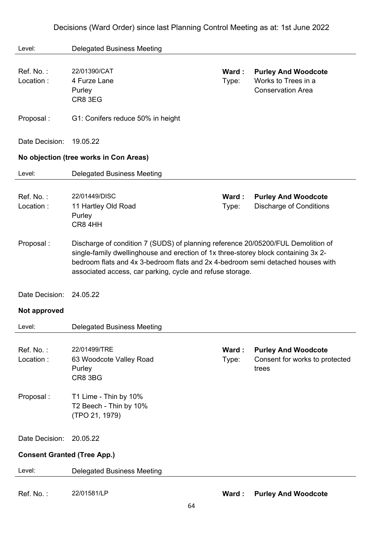| Level:                             | <b>Delegated Business Meeting</b>                                                                                                                                                                                                                                                                                      |                |                                                                               |
|------------------------------------|------------------------------------------------------------------------------------------------------------------------------------------------------------------------------------------------------------------------------------------------------------------------------------------------------------------------|----------------|-------------------------------------------------------------------------------|
| Ref. No.:<br>Location:             | 22/01390/CAT<br>4 Furze Lane<br>Purley<br>CR8 3EG                                                                                                                                                                                                                                                                      | Ward:<br>Type: | <b>Purley And Woodcote</b><br>Works to Trees in a<br><b>Conservation Area</b> |
| Proposal:                          | G1: Conifers reduce 50% in height                                                                                                                                                                                                                                                                                      |                |                                                                               |
| Date Decision:                     | 19.05.22                                                                                                                                                                                                                                                                                                               |                |                                                                               |
|                                    | No objection (tree works in Con Areas)                                                                                                                                                                                                                                                                                 |                |                                                                               |
| Level:                             | <b>Delegated Business Meeting</b>                                                                                                                                                                                                                                                                                      |                |                                                                               |
| Ref. No.:<br>Location:             | 22/01449/DISC<br>11 Hartley Old Road<br>Purley<br>CR8 4HH                                                                                                                                                                                                                                                              | Ward:<br>Type: | <b>Purley And Woodcote</b><br><b>Discharge of Conditions</b>                  |
| Proposal:                          | Discharge of condition 7 (SUDS) of planning reference 20/05200/FUL Demolition of<br>single-family dwellinghouse and erection of 1x three-storey block containing 3x 2-<br>bedroom flats and 4x 3-bedroom flats and 2x 4-bedroom semi detached houses with<br>associated access, car parking, cycle and refuse storage. |                |                                                                               |
| Date Decision:                     | 24.05.22                                                                                                                                                                                                                                                                                                               |                |                                                                               |
| Not approved                       |                                                                                                                                                                                                                                                                                                                        |                |                                                                               |
| Level:                             | <b>Delegated Business Meeting</b>                                                                                                                                                                                                                                                                                      |                |                                                                               |
| Ref. No.:<br>Location:             | 22/01499/TRE<br>63 Woodcote Valley Road<br>Purley<br>CR8 3BG                                                                                                                                                                                                                                                           | Ward:<br>Type: | <b>Purley And Woodcote</b><br>Consent for works to protected<br>trees         |
| Proposal:                          | T1 Lime - Thin by 10%<br>T2 Beech - Thin by 10%<br>(TPO 21, 1979)                                                                                                                                                                                                                                                      |                |                                                                               |
| Date Decision:                     | 20.05.22                                                                                                                                                                                                                                                                                                               |                |                                                                               |
| <b>Consent Granted (Tree App.)</b> |                                                                                                                                                                                                                                                                                                                        |                |                                                                               |
| Level:                             | <b>Delegated Business Meeting</b>                                                                                                                                                                                                                                                                                      |                |                                                                               |
| Ref. No.:                          | 22/01581/LP                                                                                                                                                                                                                                                                                                            | Ward:          | <b>Purley And Woodcote</b>                                                    |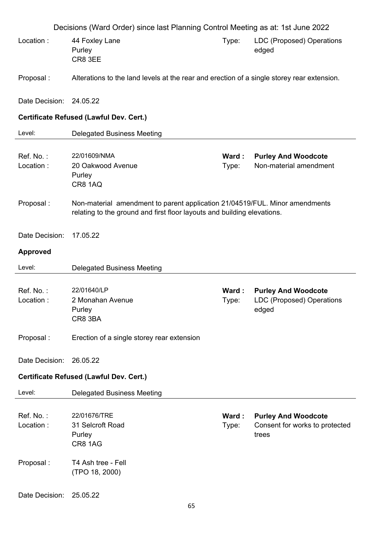| Decisions (Ward Order) since last Planning Control Meeting as at: 1st June 2022 |                                                                                                                                                        |                |                                                                         |  |
|---------------------------------------------------------------------------------|--------------------------------------------------------------------------------------------------------------------------------------------------------|----------------|-------------------------------------------------------------------------|--|
| Location:                                                                       | 44 Foxley Lane<br>Purley<br>CR8 3EE                                                                                                                    | Type:          | LDC (Proposed) Operations<br>edged                                      |  |
| Proposal:                                                                       | Alterations to the land levels at the rear and erection of a single storey rear extension.                                                             |                |                                                                         |  |
| Date Decision: 24.05.22                                                         |                                                                                                                                                        |                |                                                                         |  |
|                                                                                 | Certificate Refused (Lawful Dev. Cert.)                                                                                                                |                |                                                                         |  |
| Level:                                                                          | <b>Delegated Business Meeting</b>                                                                                                                      |                |                                                                         |  |
| Ref. No.:<br>Location:                                                          | 22/01609/NMA<br>20 Oakwood Avenue<br>Purley<br><b>CR8 1AQ</b>                                                                                          | Ward:<br>Type: | <b>Purley And Woodcote</b><br>Non-material amendment                    |  |
| Proposal:                                                                       | Non-material amendment to parent application 21/04519/FUL. Minor amendments<br>relating to the ground and first floor layouts and building elevations. |                |                                                                         |  |
| Date Decision:                                                                  | 17.05.22                                                                                                                                               |                |                                                                         |  |
| <b>Approved</b>                                                                 |                                                                                                                                                        |                |                                                                         |  |
| Level:                                                                          | <b>Delegated Business Meeting</b>                                                                                                                      |                |                                                                         |  |
| Ref. No.:<br>Location:                                                          | 22/01640/LP<br>2 Monahan Avenue<br>Purley<br>CR8 3BA                                                                                                   | Ward:<br>Type: | <b>Purley And Woodcote</b><br><b>LDC (Proposed) Operations</b><br>edged |  |
| Proposal:                                                                       | Erection of a single storey rear extension                                                                                                             |                |                                                                         |  |
| Date Decision:                                                                  | 26.05.22                                                                                                                                               |                |                                                                         |  |
|                                                                                 | Certificate Refused (Lawful Dev. Cert.)                                                                                                                |                |                                                                         |  |
| Level:                                                                          | <b>Delegated Business Meeting</b>                                                                                                                      |                |                                                                         |  |
| Ref. No.:<br>Location:                                                          | 22/01676/TRE<br>31 Selcroft Road<br>Purley<br>CR8 1AG                                                                                                  | Ward:<br>Type: | <b>Purley And Woodcote</b><br>Consent for works to protected<br>trees   |  |
| Proposal:                                                                       | T4 Ash tree - Fell<br>(TPO 18, 2000)                                                                                                                   |                |                                                                         |  |
| Date Decision:                                                                  | 25.05.22<br>65                                                                                                                                         |                |                                                                         |  |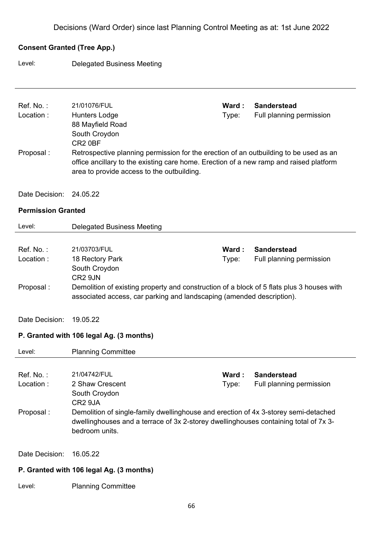## **Consent Granted (Tree App.)**

Level: Delegated Business Meeting

| Ref. No.:<br>Location:<br>Proposal:      | 21/01076/FUL<br><b>Hunters Lodge</b><br>88 Mayfield Road<br>South Croydon<br>CR <sub>2</sub> 0BF<br>Retrospective planning permission for the erection of an outbuilding to be used as an<br>office ancillary to the existing care home. Erection of a new ramp and raised platform<br>area to provide access to the outbuilding. | Ward:<br>Type: | <b>Sanderstead</b><br>Full planning permission |
|------------------------------------------|-----------------------------------------------------------------------------------------------------------------------------------------------------------------------------------------------------------------------------------------------------------------------------------------------------------------------------------|----------------|------------------------------------------------|
| Date Decision:                           | 24.05.22                                                                                                                                                                                                                                                                                                                          |                |                                                |
| <b>Permission Granted</b>                |                                                                                                                                                                                                                                                                                                                                   |                |                                                |
| Level:                                   | <b>Delegated Business Meeting</b>                                                                                                                                                                                                                                                                                                 |                |                                                |
| Ref. No.:<br>Location:<br>Proposal:      | 21/03703/FUL<br>18 Rectory Park<br>South Croydon<br>CR <sub>2</sub> 9JN<br>Demolition of existing property and construction of a block of 5 flats plus 3 houses with<br>associated access, car parking and landscaping (amended description).                                                                                     | Ward:<br>Type: | <b>Sanderstead</b><br>Full planning permission |
| Date Decision:                           | 19.05.22<br>P. Granted with 106 legal Ag. (3 months)                                                                                                                                                                                                                                                                              |                |                                                |
| Level:                                   | <b>Planning Committee</b>                                                                                                                                                                                                                                                                                                         |                |                                                |
| Ref. No.:<br>Location :<br>Proposal:     | 21/04742/FUL<br>2 Shaw Crescent<br>South Croydon<br>CR <sub>2</sub> 9JA<br>Demolition of single-family dwellinghouse and erection of 4x 3-storey semi-detached<br>dwellinghouses and a terrace of 3x 2-storey dwellinghouses containing total of 7x 3-<br>bedroom units.                                                          | Ward:<br>Type: | <b>Sanderstead</b><br>Full planning permission |
| Date Decision:                           | 16.05.22                                                                                                                                                                                                                                                                                                                          |                |                                                |
| P. Granted with 106 legal Ag. (3 months) |                                                                                                                                                                                                                                                                                                                                   |                |                                                |
| Level:                                   | <b>Planning Committee</b>                                                                                                                                                                                                                                                                                                         |                |                                                |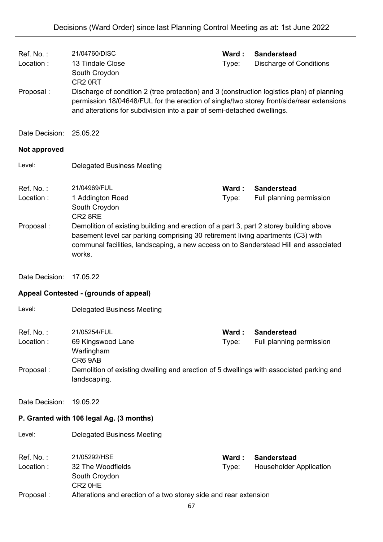| Ref. No.:<br>Location:<br>Proposal: | 21/04760/DISC<br>13 Tindale Close<br>South Croydon<br>CR <sub>2</sub> 0RT<br>Discharge of condition 2 (tree protection) and 3 (construction logistics plan) of planning<br>permission 18/04648/FUL for the erection of single/two storey front/side/rear extensions<br>and alterations for subdivision into a pair of semi-detached dwellings. | Ward:<br>Type: | <b>Sanderstead</b><br><b>Discharge of Conditions</b> |
|-------------------------------------|------------------------------------------------------------------------------------------------------------------------------------------------------------------------------------------------------------------------------------------------------------------------------------------------------------------------------------------------|----------------|------------------------------------------------------|
| Date Decision:                      | 25.05.22                                                                                                                                                                                                                                                                                                                                       |                |                                                      |
| Not approved                        |                                                                                                                                                                                                                                                                                                                                                |                |                                                      |
| Level:                              | <b>Delegated Business Meeting</b>                                                                                                                                                                                                                                                                                                              |                |                                                      |
| Ref. No.:<br>Location:<br>Proposal: | 21/04969/FUL<br>1 Addington Road<br>South Croydon<br>CR2 8RE<br>Demolition of existing building and erection of a part 3, part 2 storey building above<br>basement level car parking comprising 30 retirement living apartments (C3) with<br>communal facilities, landscaping, a new access on to Sanderstead Hill and associated<br>works.    | Ward:<br>Type: | <b>Sanderstead</b><br>Full planning permission       |
| Date Decision:                      | 17.05.22                                                                                                                                                                                                                                                                                                                                       |                |                                                      |
|                                     | Appeal Contested - (grounds of appeal)                                                                                                                                                                                                                                                                                                         |                |                                                      |
| Level:                              | <b>Delegated Business Meeting</b>                                                                                                                                                                                                                                                                                                              |                |                                                      |
| Ref. No.:<br>Location:<br>Proposal: | 21/05254/FUL<br>69 Kingswood Lane<br>Warlingham<br>CR6 9AB<br>Demolition of existing dwelling and erection of 5 dwellings with associated parking and<br>landscaping.                                                                                                                                                                          | Ward:<br>Type: | <b>Sanderstead</b><br>Full planning permission       |
| Date Decision:                      | 19.05.22                                                                                                                                                                                                                                                                                                                                       |                |                                                      |
|                                     | P. Granted with 106 legal Ag. (3 months)                                                                                                                                                                                                                                                                                                       |                |                                                      |
| Level:                              | <b>Delegated Business Meeting</b>                                                                                                                                                                                                                                                                                                              |                |                                                      |
| Ref. No.:<br>Location:<br>Proposal: | 21/05292/HSE<br>32 The Woodfields<br>South Croydon<br>CR <sub>2</sub> OHE<br>Alterations and erection of a two storey side and rear extension                                                                                                                                                                                                  | Ward:<br>Type: | <b>Sanderstead</b><br><b>Householder Application</b> |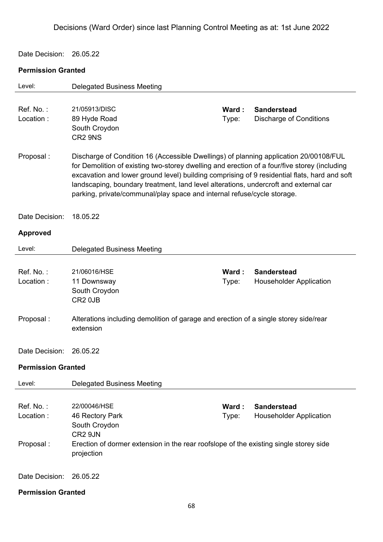Date Decision: 26.05.22

| Level:                               | <b>Delegated Business Meeting</b>                                                                                                                                                                                                                                                                                                                                                                                                                        |                |                                                      |  |
|--------------------------------------|----------------------------------------------------------------------------------------------------------------------------------------------------------------------------------------------------------------------------------------------------------------------------------------------------------------------------------------------------------------------------------------------------------------------------------------------------------|----------------|------------------------------------------------------|--|
| Ref. No.:<br>Location:               | 21/05913/DISC<br>89 Hyde Road<br>South Croydon<br>CR2 9NS                                                                                                                                                                                                                                                                                                                                                                                                | Ward:<br>Type: | <b>Sanderstead</b><br><b>Discharge of Conditions</b> |  |
| Proposal:                            | Discharge of Condition 16 (Accessible Dwellings) of planning application 20/00108/FUL<br>for Demolition of existing two-storey dwelling and erection of a four/five storey (including<br>excavation and lower ground level) building comprising of 9 residential flats, hard and soft<br>landscaping, boundary treatment, land level alterations, undercroft and external car<br>parking, private/communal/play space and internal refuse/cycle storage. |                |                                                      |  |
| Date Decision:                       | 18.05.22                                                                                                                                                                                                                                                                                                                                                                                                                                                 |                |                                                      |  |
| <b>Approved</b>                      |                                                                                                                                                                                                                                                                                                                                                                                                                                                          |                |                                                      |  |
| Level:                               | <b>Delegated Business Meeting</b>                                                                                                                                                                                                                                                                                                                                                                                                                        |                |                                                      |  |
| Ref. No.:<br>Location:               | 21/06016/HSE<br>11 Downsway<br>South Croydon<br>CR <sub>2</sub> 0JB                                                                                                                                                                                                                                                                                                                                                                                      | Ward:<br>Type: | <b>Sanderstead</b><br><b>Householder Application</b> |  |
| Proposal:                            | Alterations including demolition of garage and erection of a single storey side/rear<br>extension                                                                                                                                                                                                                                                                                                                                                        |                |                                                      |  |
| Date Decision:                       | 26.05.22                                                                                                                                                                                                                                                                                                                                                                                                                                                 |                |                                                      |  |
| <b>Permission Granted</b>            |                                                                                                                                                                                                                                                                                                                                                                                                                                                          |                |                                                      |  |
| Level:                               | <b>Delegated Business Meeting</b>                                                                                                                                                                                                                                                                                                                                                                                                                        |                |                                                      |  |
| Ref. No.:<br>Location:<br>Proposal : | 22/00046/HSE<br>46 Rectory Park<br>South Croydon<br>CR2 9JN<br>Erection of dormer extension in the rear roofslope of the existing single storey side<br>projection                                                                                                                                                                                                                                                                                       | Ward:<br>Type: | <b>Sanderstead</b><br><b>Householder Application</b> |  |
| Date Decision:                       | 26.05.22                                                                                                                                                                                                                                                                                                                                                                                                                                                 |                |                                                      |  |
| <b>Permission Granted</b>            |                                                                                                                                                                                                                                                                                                                                                                                                                                                          |                |                                                      |  |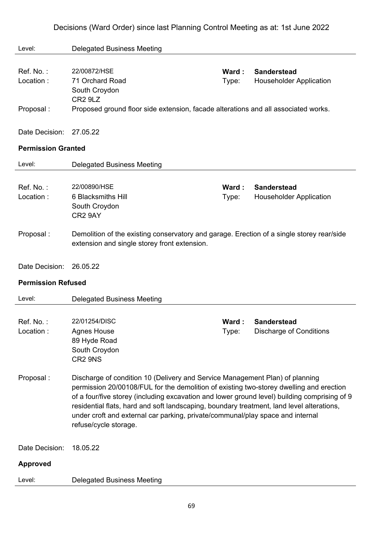| Level:                    | <b>Delegated Business Meeting</b>                                                                                                                                                                                                                                                                                                                                                                                                                                               |                |                                                      |  |  |
|---------------------------|---------------------------------------------------------------------------------------------------------------------------------------------------------------------------------------------------------------------------------------------------------------------------------------------------------------------------------------------------------------------------------------------------------------------------------------------------------------------------------|----------------|------------------------------------------------------|--|--|
| Ref. No.:<br>Location:    | 22/00872/HSE<br>71 Orchard Road<br>South Croydon                                                                                                                                                                                                                                                                                                                                                                                                                                | Ward:<br>Type: | <b>Sanderstead</b><br><b>Householder Application</b> |  |  |
| Proposal:                 | CR <sub>2</sub> 9L <sub>Z</sub><br>Proposed ground floor side extension, facade alterations and all associated works.                                                                                                                                                                                                                                                                                                                                                           |                |                                                      |  |  |
| Date Decision:            | 27.05.22                                                                                                                                                                                                                                                                                                                                                                                                                                                                        |                |                                                      |  |  |
| <b>Permission Granted</b> |                                                                                                                                                                                                                                                                                                                                                                                                                                                                                 |                |                                                      |  |  |
| Level:                    | <b>Delegated Business Meeting</b>                                                                                                                                                                                                                                                                                                                                                                                                                                               |                |                                                      |  |  |
| Ref. No.:<br>Location:    | 22/00890/HSE<br>6 Blacksmiths Hill<br>South Croydon<br>CR <sub>2</sub> 9AY                                                                                                                                                                                                                                                                                                                                                                                                      | Ward:<br>Type: | <b>Sanderstead</b><br><b>Householder Application</b> |  |  |
| Proposal:                 | Demolition of the existing conservatory and garage. Erection of a single storey rear/side<br>extension and single storey front extension.                                                                                                                                                                                                                                                                                                                                       |                |                                                      |  |  |
| Date Decision:            | 26.05.22                                                                                                                                                                                                                                                                                                                                                                                                                                                                        |                |                                                      |  |  |
| <b>Permission Refused</b> |                                                                                                                                                                                                                                                                                                                                                                                                                                                                                 |                |                                                      |  |  |
| Level:                    | <b>Delegated Business Meeting</b>                                                                                                                                                                                                                                                                                                                                                                                                                                               |                |                                                      |  |  |
| Ref. No.:<br>Location:    | 22/01254/DISC<br><b>Agnes House</b><br>89 Hyde Road<br>South Croydon<br>CR2 9NS                                                                                                                                                                                                                                                                                                                                                                                                 | Ward:<br>Type: | <b>Sanderstead</b><br><b>Discharge of Conditions</b> |  |  |
| Proposal:                 | Discharge of condition 10 (Delivery and Service Management Plan) of planning<br>permission 20/00108/FUL for the demolition of existing two-storey dwelling and erection<br>of a four/five storey (including excavation and lower ground level) building comprising of 9<br>residential flats, hard and soft landscaping, boundary treatment, land level alterations,<br>under croft and external car parking, private/communal/play space and internal<br>refuse/cycle storage. |                |                                                      |  |  |
| Date Decision:            | 18.05.22                                                                                                                                                                                                                                                                                                                                                                                                                                                                        |                |                                                      |  |  |
| <b>Approved</b>           |                                                                                                                                                                                                                                                                                                                                                                                                                                                                                 |                |                                                      |  |  |
| Level:                    | <b>Delegated Business Meeting</b>                                                                                                                                                                                                                                                                                                                                                                                                                                               |                |                                                      |  |  |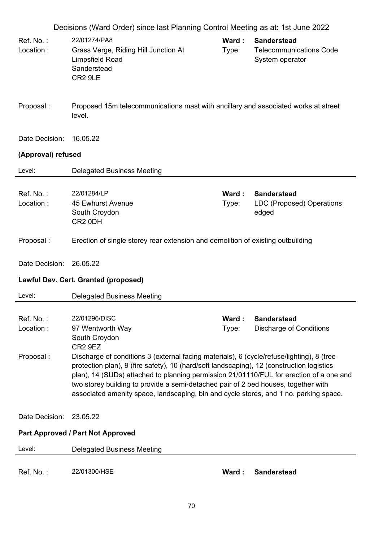| Decisions (Ward Order) since last Planning Control Meeting as at: 1st June 2022 |                                                                                                                                                                                                                                                                                                                                                                                                                                                                                                                                                                                                                         |                 |                                                                         |  |  |
|---------------------------------------------------------------------------------|-------------------------------------------------------------------------------------------------------------------------------------------------------------------------------------------------------------------------------------------------------------------------------------------------------------------------------------------------------------------------------------------------------------------------------------------------------------------------------------------------------------------------------------------------------------------------------------------------------------------------|-----------------|-------------------------------------------------------------------------|--|--|
| Ref. No.:<br>Location:                                                          | 22/01274/PA8<br>Grass Verge, Riding Hill Junction At<br>Limpsfield Road<br>Sanderstead<br>CR <sub>2</sub> 9LE                                                                                                                                                                                                                                                                                                                                                                                                                                                                                                           | Ward:<br>Type:  | <b>Sanderstead</b><br><b>Telecommunications Code</b><br>System operator |  |  |
| Proposal:                                                                       | Proposed 15m telecommunications mast with ancillary and associated works at street<br>level.                                                                                                                                                                                                                                                                                                                                                                                                                                                                                                                            |                 |                                                                         |  |  |
| Date Decision:                                                                  | 16.05.22                                                                                                                                                                                                                                                                                                                                                                                                                                                                                                                                                                                                                |                 |                                                                         |  |  |
| (Approval) refused                                                              |                                                                                                                                                                                                                                                                                                                                                                                                                                                                                                                                                                                                                         |                 |                                                                         |  |  |
| Level:                                                                          | <b>Delegated Business Meeting</b>                                                                                                                                                                                                                                                                                                                                                                                                                                                                                                                                                                                       |                 |                                                                         |  |  |
| Ref. No.:<br>Location:                                                          | 22/01284/LP<br>45 Ewhurst Avenue<br>South Croydon<br>CR <sub>2</sub> 0DH                                                                                                                                                                                                                                                                                                                                                                                                                                                                                                                                                | Ward :<br>Type: | <b>Sanderstead</b><br>LDC (Proposed) Operations<br>edged                |  |  |
| Proposal:                                                                       | Erection of single storey rear extension and demolition of existing outbuilding                                                                                                                                                                                                                                                                                                                                                                                                                                                                                                                                         |                 |                                                                         |  |  |
| Date Decision:                                                                  | 26.05.22                                                                                                                                                                                                                                                                                                                                                                                                                                                                                                                                                                                                                |                 |                                                                         |  |  |
| Lawful Dev. Cert. Granted (proposed)                                            |                                                                                                                                                                                                                                                                                                                                                                                                                                                                                                                                                                                                                         |                 |                                                                         |  |  |
| Level:                                                                          | <b>Delegated Business Meeting</b>                                                                                                                                                                                                                                                                                                                                                                                                                                                                                                                                                                                       |                 |                                                                         |  |  |
| Ref. No.:<br>Location:<br>Proposal:                                             | 22/01296/DISC<br>Ward:<br><b>Sanderstead</b><br>97 Wentworth Way<br><b>Discharge of Conditions</b><br>Type:<br>South Croydon<br>CR <sub>2</sub> 9EZ<br>Discharge of conditions 3 (external facing materials), 6 (cycle/refuse/lighting), 8 (tree<br>protection plan), 9 (fire safety), 10 (hard/soft landscaping), 12 (construction logistics<br>plan), 14 (SUDs) attached to planning permission 21/01110/FUL for erection of a one and<br>two storey building to provide a semi-detached pair of 2 bed houses, together with<br>associated amenity space, landscaping, bin and cycle stores, and 1 no. parking space. |                 |                                                                         |  |  |
| Date Decision:                                                                  | 23.05.22                                                                                                                                                                                                                                                                                                                                                                                                                                                                                                                                                                                                                |                 |                                                                         |  |  |
| Part Approved / Part Not Approved                                               |                                                                                                                                                                                                                                                                                                                                                                                                                                                                                                                                                                                                                         |                 |                                                                         |  |  |
| Level:                                                                          | <b>Delegated Business Meeting</b>                                                                                                                                                                                                                                                                                                                                                                                                                                                                                                                                                                                       |                 |                                                                         |  |  |
| Ref. No.:                                                                       | 22/01300/HSE                                                                                                                                                                                                                                                                                                                                                                                                                                                                                                                                                                                                            | Ward:           | <b>Sanderstead</b>                                                      |  |  |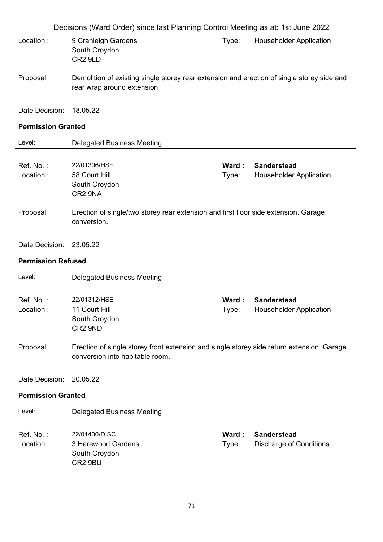| Decisions (Ward Order) since last Planning Control Meeting as at: 1st June 2022 |                                                                                                                              |                |                                                      |  |  |
|---------------------------------------------------------------------------------|------------------------------------------------------------------------------------------------------------------------------|----------------|------------------------------------------------------|--|--|
| Location:                                                                       | 9 Cranleigh Gardens<br>South Croydon<br>CR <sub>2</sub> 9LD                                                                  | Type:          | <b>Householder Application</b>                       |  |  |
| Proposal:                                                                       | Demolition of existing single storey rear extension and erection of single storey side and<br>rear wrap around extension     |                |                                                      |  |  |
| Date Decision:                                                                  | 18.05.22                                                                                                                     |                |                                                      |  |  |
| <b>Permission Granted</b>                                                       |                                                                                                                              |                |                                                      |  |  |
| Level:                                                                          | <b>Delegated Business Meeting</b>                                                                                            |                |                                                      |  |  |
| Ref. No.:<br>Location:                                                          | 22/01306/HSE<br>58 Court Hill<br>South Croydon<br>CR2 9NA                                                                    | Ward:<br>Type: | <b>Sanderstead</b><br><b>Householder Application</b> |  |  |
| Proposal:                                                                       | Erection of single/two storey rear extension and first floor side extension. Garage<br>conversion.                           |                |                                                      |  |  |
| Date Decision: 23.05.22                                                         |                                                                                                                              |                |                                                      |  |  |
| <b>Permission Refused</b>                                                       |                                                                                                                              |                |                                                      |  |  |
| Level:                                                                          | <b>Delegated Business Meeting</b>                                                                                            |                |                                                      |  |  |
| Ref. No.:<br>Location:                                                          | 22/01312/HSE<br>11 Court Hill<br>South Croydon<br>CR2 9ND                                                                    | Ward:<br>Type: | <b>Sanderstead</b><br><b>Householder Application</b> |  |  |
| Proposal:                                                                       | Erection of single storey front extension and single storey side return extension. Garage<br>conversion into habitable room. |                |                                                      |  |  |
| Date Decision:                                                                  | 20.05.22                                                                                                                     |                |                                                      |  |  |
| <b>Permission Granted</b>                                                       |                                                                                                                              |                |                                                      |  |  |
| Level:                                                                          | <b>Delegated Business Meeting</b>                                                                                            |                |                                                      |  |  |
| Ref. No.:<br>Location:                                                          | 22/01400/DISC<br>3 Harewood Gardens<br>South Croydon<br>CR2 9BU                                                              | Ward:<br>Type: | <b>Sanderstead</b><br><b>Discharge of Conditions</b> |  |  |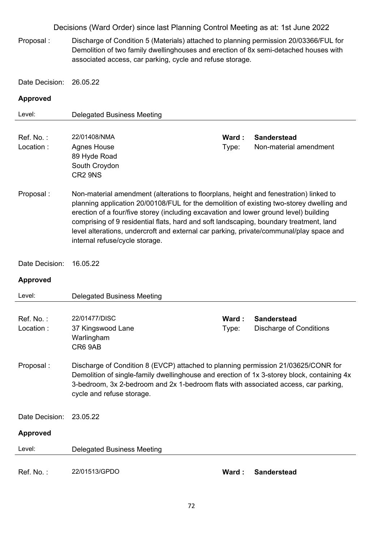Proposal : Discharge of Condition 5 (Materials) attached to planning permission 20/03366/FUL for Demolition of two family dwellinghouses and erection of 8x semi-detached houses with associated access, car parking, cycle and refuse storage.

Date Decision: 26.05.22

| Level:                 | <b>Delegated Business Meeting</b>                                                                                                                                                                                                                                                                                                                                                                                                                                                                 |                |                                                      |  |
|------------------------|---------------------------------------------------------------------------------------------------------------------------------------------------------------------------------------------------------------------------------------------------------------------------------------------------------------------------------------------------------------------------------------------------------------------------------------------------------------------------------------------------|----------------|------------------------------------------------------|--|
| Ref. No.:<br>Location: | 22/01408/NMA<br><b>Agnes House</b><br>89 Hyde Road<br>South Croydon<br>CR2 9NS                                                                                                                                                                                                                                                                                                                                                                                                                    | Ward:<br>Type: | <b>Sanderstead</b><br>Non-material amendment         |  |
| Proposal:              | Non-material amendment (alterations to floorplans, height and fenestration) linked to<br>planning application 20/00108/FUL for the demolition of existing two-storey dwelling and<br>erection of a four/five storey (including excavation and lower ground level) building<br>comprising of 9 residential flats, hard and soft landscaping, boundary treatment, land<br>level alterations, undercroft and external car parking, private/communal/play space and<br>internal refuse/cycle storage. |                |                                                      |  |
| Date Decision:         | 16.05.22                                                                                                                                                                                                                                                                                                                                                                                                                                                                                          |                |                                                      |  |
| <b>Approved</b>        |                                                                                                                                                                                                                                                                                                                                                                                                                                                                                                   |                |                                                      |  |
| Level:                 | <b>Delegated Business Meeting</b>                                                                                                                                                                                                                                                                                                                                                                                                                                                                 |                |                                                      |  |
| Ref. No.:<br>Location: | 22/01477/DISC<br>37 Kingswood Lane<br>Warlingham<br>CR6 9AB                                                                                                                                                                                                                                                                                                                                                                                                                                       | Ward:<br>Type: | <b>Sanderstead</b><br><b>Discharge of Conditions</b> |  |
| Proposal:              | Discharge of Condition 8 (EVCP) attached to planning permission 21/03625/CONR for<br>Demolition of single-family dwellinghouse and erection of 1x 3-storey block, containing 4x<br>3-bedroom, 3x 2-bedroom and 2x 1-bedroom flats with associated access, car parking,<br>cycle and refuse storage.                                                                                                                                                                                               |                |                                                      |  |
| Date Decision:         | 23.05.22                                                                                                                                                                                                                                                                                                                                                                                                                                                                                          |                |                                                      |  |
| <b>Approved</b>        |                                                                                                                                                                                                                                                                                                                                                                                                                                                                                                   |                |                                                      |  |
| Level:                 | <b>Delegated Business Meeting</b>                                                                                                                                                                                                                                                                                                                                                                                                                                                                 |                |                                                      |  |
| Ref. No.:              | 22/01513/GPDO                                                                                                                                                                                                                                                                                                                                                                                                                                                                                     | Ward:          | <b>Sanderstead</b>                                   |  |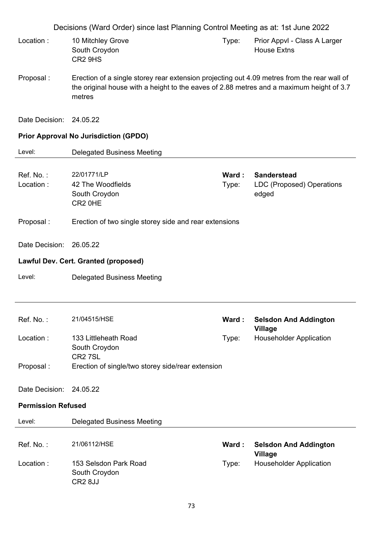|                           | Decisions (Ward Order) since last Planning Control Meeting as at: 1st June 2022                                                                                                                   |                |                                                                 |
|---------------------------|---------------------------------------------------------------------------------------------------------------------------------------------------------------------------------------------------|----------------|-----------------------------------------------------------------|
| Location:                 | 10 Mitchley Grove<br>South Croydon<br>CR2 9HS                                                                                                                                                     | Type:          | Prior Appvl - Class A Larger<br><b>House Extns</b>              |
| Proposal:                 | Erection of a single storey rear extension projecting out 4.09 metres from the rear wall of<br>the original house with a height to the eaves of 2.88 metres and a maximum height of 3.7<br>metres |                |                                                                 |
| Date Decision: 24.05.22   |                                                                                                                                                                                                   |                |                                                                 |
|                           | <b>Prior Approval No Jurisdiction (GPDO)</b>                                                                                                                                                      |                |                                                                 |
| Level:                    | <b>Delegated Business Meeting</b>                                                                                                                                                                 |                |                                                                 |
| Ref. No.:<br>Location:    | 22/01771/LP<br>42 The Woodfields<br>South Croydon<br>CR2 OHE                                                                                                                                      | Ward:<br>Type: | <b>Sanderstead</b><br><b>LDC (Proposed) Operations</b><br>edged |
| Proposal:                 | Erection of two single storey side and rear extensions                                                                                                                                            |                |                                                                 |
| Date Decision:            | 26.05.22                                                                                                                                                                                          |                |                                                                 |
|                           | Lawful Dev. Cert. Granted (proposed)                                                                                                                                                              |                |                                                                 |
| Level:                    | <b>Delegated Business Meeting</b>                                                                                                                                                                 |                |                                                                 |
|                           |                                                                                                                                                                                                   |                |                                                                 |
| Ref. No.:                 | 21/04515/HSE                                                                                                                                                                                      | Ward:          | <b>Selsdon And Addington</b><br><b>Village</b>                  |
| Location:                 | 133 Littleheath Road<br>South Croydon                                                                                                                                                             | Type:          | <b>Householder Application</b>                                  |
| Proposal:                 | CR <sub>2</sub> 7SL<br>Erection of single/two storey side/rear extension                                                                                                                          |                |                                                                 |
| Date Decision:            | 24.05.22                                                                                                                                                                                          |                |                                                                 |
| <b>Permission Refused</b> |                                                                                                                                                                                                   |                |                                                                 |
| Level:                    | <b>Delegated Business Meeting</b>                                                                                                                                                                 |                |                                                                 |
| Ref. No.:                 | 21/06112/HSE                                                                                                                                                                                      | Ward:          | <b>Selsdon And Addington</b><br><b>Village</b>                  |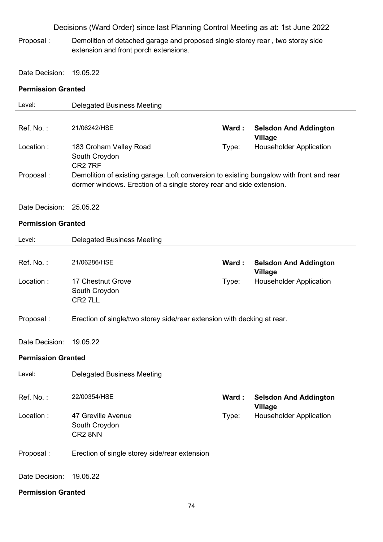Proposal : Demolition of detached garage and proposed single storey rear , two storey side extension and front porch extensions.

Date Decision: 19.05.22

### **Permission Granted**

| Level:                    | <b>Delegated Business Meeting</b>                                                                                                                               |       |                                                |
|---------------------------|-----------------------------------------------------------------------------------------------------------------------------------------------------------------|-------|------------------------------------------------|
|                           |                                                                                                                                                                 |       |                                                |
| Ref. No.:                 | 21/06242/HSE                                                                                                                                                    | Ward: | <b>Selsdon And Addington</b><br><b>Village</b> |
| Location:                 | 183 Croham Valley Road<br>South Croydon<br>CR <sub>2</sub> 7RF                                                                                                  | Type: | <b>Householder Application</b>                 |
| Proposal:                 | Demolition of existing garage. Loft conversion to existing bungalow with front and rear<br>dormer windows. Erection of a single storey rear and side extension. |       |                                                |
| Date Decision:            | 25.05.22                                                                                                                                                        |       |                                                |
| <b>Permission Granted</b> |                                                                                                                                                                 |       |                                                |
| Level:                    | <b>Delegated Business Meeting</b>                                                                                                                               |       |                                                |
| Ref. No.:                 | 21/06286/HSE                                                                                                                                                    | Ward: | <b>Selsdon And Addington</b><br><b>Village</b> |
| Location:                 | 17 Chestnut Grove<br>South Croydon<br>CR <sub>2</sub> 7LL                                                                                                       | Type: | <b>Householder Application</b>                 |
| Proposal:                 | Erection of single/two storey side/rear extension with decking at rear.                                                                                         |       |                                                |
| Date Decision:            | 19.05.22                                                                                                                                                        |       |                                                |
| <b>Permission Granted</b> |                                                                                                                                                                 |       |                                                |
| Level:                    | <b>Delegated Business Meeting</b>                                                                                                                               |       |                                                |
| Ref. No.:                 | 22/00354/HSE                                                                                                                                                    | Ward: | <b>Selsdon And Addington</b><br><b>Village</b> |
| Location:                 | 47 Greville Avenue<br>South Croydon<br>CR2 8NN                                                                                                                  | Type: | <b>Householder Application</b>                 |
| Proposal:                 | Erection of single storey side/rear extension                                                                                                                   |       |                                                |
| Date Decision:            | 19.05.22                                                                                                                                                        |       |                                                |
| <b>Permission Granted</b> |                                                                                                                                                                 |       |                                                |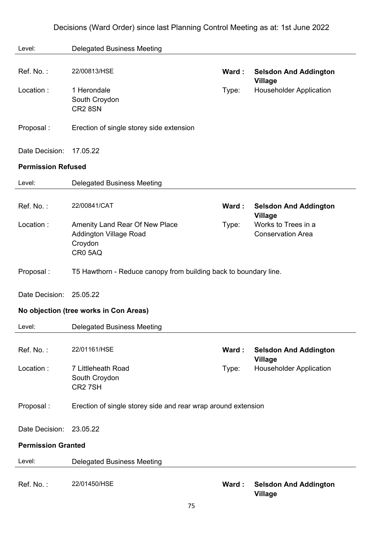| Level:                    | <b>Delegated Business Meeting</b>                                                    |       |                                                 |
|---------------------------|--------------------------------------------------------------------------------------|-------|-------------------------------------------------|
| Ref. No.:                 | 22/00813/HSE                                                                         | Ward: | <b>Selsdon And Addington</b><br><b>Village</b>  |
| Location:                 | 1 Herondale<br>South Croydon<br>CR2 8SN                                              | Type: | <b>Householder Application</b>                  |
| Proposal:                 | Erection of single storey side extension                                             |       |                                                 |
| Date Decision:            | 17.05.22                                                                             |       |                                                 |
| <b>Permission Refused</b> |                                                                                      |       |                                                 |
| Level:                    | <b>Delegated Business Meeting</b>                                                    |       |                                                 |
| Ref. No.:                 | 22/00841/CAT                                                                         | Ward: | <b>Selsdon And Addington</b><br><b>Village</b>  |
| Location:                 | Amenity Land Rear Of New Place<br><b>Addington Village Road</b><br>Croydon<br>CR05AQ | Type: | Works to Trees in a<br><b>Conservation Area</b> |
| Proposal:                 | T5 Hawthorn - Reduce canopy from building back to boundary line.                     |       |                                                 |
| Date Decision:            | 25.05.22                                                                             |       |                                                 |
|                           | No objection (tree works in Con Areas)                                               |       |                                                 |
| Level:                    | <b>Delegated Business Meeting</b>                                                    |       |                                                 |
| Ref. No.:                 | 22/01161/HSE                                                                         | Ward: | <b>Selsdon And Addington</b><br><b>Village</b>  |
| Location:                 | 7 Littleheath Road<br>South Croydon<br>CR27SH                                        | Type: | <b>Householder Application</b>                  |
| Proposal:                 | Erection of single storey side and rear wrap around extension                        |       |                                                 |
| Date Decision:            | 23.05.22                                                                             |       |                                                 |
| <b>Permission Granted</b> |                                                                                      |       |                                                 |
| Level:                    | <b>Delegated Business Meeting</b>                                                    |       |                                                 |
| Ref. No.:                 | 22/01450/HSE                                                                         | Ward: | <b>Selsdon And Addington</b><br><b>Village</b>  |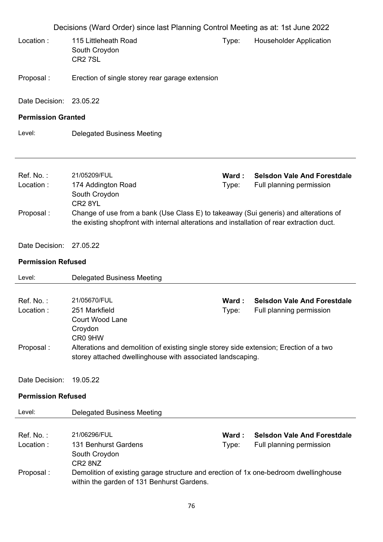|                                                       | Decisions (Ward Order) since last Planning Control Meeting as at: 1st June 2022                                                                                                                                                                                  |                |                                                                |
|-------------------------------------------------------|------------------------------------------------------------------------------------------------------------------------------------------------------------------------------------------------------------------------------------------------------------------|----------------|----------------------------------------------------------------|
| Location:                                             | 115 Littleheath Road<br>South Croydon<br>CR <sub>2</sub> 7SL                                                                                                                                                                                                     | Type:          | <b>Householder Application</b>                                 |
| Proposal:                                             | Erection of single storey rear garage extension                                                                                                                                                                                                                  |                |                                                                |
| Date Decision: 23.05.22                               |                                                                                                                                                                                                                                                                  |                |                                                                |
| <b>Permission Granted</b>                             |                                                                                                                                                                                                                                                                  |                |                                                                |
| Level:                                                | <b>Delegated Business Meeting</b>                                                                                                                                                                                                                                |                |                                                                |
| Ref. No.:<br>Location:<br>Proposal:                   | 21/05209/FUL<br>174 Addington Road<br>South Croydon<br>CR <sub>2</sub> 8YL<br>Change of use from a bank (Use Class E) to takeaway (Sui generis) and alterations of<br>the existing shopfront with internal alterations and installation of rear extraction duct. | Ward:<br>Type: | <b>Selsdon Vale And Forestdale</b><br>Full planning permission |
| Date Decision:<br><b>Permission Refused</b><br>Level: | 27.05.22                                                                                                                                                                                                                                                         |                |                                                                |
|                                                       | <b>Delegated Business Meeting</b>                                                                                                                                                                                                                                |                |                                                                |
|                                                       |                                                                                                                                                                                                                                                                  |                |                                                                |
| Ref. No.:<br>Location:<br>Proposal:                   | 21/05670/FUL<br>251 Markfield<br><b>Court Wood Lane</b><br>Croydon<br>CR0 9HW<br>Alterations and demolition of existing single storey side extension; Erection of a two<br>storey attached dwellinghouse with associated landscaping.                            | Ward:<br>Type: | <b>Selsdon Vale And Forestdale</b><br>Full planning permission |
| Date Decision:                                        | 19.05.22                                                                                                                                                                                                                                                         |                |                                                                |
| <b>Permission Refused</b>                             |                                                                                                                                                                                                                                                                  |                |                                                                |
| Level:                                                | <b>Delegated Business Meeting</b>                                                                                                                                                                                                                                |                |                                                                |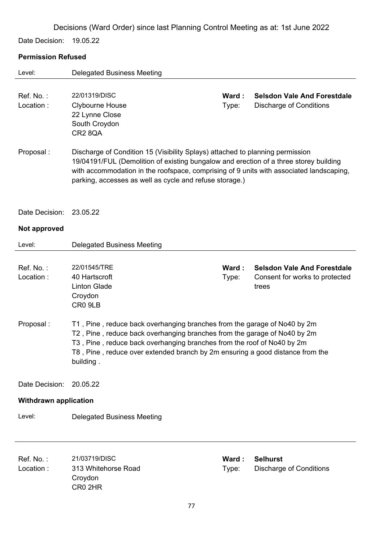Date Decision: 19.05.22

## **Permission Refused**

| Level:                       | <b>Delegated Business Meeting</b>                                                                                                                                                                                                                                                                                            |                |                                                                               |
|------------------------------|------------------------------------------------------------------------------------------------------------------------------------------------------------------------------------------------------------------------------------------------------------------------------------------------------------------------------|----------------|-------------------------------------------------------------------------------|
| Ref. No.:<br>Location:       | 22/01319/DISC<br>Clybourne House<br>22 Lynne Close<br>South Croydon<br>CR28QA                                                                                                                                                                                                                                                | Ward:<br>Type: | <b>Selsdon Vale And Forestdale</b><br><b>Discharge of Conditions</b>          |
| Proposal:                    | Discharge of Condition 15 (Visibility Splays) attached to planning permission<br>19/04191/FUL (Demolition of existing bungalow and erection of a three storey building<br>with accommodation in the roofspace, comprising of 9 units with associated landscaping,<br>parking, accesses as well as cycle and refuse storage.) |                |                                                                               |
| Date Decision:               | 23.05.22                                                                                                                                                                                                                                                                                                                     |                |                                                                               |
| Not approved                 |                                                                                                                                                                                                                                                                                                                              |                |                                                                               |
| Level:                       | <b>Delegated Business Meeting</b>                                                                                                                                                                                                                                                                                            |                |                                                                               |
| Ref. No.:<br>Location:       | 22/01545/TRE<br>40 Hartscroft<br><b>Linton Glade</b><br>Croydon<br>CR0 9LB                                                                                                                                                                                                                                                   | Ward:<br>Type: | <b>Selsdon Vale And Forestdale</b><br>Consent for works to protected<br>trees |
| Proposal:                    | T1, Pine, reduce back overhanging branches from the garage of No40 by 2m<br>T2, Pine, reduce back overhanging branches from the garage of No40 by 2m<br>T3, Pine, reduce back overhanging branches from the roof of No40 by 2m<br>T8, Pine, reduce over extended branch by 2m ensuring a good distance from the<br>building. |                |                                                                               |
| Date Decision:               | 20.05.22                                                                                                                                                                                                                                                                                                                     |                |                                                                               |
| <b>Withdrawn application</b> |                                                                                                                                                                                                                                                                                                                              |                |                                                                               |
| Level:                       | <b>Delegated Business Meeting</b>                                                                                                                                                                                                                                                                                            |                |                                                                               |
| Ref. No.:<br>Location:       | 21/03719/DISC<br>313 Whitehorse Road<br>Croydon<br>CR0 2HR                                                                                                                                                                                                                                                                   | Ward:<br>Type: | <b>Selhurst</b><br><b>Discharge of Conditions</b>                             |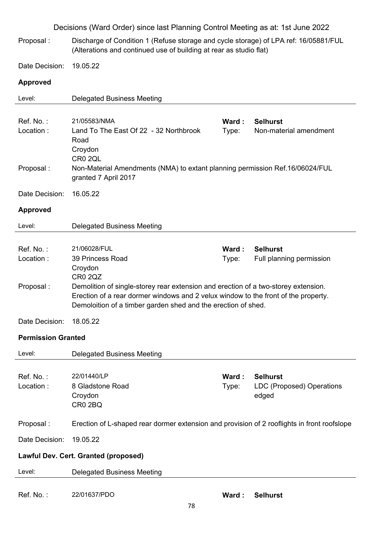|                           | Decisions (Ward Order) since last Planning Control Meeting as at: 1st June 2022                                                                                                                                                                             |                |                                                       |
|---------------------------|-------------------------------------------------------------------------------------------------------------------------------------------------------------------------------------------------------------------------------------------------------------|----------------|-------------------------------------------------------|
| Proposal:                 | Discharge of Condition 1 (Refuse storage and cycle storage) of LPA ref: 16/05881/FUL<br>(Alterations and continued use of building at rear as studio flat)                                                                                                  |                |                                                       |
| Date Decision:            | 19.05.22                                                                                                                                                                                                                                                    |                |                                                       |
| <b>Approved</b>           |                                                                                                                                                                                                                                                             |                |                                                       |
| Level:                    | <b>Delegated Business Meeting</b>                                                                                                                                                                                                                           |                |                                                       |
| Ref. No.:<br>Location:    | 21/05583/NMA<br>Land To The East Of 22 - 32 Northbrook<br>Road<br>Croydon                                                                                                                                                                                   | Ward:<br>Type: | <b>Selhurst</b><br>Non-material amendment             |
| Proposal:                 | CR0 2QL<br>Non-Material Amendments (NMA) to extant planning permission Ref.16/06024/FUL<br>granted 7 April 2017                                                                                                                                             |                |                                                       |
| Date Decision:            | 16.05.22                                                                                                                                                                                                                                                    |                |                                                       |
| <b>Approved</b>           |                                                                                                                                                                                                                                                             |                |                                                       |
| Level:                    | <b>Delegated Business Meeting</b>                                                                                                                                                                                                                           |                |                                                       |
| Ref. No.:<br>Location:    | 21/06028/FUL<br>39 Princess Road<br>Croydon                                                                                                                                                                                                                 | Ward:<br>Type: | <b>Selhurst</b><br>Full planning permission           |
| Proposal:                 | <b>CR0 2QZ</b><br>Demolition of single-storey rear extension and erection of a two-storey extension.<br>Erection of a rear dormer windows and 2 velux window to the front of the property.<br>Demoloition of a timber garden shed and the erection of shed. |                |                                                       |
| Date Decision:            | 18.05.22                                                                                                                                                                                                                                                    |                |                                                       |
| <b>Permission Granted</b> |                                                                                                                                                                                                                                                             |                |                                                       |
| Level:                    | <b>Delegated Business Meeting</b>                                                                                                                                                                                                                           |                |                                                       |
| Ref. No.:<br>Location:    | 22/01440/LP<br>8 Gladstone Road<br>Croydon<br>CR0 2BQ                                                                                                                                                                                                       | Ward:<br>Type: | <b>Selhurst</b><br>LDC (Proposed) Operations<br>edged |
| Proposal:                 | Erection of L-shaped rear dormer extension and provision of 2 rooflights in front roofslope                                                                                                                                                                 |                |                                                       |
| Date Decision:            | 19.05.22                                                                                                                                                                                                                                                    |                |                                                       |
|                           | Lawful Dev. Cert. Granted (proposed)                                                                                                                                                                                                                        |                |                                                       |
|                           | <b>Delegated Business Meeting</b>                                                                                                                                                                                                                           |                |                                                       |
| Level:                    |                                                                                                                                                                                                                                                             |                |                                                       |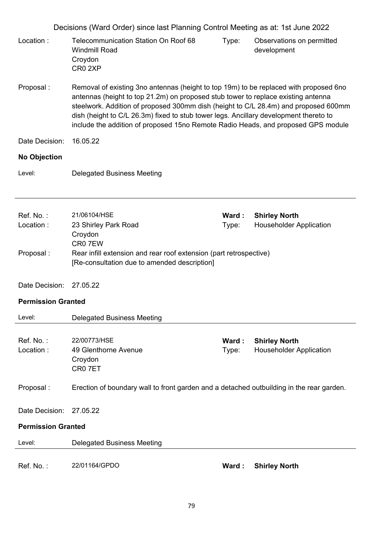|                           | Decisions (Ward Order) since last Planning Control Meeting as at: 1st June 2022                                                                                                                                                                                                                                                                                                                                                                 |                |                                                        |
|---------------------------|-------------------------------------------------------------------------------------------------------------------------------------------------------------------------------------------------------------------------------------------------------------------------------------------------------------------------------------------------------------------------------------------------------------------------------------------------|----------------|--------------------------------------------------------|
| Location:                 | <b>Telecommunication Station On Roof 68</b><br><b>Windmill Road</b><br>Croydon<br>CR <sub>0</sub> 2XP                                                                                                                                                                                                                                                                                                                                           | Type:          | Observations on permitted<br>development               |
| Proposal:                 | Removal of existing 3no antennas (height to top 19m) to be replaced with proposed 6no<br>antennas (height to top 21.2m) on proposed stub tower to replace existing antenna<br>steelwork. Addition of proposed 300mm dish (height to C/L 28.4m) and proposed 600mm<br>dish (height to C/L 26.3m) fixed to stub tower legs. Ancillary development thereto to<br>include the addition of proposed 15no Remote Radio Heads, and proposed GPS module |                |                                                        |
| Date Decision:            | 16.05.22                                                                                                                                                                                                                                                                                                                                                                                                                                        |                |                                                        |
| <b>No Objection</b>       |                                                                                                                                                                                                                                                                                                                                                                                                                                                 |                |                                                        |
| Level:                    | <b>Delegated Business Meeting</b>                                                                                                                                                                                                                                                                                                                                                                                                               |                |                                                        |
| Ref. No.:<br>Location:    | 21/06104/HSE<br>23 Shirley Park Road                                                                                                                                                                                                                                                                                                                                                                                                            | Ward:<br>Type: | <b>Shirley North</b><br><b>Householder Application</b> |
|                           | Croydon                                                                                                                                                                                                                                                                                                                                                                                                                                         |                |                                                        |
| Proposal:                 | CR07EW<br>Rear infill extension and rear roof extension (part retrospective)<br>[Re-consultation due to amended description]                                                                                                                                                                                                                                                                                                                    |                |                                                        |
| Date Decision:            | 27.05.22                                                                                                                                                                                                                                                                                                                                                                                                                                        |                |                                                        |
| <b>Permission Granted</b> |                                                                                                                                                                                                                                                                                                                                                                                                                                                 |                |                                                        |
| Level:                    | <b>Delegated Business Meeting</b>                                                                                                                                                                                                                                                                                                                                                                                                               |                |                                                        |
| Ref. No.:<br>Location:    | 22/00773/HSE<br>49 Glenthorne Avenue<br>Croydon<br>CR0 7ET                                                                                                                                                                                                                                                                                                                                                                                      | Ward:<br>Type: | <b>Shirley North</b><br><b>Householder Application</b> |
| Proposal:                 | Erection of boundary wall to front garden and a detached outbuilding in the rear garden.                                                                                                                                                                                                                                                                                                                                                        |                |                                                        |
| Date Decision:            | 27.05.22                                                                                                                                                                                                                                                                                                                                                                                                                                        |                |                                                        |
| <b>Permission Granted</b> |                                                                                                                                                                                                                                                                                                                                                                                                                                                 |                |                                                        |
| Level:                    | <b>Delegated Business Meeting</b>                                                                                                                                                                                                                                                                                                                                                                                                               |                |                                                        |
| Ref. No.:                 | 22/01164/GPDO                                                                                                                                                                                                                                                                                                                                                                                                                                   | Ward:          | <b>Shirley North</b>                                   |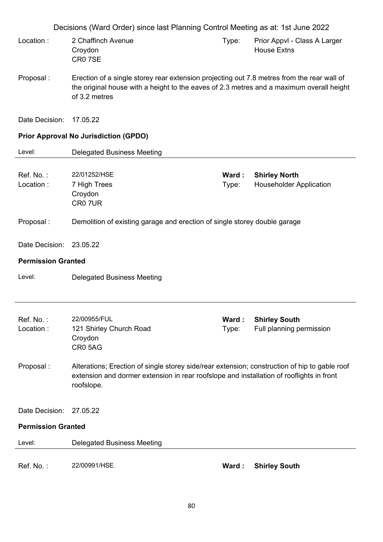|                           | Decisions (Ward Order) since last Planning Control Meeting as at: 1st June 2022                                                                                                                         |                |                                                        |
|---------------------------|---------------------------------------------------------------------------------------------------------------------------------------------------------------------------------------------------------|----------------|--------------------------------------------------------|
| Location:                 | 2 Chaffinch Avenue<br>Croydon<br>CR07SE                                                                                                                                                                 | Type:          | Prior Appvl - Class A Larger<br><b>House Extns</b>     |
| Proposal:                 | Erection of a single storey rear extension projecting out 7.8 metres from the rear wall of<br>the original house with a height to the eaves of 2.3 metres and a maximum overall height<br>of 3.2 metres |                |                                                        |
| Date Decision:            | 17.05.22                                                                                                                                                                                                |                |                                                        |
|                           | <b>Prior Approval No Jurisdiction (GPDO)</b>                                                                                                                                                            |                |                                                        |
| Level:                    | <b>Delegated Business Meeting</b>                                                                                                                                                                       |                |                                                        |
| Ref. No.:<br>Location:    | 22/01252/HSE<br>7 High Trees<br>Croydon<br>CR07UR                                                                                                                                                       | Ward:<br>Type: | <b>Shirley North</b><br><b>Householder Application</b> |
| Proposal:                 | Demolition of existing garage and erection of single storey double garage                                                                                                                               |                |                                                        |
| Date Decision:            | 23.05.22                                                                                                                                                                                                |                |                                                        |
| <b>Permission Granted</b> |                                                                                                                                                                                                         |                |                                                        |
| Level:                    | <b>Delegated Business Meeting</b>                                                                                                                                                                       |                |                                                        |
| Ref. No.:<br>Location:    | 22/00955/FUL<br>121 Shirley Church Road<br>Croydon<br>CR05AG                                                                                                                                            | Ward:<br>Type: | <b>Shirley South</b><br>Full planning permission       |
| Proposal:                 | Alterations; Erection of single storey side/rear extension; construction of hip to gable roof<br>extension and dormer extension in rear roofslope and installation of rooflights in front<br>roofslope. |                |                                                        |
| Date Decision:            | 27.05.22                                                                                                                                                                                                |                |                                                        |
| <b>Permission Granted</b> |                                                                                                                                                                                                         |                |                                                        |
| Level:                    | <b>Delegated Business Meeting</b>                                                                                                                                                                       |                |                                                        |
| Ref. No.:                 | 22/00991/HSE                                                                                                                                                                                            | Ward:          | <b>Shirley South</b>                                   |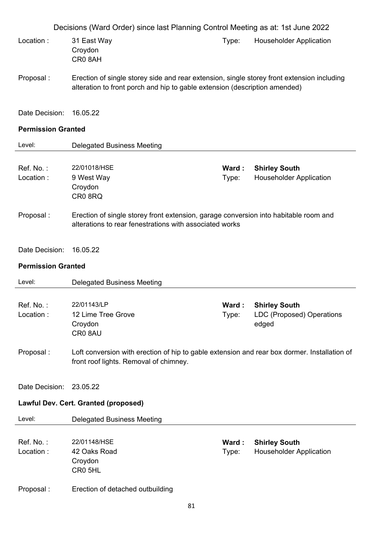Decisions (Ward Order) since last Planning Control Meeting as at: 1st June 2022 Location : 31 East Way Croydon CR0 8AH Type: Householder Application Proposal : Erection of single storey side and rear extension, single storey front extension including alteration to front porch and hip to gable extension (description amended) Date Decision: 16.05.22 **Permission Granted**  Level: Delegated Business Meeting Ref. No. : 22/01018/HSE **Ward : Shirley South** Location : 9 West Way Croydon CR0 8RQ Type: Householder Application Proposal : Erection of single storey front extension, garage conversion into habitable room and alterations to rear fenestrations with associated works Date Decision: 16.05.22 **Permission Granted**  Level: Delegated Business Meeting Ref. No. : 22/01143/LP **Ward : Shirley South** Location : 12 Lime Tree Grove **Croydon** CR0 8AU Type: LDC (Proposed) Operations edged Proposal : Loft conversion with erection of hip to gable extension and rear box dormer. Installation of front roof lights. Removal of chimney. Date Decision: 23.05.22 **Lawful Dev. Cert. Granted (proposed)**  Level: Delegated Business Meeting Ref. No. : 22/01148/HSE **Ward : Shirley South** Location : 42 Oaks Road Croydon CR0 5HL Type: Householder Application Proposal : Erection of detached outbuilding

81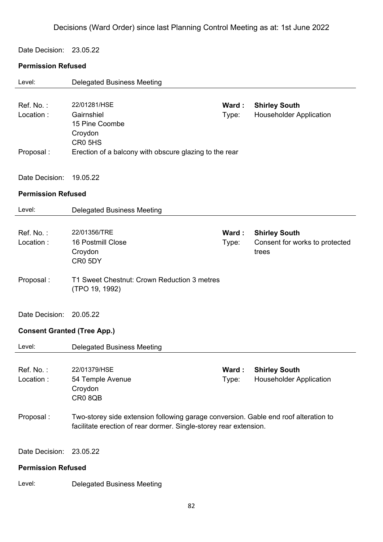Date Decision: 23.05.22

#### **Permission Refused**

| Level:                             | <b>Delegated Business Meeting</b>                                                                                                                        |       |                                         |
|------------------------------------|----------------------------------------------------------------------------------------------------------------------------------------------------------|-------|-----------------------------------------|
| Ref. No.:                          | 22/01281/HSE                                                                                                                                             | Ward: | <b>Shirley South</b>                    |
| Location:                          | Gairnshiel<br>15 Pine Coombe<br>Croydon<br>CR <sub>0</sub> 5H <sub>S</sub>                                                                               | Type: | <b>Householder Application</b>          |
| Proposal:                          | Erection of a balcony with obscure glazing to the rear                                                                                                   |       |                                         |
| Date Decision:                     | 19.05.22                                                                                                                                                 |       |                                         |
| <b>Permission Refused</b>          |                                                                                                                                                          |       |                                         |
| Level:                             | <b>Delegated Business Meeting</b>                                                                                                                        |       |                                         |
|                                    |                                                                                                                                                          |       |                                         |
| Ref. No.:                          | 22/01356/TRE<br>16 Postmill Close                                                                                                                        | Ward: | <b>Shirley South</b>                    |
| Location:                          | Croydon                                                                                                                                                  | Type: | Consent for works to protected<br>trees |
|                                    | CR0 5DY                                                                                                                                                  |       |                                         |
| Proposal:                          | T1 Sweet Chestnut: Crown Reduction 3 metres<br>(TPO 19, 1992)                                                                                            |       |                                         |
| Date Decision:                     | 20.05.22                                                                                                                                                 |       |                                         |
| <b>Consent Granted (Tree App.)</b> |                                                                                                                                                          |       |                                         |
| Level:                             | <b>Delegated Business Meeting</b>                                                                                                                        |       |                                         |
| Ref. No.:                          | 22/01379/HSE                                                                                                                                             | Ward: | <b>Shirley South</b>                    |
| Location:                          | 54 Temple Avenue                                                                                                                                         | Type: | <b>Householder Application</b>          |
|                                    | Croydon                                                                                                                                                  |       |                                         |
|                                    | CR08QB                                                                                                                                                   |       |                                         |
| Proposal:                          | Two-storey side extension following garage conversion. Gable end roof alteration to<br>facilitate erection of rear dormer. Single-storey rear extension. |       |                                         |
| Date Decision:                     | 23.05.22                                                                                                                                                 |       |                                         |
| <b>Permission Refused</b>          |                                                                                                                                                          |       |                                         |

Level: Delegated Business Meeting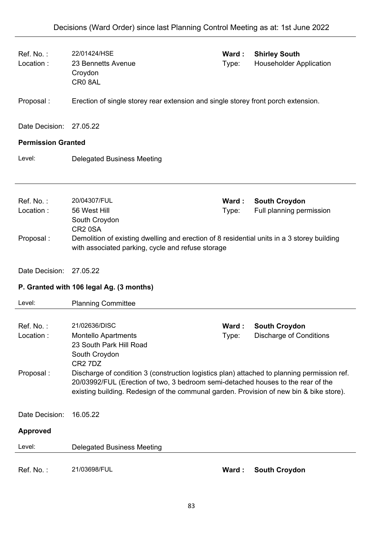| Ref. No.:<br>Location:    | 22/01424/HSE<br>23 Bennetts Avenue<br>Croydon<br>CR08AL                                                                                                                                                                                                                    | Ward:<br>Type: | <b>Shirley South</b><br><b>Householder Application</b> |  |
|---------------------------|----------------------------------------------------------------------------------------------------------------------------------------------------------------------------------------------------------------------------------------------------------------------------|----------------|--------------------------------------------------------|--|
| Proposal:                 | Erection of single storey rear extension and single storey front porch extension.                                                                                                                                                                                          |                |                                                        |  |
| Date Decision:            | 27.05.22                                                                                                                                                                                                                                                                   |                |                                                        |  |
| <b>Permission Granted</b> |                                                                                                                                                                                                                                                                            |                |                                                        |  |
| Level:                    | <b>Delegated Business Meeting</b>                                                                                                                                                                                                                                          |                |                                                        |  |
|                           |                                                                                                                                                                                                                                                                            |                |                                                        |  |
| Ref. No.:                 | 20/04307/FUL                                                                                                                                                                                                                                                               | Ward:          | <b>South Croydon</b>                                   |  |
| Location:                 | 56 West Hill<br>South Croydon<br>CR <sub>2</sub> 0SA                                                                                                                                                                                                                       | Type:          | Full planning permission                               |  |
| Proposal:                 | Demolition of existing dwelling and erection of 8 residential units in a 3 storey building<br>with associated parking, cycle and refuse storage                                                                                                                            |                |                                                        |  |
| Date Decision:            | 27.05.22                                                                                                                                                                                                                                                                   |                |                                                        |  |
|                           | P. Granted with 106 legal Ag. (3 months)                                                                                                                                                                                                                                   |                |                                                        |  |
|                           |                                                                                                                                                                                                                                                                            |                |                                                        |  |
| Level:                    | <b>Planning Committee</b>                                                                                                                                                                                                                                                  |                |                                                        |  |
|                           |                                                                                                                                                                                                                                                                            |                |                                                        |  |
| Ref. No.:<br>Location:    | 21/02636/DISC<br>Montello Apartments                                                                                                                                                                                                                                       | Ward:<br>Type: | <b>South Croydon</b><br><b>Discharge of Conditions</b> |  |
|                           | 23 South Park Hill Road<br>South Croydon                                                                                                                                                                                                                                   |                |                                                        |  |
|                           | CR <sub>2</sub> 7D <sub>Z</sub>                                                                                                                                                                                                                                            |                |                                                        |  |
| Proposal:                 | Discharge of condition 3 (construction logistics plan) attached to planning permission ref.<br>20/03992/FUL (Erection of two, 3 bedroom semi-detached houses to the rear of the<br>existing building. Redesign of the communal garden. Provision of new bin & bike store). |                |                                                        |  |
| Date Decision:            | 16.05.22                                                                                                                                                                                                                                                                   |                |                                                        |  |
| <b>Approved</b>           |                                                                                                                                                                                                                                                                            |                |                                                        |  |
| Level:                    | <b>Delegated Business Meeting</b>                                                                                                                                                                                                                                          |                |                                                        |  |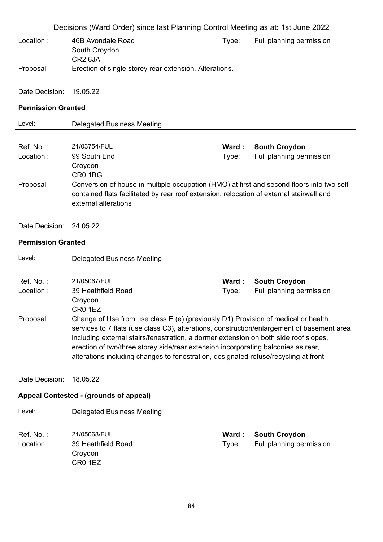|                           | Decisions (Ward Order) since last Planning Control Meeting as at: 1st June 2022                                                                                                                                                                                                                                                                                                                                                                     |                |                                                  |
|---------------------------|-----------------------------------------------------------------------------------------------------------------------------------------------------------------------------------------------------------------------------------------------------------------------------------------------------------------------------------------------------------------------------------------------------------------------------------------------------|----------------|--------------------------------------------------|
| Location:                 | 46B Avondale Road<br>South Croydon<br>CR <sub>2</sub> 6JA                                                                                                                                                                                                                                                                                                                                                                                           | Type:          | Full planning permission                         |
| Proposal:                 | Erection of single storey rear extension. Alterations.                                                                                                                                                                                                                                                                                                                                                                                              |                |                                                  |
| Date Decision:            | 19.05.22                                                                                                                                                                                                                                                                                                                                                                                                                                            |                |                                                  |
| <b>Permission Granted</b> |                                                                                                                                                                                                                                                                                                                                                                                                                                                     |                |                                                  |
| Level:                    | <b>Delegated Business Meeting</b>                                                                                                                                                                                                                                                                                                                                                                                                                   |                |                                                  |
|                           |                                                                                                                                                                                                                                                                                                                                                                                                                                                     |                |                                                  |
| Ref. No.:                 | 21/03754/FUL                                                                                                                                                                                                                                                                                                                                                                                                                                        | Ward:          | <b>South Croydon</b>                             |
| Location:                 | 99 South End<br>Croydon<br>CR01BG                                                                                                                                                                                                                                                                                                                                                                                                                   | Type:          | Full planning permission                         |
| Proposal:                 | Conversion of house in multiple occupation (HMO) at first and second floors into two self-<br>contained flats facilitated by rear roof extension, relocation of external stairwell and<br>external alterations                                                                                                                                                                                                                                      |                |                                                  |
| Date Decision:            | 24.05.22                                                                                                                                                                                                                                                                                                                                                                                                                                            |                |                                                  |
| <b>Permission Granted</b> |                                                                                                                                                                                                                                                                                                                                                                                                                                                     |                |                                                  |
| Level:                    | <b>Delegated Business Meeting</b>                                                                                                                                                                                                                                                                                                                                                                                                                   |                |                                                  |
|                           |                                                                                                                                                                                                                                                                                                                                                                                                                                                     |                |                                                  |
| Ref. No.:<br>Location:    | 21/05067/FUL<br>39 Heathfield Road                                                                                                                                                                                                                                                                                                                                                                                                                  | Ward:<br>Type: | <b>South Croydon</b><br>Full planning permission |
|                           | Croydon<br>CR <sub>0</sub> 1EZ                                                                                                                                                                                                                                                                                                                                                                                                                      |                |                                                  |
| Proposal:                 | Change of Use from use class E (e) (previously D1) Provision of medical or health<br>services to 7 flats (use class C3), alterations, construction/enlargement of basement area<br>including external stairs/fenestration, a dormer extension on both side roof slopes,<br>erection of two/three storey side/rear extension incorporating balconies as rear,<br>alterations including changes to fenestration, designated refuse/recycling at front |                |                                                  |
| Date Decision:            | 18.05.22                                                                                                                                                                                                                                                                                                                                                                                                                                            |                |                                                  |
|                           | Appeal Contested - (grounds of appeal)                                                                                                                                                                                                                                                                                                                                                                                                              |                |                                                  |
| Level:                    | <b>Delegated Business Meeting</b>                                                                                                                                                                                                                                                                                                                                                                                                                   |                |                                                  |
|                           |                                                                                                                                                                                                                                                                                                                                                                                                                                                     |                |                                                  |
| Ref. No.:                 | 21/05068/FUL                                                                                                                                                                                                                                                                                                                                                                                                                                        | Ward:          | <b>South Croydon</b>                             |
| Location:                 | 39 Heathfield Road<br>Croydon                                                                                                                                                                                                                                                                                                                                                                                                                       | Type:          | Full planning permission                         |
|                           | CR0 1EZ                                                                                                                                                                                                                                                                                                                                                                                                                                             |                |                                                  |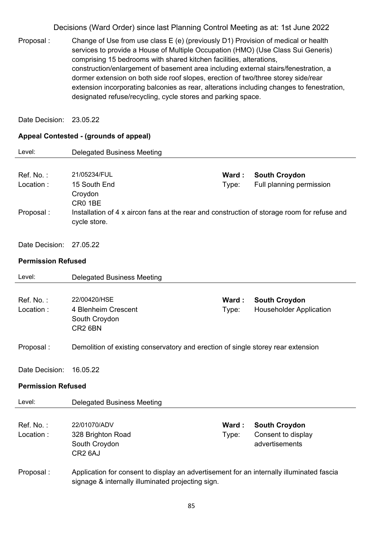Proposal : Change of Use from use class E (e) (previously D1) Provision of medical or health services to provide a House of Multiple Occupation (HMO) (Use Class Sui Generis) comprising 15 bedrooms with shared kitchen facilities, alterations, construction/enlargement of basement area including external stairs/fenestration, a dormer extension on both side roof slopes, erection of two/three storey side/rear extension incorporating balconies as rear, alterations including changes to fenestration, designated refuse/recycling, cycle stores and parking space.

Date Decision: 23.05.22

#### **Appeal Contested - (grounds of appeal)**

| Level:                              | <b>Delegated Business Meeting</b>                                                                                                                                 |                |                                                              |
|-------------------------------------|-------------------------------------------------------------------------------------------------------------------------------------------------------------------|----------------|--------------------------------------------------------------|
| Ref. No.:<br>Location:<br>Proposal: | 21/05234/FUL<br>15 South End<br>Croydon<br>CR0 1BE<br>Installation of 4 x aircon fans at the rear and construction of storage room for refuse and<br>cycle store. | Ward:<br>Type: | <b>South Croydon</b><br>Full planning permission             |
| Date Decision:                      | 27.05.22                                                                                                                                                          |                |                                                              |
| <b>Permission Refused</b>           |                                                                                                                                                                   |                |                                                              |
| Level:                              | <b>Delegated Business Meeting</b>                                                                                                                                 |                |                                                              |
| Ref. No.:<br>Location:              | 22/00420/HSE<br>4 Blenheim Crescent<br>South Croydon<br>CR <sub>2</sub> 6BN                                                                                       | Ward:<br>Type: | <b>South Croydon</b><br><b>Householder Application</b>       |
| Proposal:                           | Demolition of existing conservatory and erection of single storey rear extension                                                                                  |                |                                                              |
| Date Decision:                      | 16.05.22                                                                                                                                                          |                |                                                              |
| <b>Permission Refused</b>           |                                                                                                                                                                   |                |                                                              |
| Level:                              | <b>Delegated Business Meeting</b>                                                                                                                                 |                |                                                              |
| Ref. No.:<br>Location:              | 22/01070/ADV<br>328 Brighton Road<br>South Croydon<br>CR <sub>2</sub> 6AJ                                                                                         | Ward:<br>Type: | <b>South Croydon</b><br>Consent to display<br>advertisements |
| Proposal:                           | Application for consent to display an advertisement for an internally illuminated fascia<br>signage & internally illuminated projecting sign.                     |                |                                                              |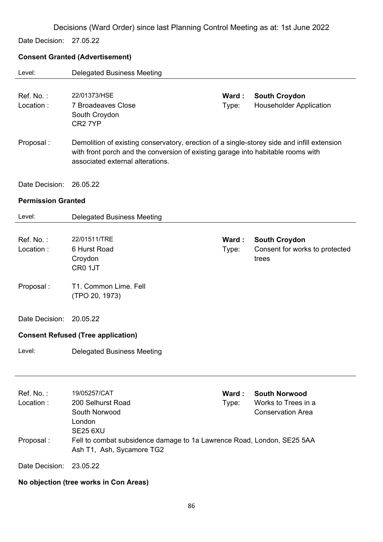Date Decision: 27.05.22

## **Consent Granted (Advertisement)**

| Level:                    | <b>Delegated Business Meeting</b>                                                                                                                                                                                  |                |                                                                         |
|---------------------------|--------------------------------------------------------------------------------------------------------------------------------------------------------------------------------------------------------------------|----------------|-------------------------------------------------------------------------|
| Ref. No.:<br>Location:    | 22/01373/HSE<br><b>7 Broadeaves Close</b><br>South Croydon<br>CR <sub>2</sub> 7YP                                                                                                                                  | Ward:<br>Type: | <b>South Croydon</b><br><b>Householder Application</b>                  |
| Proposal:                 | Demolition of existing conservatory, erection of a single-storey side and infill extension<br>with front porch and the conversion of existing garage into habitable rooms with<br>associated external alterations. |                |                                                                         |
| Date Decision:            | 26.05.22                                                                                                                                                                                                           |                |                                                                         |
| <b>Permission Granted</b> |                                                                                                                                                                                                                    |                |                                                                         |
| Level:                    | <b>Delegated Business Meeting</b>                                                                                                                                                                                  |                |                                                                         |
| Ref. No.:<br>Location:    | 22/01511/TRE<br>6 Hurst Road<br>Croydon<br>CR0 1JT                                                                                                                                                                 | Ward:<br>Type: | <b>South Croydon</b><br>Consent for works to protected<br>trees         |
| Proposal :                | T1. Common Lime. Fell<br>(TPO 20, 1973)                                                                                                                                                                            |                |                                                                         |
| Date Decision:            | 20.05.22                                                                                                                                                                                                           |                |                                                                         |
|                           | <b>Consent Refused (Tree application)</b>                                                                                                                                                                          |                |                                                                         |
| Level:                    | <b>Delegated Business Meeting</b>                                                                                                                                                                                  |                |                                                                         |
| Ref. No.:<br>Location:    | 19/05257/CAT<br>200 Selhurst Road<br>South Norwood<br>London<br><b>SE25 6XU</b>                                                                                                                                    | Ward:<br>Type: | <b>South Norwood</b><br>Works to Trees in a<br><b>Conservation Area</b> |
| Proposal:                 | Fell to combat subsidence damage to 1a Lawrence Road, London, SE25 5AA<br>Ash T1, Ash, Sycamore TG2                                                                                                                |                |                                                                         |
| Date Decision:            | 23.05.22                                                                                                                                                                                                           |                |                                                                         |

## **No objection (tree works in Con Areas)**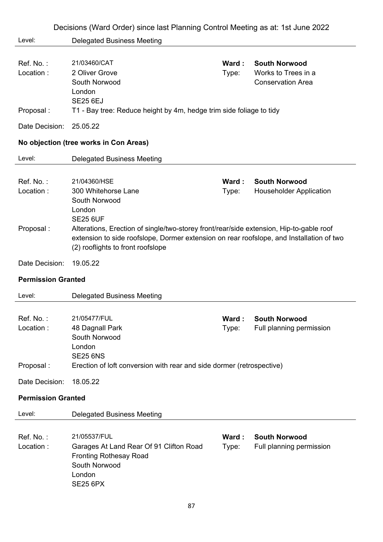|                                     | Decisions (Ward Order) since last Planning Control Meeting as at: 1st June 2022                                                                                                                                                                                          |                |                                                                         |
|-------------------------------------|--------------------------------------------------------------------------------------------------------------------------------------------------------------------------------------------------------------------------------------------------------------------------|----------------|-------------------------------------------------------------------------|
| Level:                              | <b>Delegated Business Meeting</b>                                                                                                                                                                                                                                        |                |                                                                         |
| Ref. No.:<br>Location:              | 21/03460/CAT<br>2 Oliver Grove<br>South Norwood<br>London<br><b>SE25 6EJ</b>                                                                                                                                                                                             | Ward:<br>Type: | <b>South Norwood</b><br>Works to Trees in a<br><b>Conservation Area</b> |
| Proposal:                           | T1 - Bay tree: Reduce height by 4m, hedge trim side foliage to tidy                                                                                                                                                                                                      |                |                                                                         |
| Date Decision:                      | 25.05.22                                                                                                                                                                                                                                                                 |                |                                                                         |
|                                     | No objection (tree works in Con Areas)                                                                                                                                                                                                                                   |                |                                                                         |
| Level:                              | <b>Delegated Business Meeting</b>                                                                                                                                                                                                                                        |                |                                                                         |
| Ref. No.:<br>Location:<br>Proposal: | 21/04360/HSE<br>300 Whitehorse Lane<br>South Norwood<br>London<br><b>SE25 6UF</b><br>Alterations, Erection of single/two-storey front/rear/side extension, Hip-to-gable roof<br>extension to side roofslope, Dormer extension on rear roofslope, and Installation of two | Ward:<br>Type: | <b>South Norwood</b><br><b>Householder Application</b>                  |
| Date Decision:                      | (2) rooflights to front roofslope<br>19.05.22                                                                                                                                                                                                                            |                |                                                                         |
|                                     |                                                                                                                                                                                                                                                                          |                |                                                                         |
| <b>Permission Granted</b>           |                                                                                                                                                                                                                                                                          |                |                                                                         |
| Level:                              | <b>Delegated Business Meeting</b>                                                                                                                                                                                                                                        |                |                                                                         |
| Ref. No.:<br>Location:              | 21/05477/FUL<br>48 Dagnall Park<br>South Norwood<br>London<br><b>SE25 6NS</b>                                                                                                                                                                                            | Ward:<br>Type: | <b>South Norwood</b><br>Full planning permission                        |
| Proposal:                           | Erection of loft conversion with rear and side dormer (retrospective)                                                                                                                                                                                                    |                |                                                                         |
| Date Decision:                      | 18.05.22                                                                                                                                                                                                                                                                 |                |                                                                         |
| <b>Permission Granted</b>           |                                                                                                                                                                                                                                                                          |                |                                                                         |
| Level:                              | <b>Delegated Business Meeting</b>                                                                                                                                                                                                                                        |                |                                                                         |
| Ref. No.:<br>Location:              | 21/05537/FUL<br>Garages At Land Rear Of 91 Clifton Road<br><b>Fronting Rothesay Road</b><br>South Norwood<br>London<br><b>SE25 6PX</b>                                                                                                                                   | Ward:<br>Type: | <b>South Norwood</b><br>Full planning permission                        |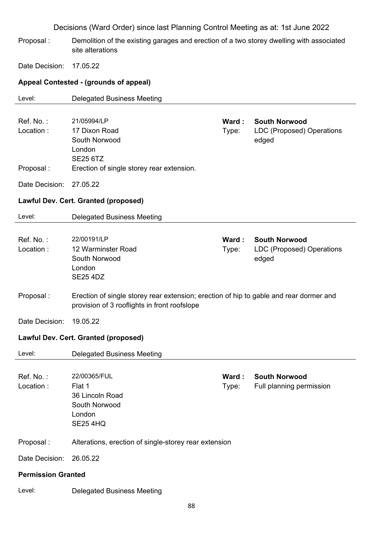Proposal : Demolition of the existing garages and erection of a two storey dwelling with associated site alterations

Date Decision: 17.05.22

## **Appeal Contested - (grounds of appeal)**

| Level:                    | <b>Delegated Business Meeting</b>                                                                                                      |                |                                                                   |
|---------------------------|----------------------------------------------------------------------------------------------------------------------------------------|----------------|-------------------------------------------------------------------|
| Ref. No.:<br>Location:    | 21/05994/LP<br>17 Dixon Road<br>South Norwood<br>London<br><b>SE25 6TZ</b>                                                             | Ward:<br>Type: | <b>South Norwood</b><br><b>LDC (Proposed) Operations</b><br>edged |
| Proposal:                 | Erection of single storey rear extension.                                                                                              |                |                                                                   |
| Date Decision:            | 27.05.22                                                                                                                               |                |                                                                   |
|                           | <b>Lawful Dev. Cert. Granted (proposed)</b>                                                                                            |                |                                                                   |
| Level:                    | <b>Delegated Business Meeting</b>                                                                                                      |                |                                                                   |
| Ref. No.:<br>Location:    | 22/00191/LP<br>12 Warminster Road<br>South Norwood<br>London<br><b>SE25 4DZ</b>                                                        | Ward:<br>Type: | <b>South Norwood</b><br>LDC (Proposed) Operations<br>edged        |
| Proposal:                 | Erection of single storey rear extension; erection of hip to gable and rear dormer and<br>provision of 3 rooflights in front roofslope |                |                                                                   |
| Date Decision:            | 19.05.22                                                                                                                               |                |                                                                   |
|                           | <b>Lawful Dev. Cert. Granted (proposed)</b>                                                                                            |                |                                                                   |
| Level:                    | <b>Delegated Business Meeting</b>                                                                                                      |                |                                                                   |
| Ref. No.:<br>Location:    | 22/00365/FUL<br>Flat 1<br>36 Lincoln Road<br>South Norwood<br>London<br><b>SE25 4HQ</b>                                                | Ward:<br>Type: | <b>South Norwood</b><br>Full planning permission                  |
| Proposal:                 | Alterations, erection of single-storey rear extension                                                                                  |                |                                                                   |
| Date Decision:            | 26.05.22                                                                                                                               |                |                                                                   |
| <b>Permission Granted</b> |                                                                                                                                        |                |                                                                   |
| Level:                    | <b>Delegated Business Meeting</b>                                                                                                      |                |                                                                   |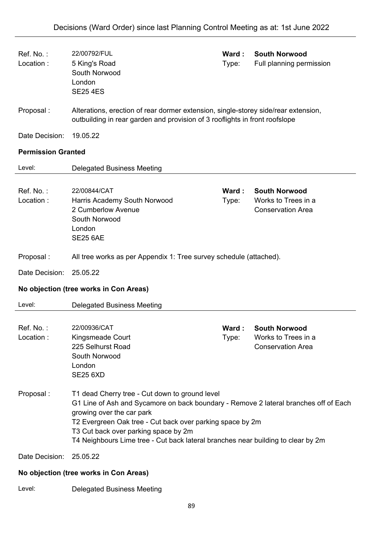| Ref. No.:<br>Location:    | 22/00792/FUL<br>5 King's Road<br>South Norwood<br>London<br><b>SE25 4ES</b>                                                                                                                                                                                                                                                                                  | Ward:<br>Type: | <b>South Norwood</b><br>Full planning permission                        |  |
|---------------------------|--------------------------------------------------------------------------------------------------------------------------------------------------------------------------------------------------------------------------------------------------------------------------------------------------------------------------------------------------------------|----------------|-------------------------------------------------------------------------|--|
| Proposal:                 | Alterations, erection of rear dormer extension, single-storey side/rear extension,<br>outbuilding in rear garden and provision of 3 rooflights in front roofslope                                                                                                                                                                                            |                |                                                                         |  |
| Date Decision:            | 19.05.22                                                                                                                                                                                                                                                                                                                                                     |                |                                                                         |  |
| <b>Permission Granted</b> |                                                                                                                                                                                                                                                                                                                                                              |                |                                                                         |  |
| Level:                    | <b>Delegated Business Meeting</b>                                                                                                                                                                                                                                                                                                                            |                |                                                                         |  |
| Ref. No.:<br>Location:    | 22/00844/CAT<br>Harris Academy South Norwood<br>2 Cumberlow Avenue<br>South Norwood<br>London<br><b>SE25 6AE</b>                                                                                                                                                                                                                                             | Ward:<br>Type: | <b>South Norwood</b><br>Works to Trees in a<br><b>Conservation Area</b> |  |
| Proposal:                 | All tree works as per Appendix 1: Tree survey schedule (attached).                                                                                                                                                                                                                                                                                           |                |                                                                         |  |
|                           |                                                                                                                                                                                                                                                                                                                                                              |                |                                                                         |  |
| Date Decision:            | 25.05.22                                                                                                                                                                                                                                                                                                                                                     |                |                                                                         |  |
|                           | No objection (tree works in Con Areas)                                                                                                                                                                                                                                                                                                                       |                |                                                                         |  |
| Level:                    | <b>Delegated Business Meeting</b>                                                                                                                                                                                                                                                                                                                            |                |                                                                         |  |
| Ref. No.:<br>Location:    | 22/00936/CAT<br>Kingsmeade Court<br>225 Selhurst Road<br>South Norwood<br>London<br><b>SE25 6XD</b>                                                                                                                                                                                                                                                          | Ward:<br>Type: | <b>South Norwood</b><br>Works to Trees in a<br><b>Conservation Area</b> |  |
| Proposal:                 | T1 dead Cherry tree - Cut down to ground level<br>G1 Line of Ash and Sycamore on back boundary - Remove 2 lateral branches off of Each<br>growing over the car park<br>T2 Evergreen Oak tree - Cut back over parking space by 2m<br>T3 Cut back over parking space by 2m<br>T4 Neighbours Lime tree - Cut back lateral branches near building to clear by 2m |                |                                                                         |  |
| Date Decision:            | 25.05.22                                                                                                                                                                                                                                                                                                                                                     |                |                                                                         |  |

Level: Delegated Business Meeting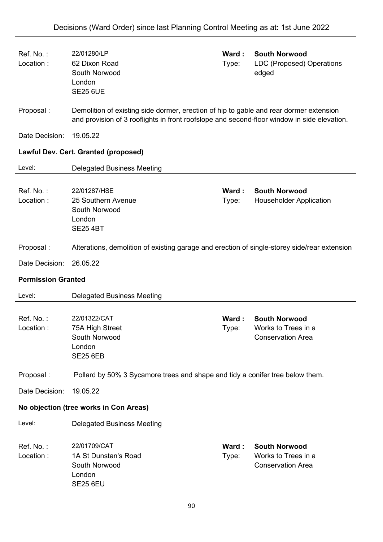| Ref. No.:<br>Location:    | 22/01280/LP<br>62 Dixon Road<br>South Norwood<br>London<br><b>SE25 6UE</b>                                                                                                            | Ward:<br>Type: | <b>South Norwood</b><br>LDC (Proposed) Operations<br>edged              |
|---------------------------|---------------------------------------------------------------------------------------------------------------------------------------------------------------------------------------|----------------|-------------------------------------------------------------------------|
| Proposal:                 | Demolition of existing side dormer, erection of hip to gable and rear dormer extension<br>and provision of 3 rooflights in front roofslope and second-floor window in side elevation. |                |                                                                         |
| Date Decision:            | 19.05.22                                                                                                                                                                              |                |                                                                         |
|                           | Lawful Dev. Cert. Granted (proposed)                                                                                                                                                  |                |                                                                         |
| Level:                    | <b>Delegated Business Meeting</b>                                                                                                                                                     |                |                                                                         |
| Ref. No.:<br>Location:    | 22/01287/HSE<br>25 Southern Avenue<br>South Norwood<br>London<br><b>SE25 4BT</b>                                                                                                      | Ward:<br>Type: | <b>South Norwood</b><br><b>Householder Application</b>                  |
| Proposal:                 | Alterations, demolition of existing garage and erection of single-storey side/rear extension                                                                                          |                |                                                                         |
| Date Decision:            | 26.05.22                                                                                                                                                                              |                |                                                                         |
| <b>Permission Granted</b> |                                                                                                                                                                                       |                |                                                                         |
| Level:                    | <b>Delegated Business Meeting</b>                                                                                                                                                     |                |                                                                         |
| Ref. No.:<br>Location:    | 22/01322/CAT<br>75A High Street<br>South Norwood<br>London<br><b>SE25 6EB</b>                                                                                                         | Ward:<br>Type: | <b>South Norwood</b><br>Works to Trees in a<br><b>Conservation Area</b> |
| Proposal:                 | Pollard by 50% 3 Sycamore trees and shape and tidy a conifer tree below them.                                                                                                         |                |                                                                         |
| Date Decision:            | 19.05.22                                                                                                                                                                              |                |                                                                         |
|                           | No objection (tree works in Con Areas)                                                                                                                                                |                |                                                                         |
| Level:                    | <b>Delegated Business Meeting</b>                                                                                                                                                     |                |                                                                         |
| Ref. No.:<br>Location:    | 22/01709/CAT<br>1A St Dunstan's Road<br>South Norwood<br>London<br><b>SE25 6EU</b>                                                                                                    | Ward:<br>Type: | <b>South Norwood</b><br>Works to Trees in a<br><b>Conservation Area</b> |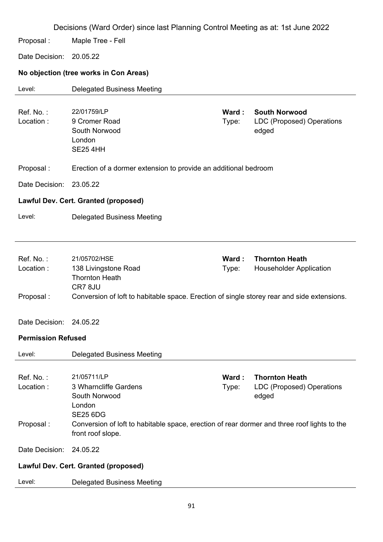Decisions (Ward Order) since last Planning Control Meeting as at: 1st June 2022 Proposal : Maple Tree - Fell Date Decision: 20.05.22 **No objection (tree works in Con Areas)**  Level: Delegated Business Meeting Ref. No. : 22/01759/LP **Ward : South Norwood** Location : 9 Cromer Road South Norwood London SE25 4HH Type: LDC (Proposed) Operations edged Proposal : Erection of a dormer extension to provide an additional bedroom Date Decision: 23.05.22 **Lawful Dev. Cert. Granted (proposed)**  Level: Delegated Business Meeting Ref. No. : 21/05702/HSE **Ward : Thornton Heath** Location : 138 Livingstone Road Thornton Heath CR7 8JU Type: Householder Application Proposal : Conversion of loft to habitable space. Erection of single storey rear and side extensions. Date Decision: 24.05.22 **Permission Refused**  Level: Delegated Business Meeting Ref. No. : 21/05711/LP **Ward : Thornton Heath** Location : 3 Wharncliffe Gardens South Norwood London SE25 6DG Type: LDC (Proposed) Operations edged Proposal : Conversion of loft to habitable space, erection of rear dormer and three roof lights to the front roof slope. Date Decision: 24.05.22 **Lawful Dev. Cert. Granted (proposed)**  Level: Delegated Business Meeting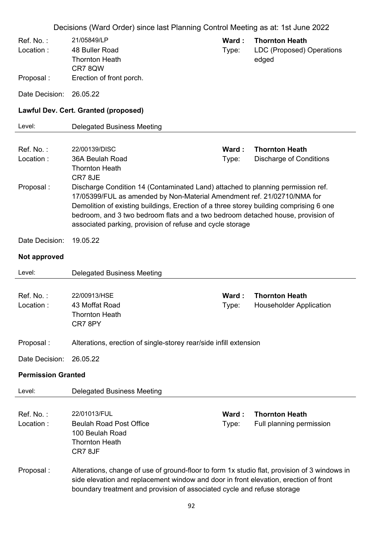|                           | Decisions (Ward Order) since last Planning Control Meeting as at: 1st June 2022                                                                                                                                                                                                                                                                                                                      |                 |                                                             |
|---------------------------|------------------------------------------------------------------------------------------------------------------------------------------------------------------------------------------------------------------------------------------------------------------------------------------------------------------------------------------------------------------------------------------------------|-----------------|-------------------------------------------------------------|
| Ref. No.:<br>Location:    | 21/05849/LP<br>48 Buller Road<br><b>Thornton Heath</b><br>CR78QW                                                                                                                                                                                                                                                                                                                                     | Ward:<br>Type:  | <b>Thornton Heath</b><br>LDC (Proposed) Operations<br>edged |
| Proposal:                 | Erection of front porch.                                                                                                                                                                                                                                                                                                                                                                             |                 |                                                             |
| Date Decision:            | 26.05.22                                                                                                                                                                                                                                                                                                                                                                                             |                 |                                                             |
|                           | Lawful Dev. Cert. Granted (proposed)                                                                                                                                                                                                                                                                                                                                                                 |                 |                                                             |
| Level:                    | <b>Delegated Business Meeting</b>                                                                                                                                                                                                                                                                                                                                                                    |                 |                                                             |
| Ref. No.:<br>Location:    | 22/00139/DISC<br>36A Beulah Road<br><b>Thornton Heath</b><br>CR78JE                                                                                                                                                                                                                                                                                                                                  | Ward:<br>Type:  | <b>Thornton Heath</b><br><b>Discharge of Conditions</b>     |
| Proposal:                 | Discharge Condition 14 (Contaminated Land) attached to planning permission ref.<br>17/05399/FUL as amended by Non-Material Amendment ref. 21/02710/NMA for<br>Demolition of existing buildings, Erection of a three storey building comprising 6 one<br>bedroom, and 3 two bedroom flats and a two bedroom detached house, provision of<br>associated parking, provision of refuse and cycle storage |                 |                                                             |
| Date Decision:            | 19.05.22                                                                                                                                                                                                                                                                                                                                                                                             |                 |                                                             |
| Not approved              |                                                                                                                                                                                                                                                                                                                                                                                                      |                 |                                                             |
| Level:                    | <b>Delegated Business Meeting</b>                                                                                                                                                                                                                                                                                                                                                                    |                 |                                                             |
| Ref. No.:<br>Location:    | 22/00913/HSE<br>43 Moffat Road<br><b>Thornton Heath</b><br>CR78PY                                                                                                                                                                                                                                                                                                                                    | Ward :<br>Type: | <b>Thornton Heath</b><br><b>Householder Application</b>     |
| Proposal:                 | Alterations, erection of single-storey rear/side infill extension                                                                                                                                                                                                                                                                                                                                    |                 |                                                             |
| Date Decision:            | 26.05.22                                                                                                                                                                                                                                                                                                                                                                                             |                 |                                                             |
| <b>Permission Granted</b> |                                                                                                                                                                                                                                                                                                                                                                                                      |                 |                                                             |
| Level:                    | <b>Delegated Business Meeting</b>                                                                                                                                                                                                                                                                                                                                                                    |                 |                                                             |
| Ref. No.:<br>Location:    | 22/01013/FUL<br><b>Beulah Road Post Office</b><br>100 Beulah Road<br><b>Thornton Heath</b><br>CR78JF                                                                                                                                                                                                                                                                                                 | Ward:<br>Type:  | <b>Thornton Heath</b><br>Full planning permission           |
| Proposal:                 | Alterations, change of use of ground-floor to form 1x studio flat, provision of 3 windows in<br>side elevation and replacement window and door in front elevation, erection of front<br>boundary treatment and provision of associated cycle and refuse storage                                                                                                                                      |                 |                                                             |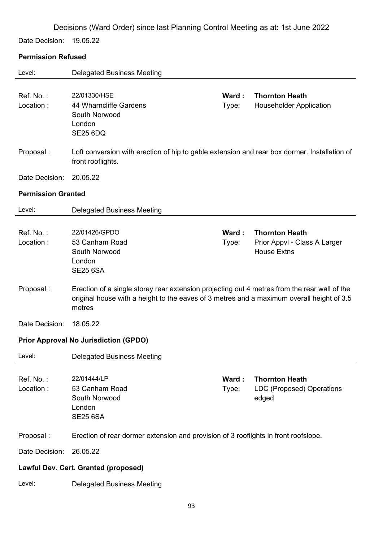Date Decision: 19.05.22

## **Permission Refused**

| Level:                    | <b>Delegated Business Meeting</b>                                                                                                                                                                   |                |                                                                             |
|---------------------------|-----------------------------------------------------------------------------------------------------------------------------------------------------------------------------------------------------|----------------|-----------------------------------------------------------------------------|
| Ref. No.:<br>Location:    | 22/01330/HSE<br>44 Wharncliffe Gardens<br>South Norwood<br>London<br><b>SE25 6DQ</b>                                                                                                                | Ward:<br>Type: | <b>Thornton Heath</b><br><b>Householder Application</b>                     |
| Proposal:                 | Loft conversion with erection of hip to gable extension and rear box dormer. Installation of<br>front rooflights.                                                                                   |                |                                                                             |
| Date Decision:            | 20.05.22                                                                                                                                                                                            |                |                                                                             |
| <b>Permission Granted</b> |                                                                                                                                                                                                     |                |                                                                             |
| Level:                    | <b>Delegated Business Meeting</b>                                                                                                                                                                   |                |                                                                             |
| Ref. No.:<br>Location:    | 22/01426/GPDO<br>53 Canham Road<br>South Norwood<br>London<br><b>SE25 6SA</b>                                                                                                                       | Ward:<br>Type: | <b>Thornton Heath</b><br>Prior Appvl - Class A Larger<br><b>House Extns</b> |
| Proposal:                 | Erection of a single storey rear extension projecting out 4 metres from the rear wall of the<br>original house with a height to the eaves of 3 metres and a maximum overall height of 3.5<br>metres |                |                                                                             |
| Date Decision:            | 18.05.22                                                                                                                                                                                            |                |                                                                             |
|                           | <b>Prior Approval No Jurisdiction (GPDO)</b>                                                                                                                                                        |                |                                                                             |
| Level:                    | <b>Delegated Business Meeting</b>                                                                                                                                                                   |                |                                                                             |
| Ref. No.:<br>Location:    | 22/01444/LP<br>53 Canham Road<br>South Norwood<br>London<br><b>SE25 6SA</b>                                                                                                                         | Ward:<br>Type: | <b>Thornton Heath</b><br>LDC (Proposed) Operations<br>edged                 |
| Proposal:                 | Erection of rear dormer extension and provision of 3 rooflights in front roofslope.                                                                                                                 |                |                                                                             |
| Date Decision:            | 26.05.22                                                                                                                                                                                            |                |                                                                             |
|                           | Lawful Dev. Cert. Granted (proposed)                                                                                                                                                                |                |                                                                             |
| Level:                    | <b>Delegated Business Meeting</b>                                                                                                                                                                   |                |                                                                             |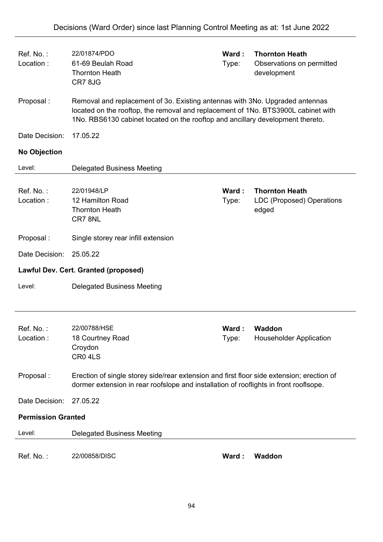| Ref. No.:<br>Location:    | 22/01874/PDO<br>61-69 Beulah Road<br><b>Thornton Heath</b><br>CR78JG                                                                                                                                                                                | Ward:<br>Type: | <b>Thornton Heath</b><br>Observations on permitted<br>development |
|---------------------------|-----------------------------------------------------------------------------------------------------------------------------------------------------------------------------------------------------------------------------------------------------|----------------|-------------------------------------------------------------------|
| Proposal:                 | Removal and replacement of 3o. Existing antennas with 3No. Upgraded antennas<br>located on the rooftop, the removal and replacement of 1No. BTS3900L cabinet with<br>1No. RBS6130 cabinet located on the rooftop and ancillary development thereto. |                |                                                                   |
| Date Decision:            | 17.05.22                                                                                                                                                                                                                                            |                |                                                                   |
| <b>No Objection</b>       |                                                                                                                                                                                                                                                     |                |                                                                   |
| Level:                    | <b>Delegated Business Meeting</b>                                                                                                                                                                                                                   |                |                                                                   |
| Ref. No.:<br>Location:    | 22/01948/LP<br>12 Hamilton Road<br><b>Thornton Heath</b><br>CR78NL                                                                                                                                                                                  | Ward:<br>Type: | <b>Thornton Heath</b><br>LDC (Proposed) Operations<br>edged       |
| Proposal:                 | Single storey rear infill extension                                                                                                                                                                                                                 |                |                                                                   |
| Date Decision:            | 25.05.22                                                                                                                                                                                                                                            |                |                                                                   |
|                           | Lawful Dev. Cert. Granted (proposed)                                                                                                                                                                                                                |                |                                                                   |
| Level:                    | <b>Delegated Business Meeting</b>                                                                                                                                                                                                                   |                |                                                                   |
| Ref. No.:<br>Location:    | 22/00788/HSE<br>18 Courtney Road<br>Croydon<br>CR0 4LS                                                                                                                                                                                              | Ward:<br>Type: | <b>Waddon</b><br><b>Householder Application</b>                   |
| Proposal:                 | Erection of single storey side/rear extension and first floor side extension; erection of<br>dormer extension in rear roofslope and installation of rooflights in front rooflsope.                                                                  |                |                                                                   |
| Date Decision:            | 27.05.22                                                                                                                                                                                                                                            |                |                                                                   |
| <b>Permission Granted</b> |                                                                                                                                                                                                                                                     |                |                                                                   |
| Level:                    | <b>Delegated Business Meeting</b>                                                                                                                                                                                                                   |                |                                                                   |
| Ref. No.:                 | 22/00858/DISC                                                                                                                                                                                                                                       | Ward:          | <b>Waddon</b>                                                     |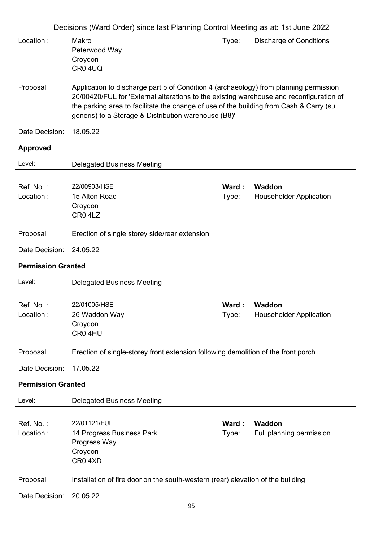|                           | Decisions (Ward Order) since last Planning Control Meeting as at: 1st June 2022                                                                                                                                                                                                                                                     |                 |                                                 |
|---------------------------|-------------------------------------------------------------------------------------------------------------------------------------------------------------------------------------------------------------------------------------------------------------------------------------------------------------------------------------|-----------------|-------------------------------------------------|
| Location:                 | Makro<br>Peterwood Way<br>Croydon<br>CR04UQ                                                                                                                                                                                                                                                                                         | Type:           | <b>Discharge of Conditions</b>                  |
| Proposal:                 | Application to discharge part b of Condition 4 (archaeology) from planning permission<br>20/00420/FUL for 'External alterations to the existing warehouse and reconfiguration of<br>the parking area to facilitate the change of use of the building from Cash & Carry (sui<br>generis) to a Storage & Distribution warehouse (B8)' |                 |                                                 |
| Date Decision:            | 18.05.22                                                                                                                                                                                                                                                                                                                            |                 |                                                 |
| <b>Approved</b>           |                                                                                                                                                                                                                                                                                                                                     |                 |                                                 |
| Level:                    | <b>Delegated Business Meeting</b>                                                                                                                                                                                                                                                                                                   |                 |                                                 |
| Ref. No.:<br>Location:    | 22/00903/HSE<br>15 Alton Road<br>Croydon<br>CR0 4LZ                                                                                                                                                                                                                                                                                 | Ward:<br>Type:  | Waddon<br><b>Householder Application</b>        |
| Proposal:                 | Erection of single storey side/rear extension                                                                                                                                                                                                                                                                                       |                 |                                                 |
| Date Decision:            | 24.05.22                                                                                                                                                                                                                                                                                                                            |                 |                                                 |
| <b>Permission Granted</b> |                                                                                                                                                                                                                                                                                                                                     |                 |                                                 |
| Level:                    | <b>Delegated Business Meeting</b>                                                                                                                                                                                                                                                                                                   |                 |                                                 |
| Ref. No.:<br>Location:    | 22/01005/HSE<br>26 Waddon Way<br>Croydon<br>CR04HU                                                                                                                                                                                                                                                                                  | Ward:<br>Type:  | <b>Waddon</b><br><b>Householder Application</b> |
| Proposal:                 | Erection of single-storey front extension following demolition of the front porch.                                                                                                                                                                                                                                                  |                 |                                                 |
| Date Decision:            | 17.05.22                                                                                                                                                                                                                                                                                                                            |                 |                                                 |
| <b>Permission Granted</b> |                                                                                                                                                                                                                                                                                                                                     |                 |                                                 |
| Level:                    | <b>Delegated Business Meeting</b>                                                                                                                                                                                                                                                                                                   |                 |                                                 |
| Ref. No.:<br>Location:    | 22/01121/FUL<br>14 Progress Business Park<br>Progress Way<br>Croydon<br>CR04XD                                                                                                                                                                                                                                                      | Ward :<br>Type: | Waddon<br>Full planning permission              |
| Proposal:                 | Installation of fire door on the south-western (rear) elevation of the building                                                                                                                                                                                                                                                     |                 |                                                 |
| Date Decision:            | 20.05.22                                                                                                                                                                                                                                                                                                                            |                 |                                                 |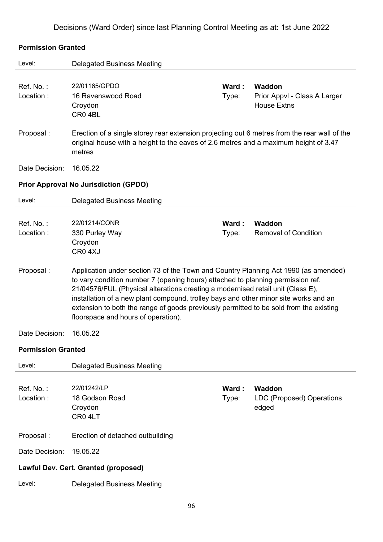#### **Permission Granted**

| Level:                    | <b>Delegated Business Meeting</b>                                                                                                                                                                                                                                                                                                                                                                                                                                                  |                 |                                                              |  |  |
|---------------------------|------------------------------------------------------------------------------------------------------------------------------------------------------------------------------------------------------------------------------------------------------------------------------------------------------------------------------------------------------------------------------------------------------------------------------------------------------------------------------------|-----------------|--------------------------------------------------------------|--|--|
| Ref. No.:<br>Location:    | 22/01165/GPDO<br>16 Ravenswood Road<br>Croydon<br>CR <sub>0</sub> 4BL                                                                                                                                                                                                                                                                                                                                                                                                              | Ward :<br>Type: | Waddon<br>Prior Appvl - Class A Larger<br><b>House Extns</b> |  |  |
| Proposal:                 | Erection of a single storey rear extension projecting out 6 metres from the rear wall of the<br>original house with a height to the eaves of 2.6 metres and a maximum height of 3.47<br>metres                                                                                                                                                                                                                                                                                     |                 |                                                              |  |  |
| Date Decision:            | 16.05.22                                                                                                                                                                                                                                                                                                                                                                                                                                                                           |                 |                                                              |  |  |
|                           | <b>Prior Approval No Jurisdiction (GPDO)</b>                                                                                                                                                                                                                                                                                                                                                                                                                                       |                 |                                                              |  |  |
| Level:                    | <b>Delegated Business Meeting</b>                                                                                                                                                                                                                                                                                                                                                                                                                                                  |                 |                                                              |  |  |
| Ref. No.:<br>Location:    | 22/01214/CONR<br>330 Purley Way<br>Croydon<br>CR <sub>0</sub> 4XJ                                                                                                                                                                                                                                                                                                                                                                                                                  | Ward :<br>Type: | <b>Waddon</b><br><b>Removal of Condition</b>                 |  |  |
| Proposal:                 | Application under section 73 of the Town and Country Planning Act 1990 (as amended)<br>to vary condition number 7 (opening hours) attached to planning permission ref.<br>21/04576/FUL (Physical alterations creating a modernised retail unit (Class E),<br>installation of a new plant compound, trolley bays and other minor site works and an<br>extension to both the range of goods previously permitted to be sold from the existing<br>floorspace and hours of operation). |                 |                                                              |  |  |
| Date Decision:            | 16.05.22                                                                                                                                                                                                                                                                                                                                                                                                                                                                           |                 |                                                              |  |  |
| <b>Permission Granted</b> |                                                                                                                                                                                                                                                                                                                                                                                                                                                                                    |                 |                                                              |  |  |
| Level:                    | <b>Delegated Business Meeting</b>                                                                                                                                                                                                                                                                                                                                                                                                                                                  |                 |                                                              |  |  |
| Ref. No.:<br>Location:    | 22/01242/LP<br>18 Godson Road<br>Croydon<br>CR04LT                                                                                                                                                                                                                                                                                                                                                                                                                                 | Ward:<br>Type:  | <b>Waddon</b><br>LDC (Proposed) Operations<br>edged          |  |  |
| Proposal:                 | Erection of detached outbuilding                                                                                                                                                                                                                                                                                                                                                                                                                                                   |                 |                                                              |  |  |
| Date Decision:            | 19.05.22                                                                                                                                                                                                                                                                                                                                                                                                                                                                           |                 |                                                              |  |  |
|                           | Lawful Dev. Cert. Granted (proposed)                                                                                                                                                                                                                                                                                                                                                                                                                                               |                 |                                                              |  |  |
| Level:                    | <b>Delegated Business Meeting</b>                                                                                                                                                                                                                                                                                                                                                                                                                                                  |                 |                                                              |  |  |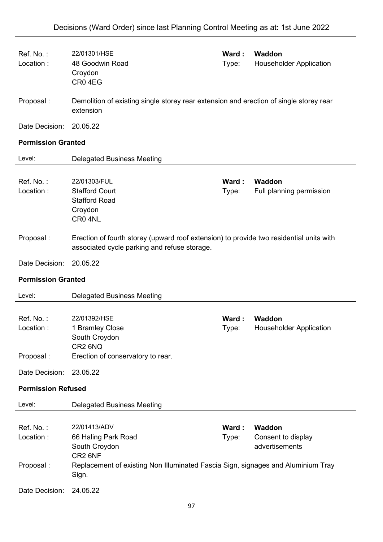| Ref. No.:<br>Location:    | 22/01301/HSE<br>48 Goodwin Road<br>Croydon<br>CR04EG                                                                                    | Ward:<br>Type: | Waddon<br><b>Householder Application</b>        |  |
|---------------------------|-----------------------------------------------------------------------------------------------------------------------------------------|----------------|-------------------------------------------------|--|
| Proposal:                 | Demolition of existing single storey rear extension and erection of single storey rear<br>extension                                     |                |                                                 |  |
| Date Decision:            | 20.05.22                                                                                                                                |                |                                                 |  |
| <b>Permission Granted</b> |                                                                                                                                         |                |                                                 |  |
| Level:                    | <b>Delegated Business Meeting</b>                                                                                                       |                |                                                 |  |
| Ref. No.:<br>Location:    | 22/01303/FUL<br><b>Stafford Court</b><br><b>Stafford Road</b><br>Croydon<br>CR0 4NL                                                     | Ward:<br>Type: | Waddon<br>Full planning permission              |  |
| Proposal:                 | Erection of fourth storey (upward roof extension) to provide two residential units with<br>associated cycle parking and refuse storage. |                |                                                 |  |
| Date Decision:            | 20.05.22                                                                                                                                |                |                                                 |  |
| <b>Permission Granted</b> |                                                                                                                                         |                |                                                 |  |
|                           |                                                                                                                                         |                |                                                 |  |
| Level:                    | <b>Delegated Business Meeting</b>                                                                                                       |                |                                                 |  |
| Ref. No.:<br>Location:    | 22/01392/HSE<br>1 Bramley Close<br>South Croydon<br>CR2 6NQ                                                                             | Ward:<br>Type: | <b>Waddon</b><br><b>Householder Application</b> |  |
| Proposal:                 | Erection of conservatory to rear.                                                                                                       |                |                                                 |  |
| Date Decision:            | 23.05.22                                                                                                                                |                |                                                 |  |
| <b>Permission Refused</b> |                                                                                                                                         |                |                                                 |  |
| Level:                    | <b>Delegated Business Meeting</b>                                                                                                       |                |                                                 |  |
| Ref. No.:<br>Location:    | 22/01413/ADV<br>66 Haling Park Road<br>South Croydon<br>CR2 6NF                                                                         | Ward:<br>Type: | Waddon<br>Consent to display<br>advertisements  |  |
| Proposal:                 | Replacement of existing Non Illuminated Fascia Sign, signages and Aluminium Tray<br>Sign.                                               |                |                                                 |  |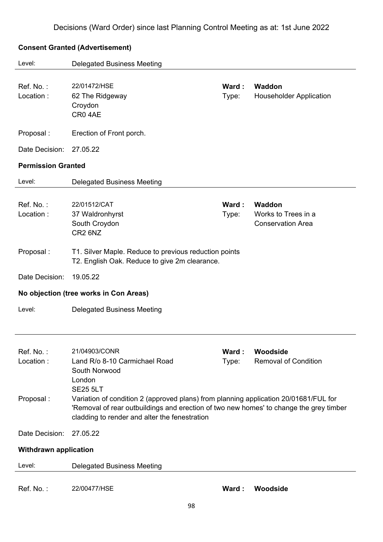### **Consent Granted (Advertisement)**

| Level:                              | <b>Delegated Business Meeting</b>                                                                                                                                                    |                |                                                           |
|-------------------------------------|--------------------------------------------------------------------------------------------------------------------------------------------------------------------------------------|----------------|-----------------------------------------------------------|
| Ref. No.:<br>Location:              | 22/01472/HSE<br>62 The Ridgeway<br>Croydon<br>CR04AE                                                                                                                                 | Ward:<br>Type: | Waddon<br><b>Householder Application</b>                  |
| Proposal:                           | Erection of Front porch.                                                                                                                                                             |                |                                                           |
| Date Decision:                      | 27.05.22                                                                                                                                                                             |                |                                                           |
| <b>Permission Granted</b>           |                                                                                                                                                                                      |                |                                                           |
| Level:                              | <b>Delegated Business Meeting</b>                                                                                                                                                    |                |                                                           |
| Ref. No.:<br>Location:              | 22/01512/CAT<br>37 Waldronhyrst<br>South Croydon<br>CR <sub>2</sub> 6N <sub>Z</sub>                                                                                                  | Ward:<br>Type: | Waddon<br>Works to Trees in a<br><b>Conservation Area</b> |
| Proposal:                           | T1. Silver Maple. Reduce to previous reduction points<br>T2. English Oak. Reduce to give 2m clearance.                                                                               |                |                                                           |
| Date Decision:                      | 19.05.22                                                                                                                                                                             |                |                                                           |
|                                     | No objection (tree works in Con Areas)                                                                                                                                               |                |                                                           |
| Level:                              | <b>Delegated Business Meeting</b>                                                                                                                                                    |                |                                                           |
| Ref. No.:<br>Location:<br>Proposal: | 21/04903/CONR<br>Land R/o 8-10 Carmichael Road<br>South Norwood<br>London<br><b>SE25 5LT</b><br>Variation of condition 2 (approved plans) from planning application 20/01681/FUL for | Ward:<br>Type: | Woodside<br><b>Removal of Condition</b>                   |
| Date Decision:                      | 'Removal of rear outbuildings and erection of two new homes' to change the grey timber<br>cladding to render and alter the fenestration<br>27.05.22                                  |                |                                                           |
| <b>Withdrawn application</b>        |                                                                                                                                                                                      |                |                                                           |
| Level:                              | <b>Delegated Business Meeting</b>                                                                                                                                                    |                |                                                           |
| Ref. No.:                           | 22/00477/HSE                                                                                                                                                                         | Ward:          | Woodside                                                  |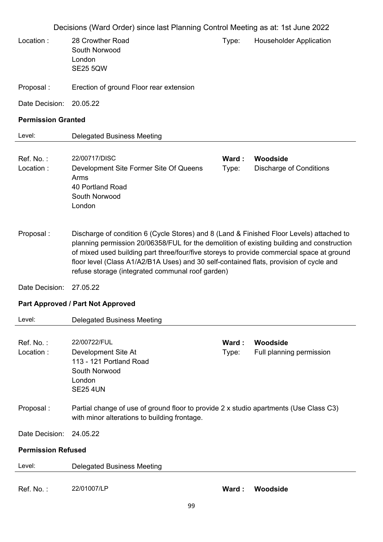Decisions (Ward Order) since last Planning Control Meeting as at: 1st June 2022 Location : 28 Crowther Road South Norwood London SE25 5QW Type: Householder Application Proposal : Erection of ground Floor rear extension Date Decision: 20.05.22 **Permission Granted**  Level: Delegated Business Meeting Ref. No. : 22/00717/DISC **Ward : Woodside** Location : Development Site Former Site Of Queens Arms 40 Portland Road South Norwood London Type: Discharge of Conditions Proposal : Discharge of condition 6 (Cycle Stores) and 8 (Land & Finished Floor Levels) attached to planning permission 20/06358/FUL for the demolition of existing building and construction of mixed used building part three/four/five storeys to provide commercial space at ground floor level (Class A1/A2/B1A Uses) and 30 self-contained flats, provision of cycle and refuse storage (integrated communal roof garden) Date Decision: 27.05.22 **Part Approved / Part Not Approved**  Level: Delegated Business Meeting Ref. No. : 22/00722/FUL **Ward : Woodside** Location : Development Site At 113 - 121 Portland Road South Norwood London SE25 4UN Type: Full planning permission Proposal : Partial change of use of ground floor to provide 2 x studio apartments (Use Class C3) with minor alterations to building frontage. Date Decision: 24.05.22 **Permission Refused**  Level: Delegated Business Meeting Ref. No. : 22/01007/LP **Ward : Woodside**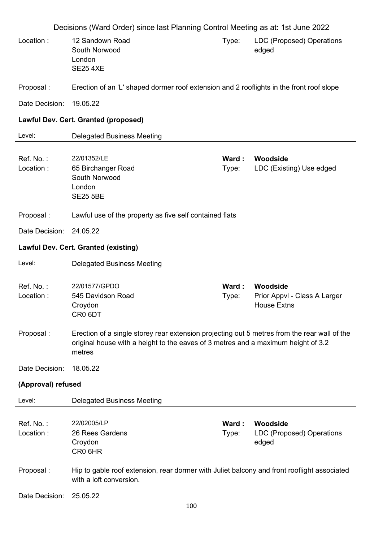|                        | Decisions (Ward Order) since last Planning Control Meeting as at: 1st June 2022                                                                                                             |                 |                                                                |
|------------------------|---------------------------------------------------------------------------------------------------------------------------------------------------------------------------------------------|-----------------|----------------------------------------------------------------|
| Location:              | 12 Sandown Road<br>South Norwood<br>London<br><b>SE25 4XE</b>                                                                                                                               | Type:           | LDC (Proposed) Operations<br>edged                             |
| Proposal:              | Erection of an 'L' shaped dormer roof extension and 2 rooflights in the front roof slope                                                                                                    |                 |                                                                |
| Date Decision:         | 19.05.22                                                                                                                                                                                    |                 |                                                                |
|                        | Lawful Dev. Cert. Granted (proposed)                                                                                                                                                        |                 |                                                                |
| Level:                 | <b>Delegated Business Meeting</b>                                                                                                                                                           |                 |                                                                |
| Ref. No.:<br>Location: | 22/01352/LE<br>65 Birchanger Road<br>South Norwood<br>London<br><b>SE25 5BE</b>                                                                                                             | Ward :<br>Type: | Woodside<br>LDC (Existing) Use edged                           |
| Proposal:              | Lawful use of the property as five self contained flats                                                                                                                                     |                 |                                                                |
| Date Decision:         | 24.05.22                                                                                                                                                                                    |                 |                                                                |
|                        | <b>Lawful Dev. Cert. Granted (existing)</b>                                                                                                                                                 |                 |                                                                |
| Level:                 | <b>Delegated Business Meeting</b>                                                                                                                                                           |                 |                                                                |
| Ref. No.:<br>Location: | 22/01577/GPDO<br>545 Davidson Road<br>Croydon<br>CR <sub>0</sub> 6DT                                                                                                                        | Ward :<br>Type: | Woodside<br>Prior Appvl - Class A Larger<br><b>House Extns</b> |
| Proposal:              | Erection of a single storey rear extension projecting out 5 metres from the rear wall of the<br>original house with a height to the eaves of 3 metres and a maximum height of 3.2<br>metres |                 |                                                                |
| Date Decision:         | 18.05.22                                                                                                                                                                                    |                 |                                                                |
| (Approval) refused     |                                                                                                                                                                                             |                 |                                                                |
| Level:                 | <b>Delegated Business Meeting</b>                                                                                                                                                           |                 |                                                                |
| Ref. No.:<br>Location: | 22/02005/LP<br>26 Rees Gardens                                                                                                                                                              | Ward:<br>Type:  | Woodside<br>LDC (Proposed) Operations<br>edged                 |
|                        | Croydon<br>CR0 6HR                                                                                                                                                                          |                 |                                                                |
| Proposal:              | Hip to gable roof extension, rear dormer with Juliet balcony and front rooflight associated<br>with a loft conversion.                                                                      |                 |                                                                |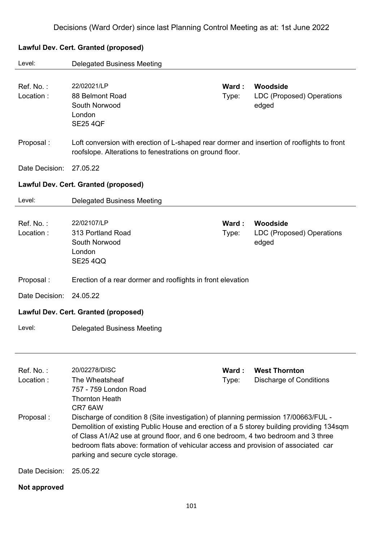# Level: Delegated Business Meeting Ref. No. : 22/02021/LP **Ward : Woodside** Location : 88 Belmont Road South Norwood London SE25 4QF Type: LDC (Proposed) Operations edged Proposal : Loft conversion with erection of L-shaped rear dormer and insertion of rooflights to front roofslope. Alterations to fenestrations on ground floor. Date Decision: 27.05.22 **Lawful Dev. Cert. Granted (proposed)**  Level: Delegated Business Meeting Ref. No. : 22/02107/LP **Ward : Woodside** Location : 313 Portland Road South Norwood London SE25 4QQ Type: LDC (Proposed) Operations edged Proposal : Erection of a rear dormer and rooflights in front elevation Date Decision: 24.05.22 **Lawful Dev. Cert. Granted (proposed)**  Level: Delegated Business Meeting Ref. No. : 20/02278/DISC **Ward : West Thornton** Location : The Wheatsheaf 757 - 759 London Road Thornton Heath CR7 6AW Type: Discharge of Conditions Proposal : Discharge of condition 8 (Site investigation) of planning permission 17/00663/FUL - Demolition of existing Public House and erection of a 5 storey building providing 134sqm of Class A1/A2 use at ground floor, and 6 one bedroom, 4 two bedroom and 3 three bedroom flats above: formation of vehicular access and provision of associated car parking and secure cycle storage. Date Decision: 25.05.22 **Not approved**

#### **Lawful Dev. Cert. Granted (proposed)**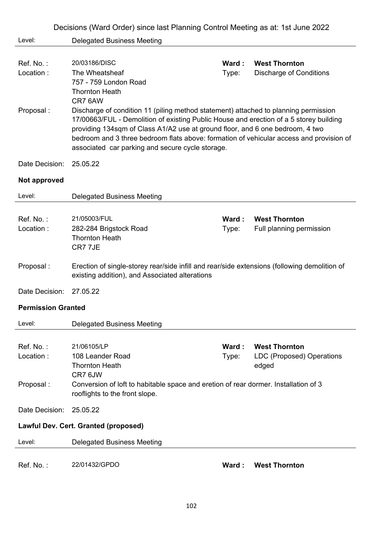|                           | Decisions (Ward Order) since last Planning Control Meeting as at: 1st June 2022                                                                                                                                                                                                                                                                                                                               |                |                                                                   |
|---------------------------|---------------------------------------------------------------------------------------------------------------------------------------------------------------------------------------------------------------------------------------------------------------------------------------------------------------------------------------------------------------------------------------------------------------|----------------|-------------------------------------------------------------------|
| Level:                    | <b>Delegated Business Meeting</b>                                                                                                                                                                                                                                                                                                                                                                             |                |                                                                   |
| Ref. No.:<br>Location:    | 20/03186/DISC<br>The Wheatsheaf<br>757 - 759 London Road<br><b>Thornton Heath</b><br>CR7 6AW                                                                                                                                                                                                                                                                                                                  | Ward:<br>Type: | <b>West Thornton</b><br><b>Discharge of Conditions</b>            |
| Proposal:                 | Discharge of condition 11 (piling method statement) attached to planning permission<br>17/00663/FUL - Demolition of existing Public House and erection of a 5 storey building<br>providing 134sqm of Class A1/A2 use at ground floor, and 6 one bedroom, 4 two<br>bedroom and 3 three bedroom flats above: formation of vehicular access and provision of<br>associated car parking and secure cycle storage. |                |                                                                   |
| Date Decision:            | 25.05.22                                                                                                                                                                                                                                                                                                                                                                                                      |                |                                                                   |
| Not approved              |                                                                                                                                                                                                                                                                                                                                                                                                               |                |                                                                   |
| Level:                    | <b>Delegated Business Meeting</b>                                                                                                                                                                                                                                                                                                                                                                             |                |                                                                   |
| Ref. No.:                 | 21/05003/FUL                                                                                                                                                                                                                                                                                                                                                                                                  | Ward :         | <b>West Thornton</b>                                              |
| Location:                 | 282-284 Brigstock Road<br><b>Thornton Heath</b><br>CR7 7JE                                                                                                                                                                                                                                                                                                                                                    | Type:          | Full planning permission                                          |
| Proposal:                 | Erection of single-storey rear/side infill and rear/side extensions (following demolition of<br>existing addition), and Associated alterations                                                                                                                                                                                                                                                                |                |                                                                   |
| Date Decision:            | 27.05.22                                                                                                                                                                                                                                                                                                                                                                                                      |                |                                                                   |
| <b>Permission Granted</b> |                                                                                                                                                                                                                                                                                                                                                                                                               |                |                                                                   |
| Level:                    | <b>Delegated Business Meeting</b>                                                                                                                                                                                                                                                                                                                                                                             |                |                                                                   |
| Ref. No.:<br>Location:    | 21/06105/LP<br>108 Leander Road<br><b>Thornton Heath</b>                                                                                                                                                                                                                                                                                                                                                      | Ward:<br>Type: | <b>West Thornton</b><br><b>LDC (Proposed) Operations</b><br>edged |
| Proposal:                 | CR7 6JW<br>Conversion of loft to habitable space and eretion of rear dormer. Installation of 3<br>rooflights to the front slope.                                                                                                                                                                                                                                                                              |                |                                                                   |
| Date Decision:            | 25.05.22                                                                                                                                                                                                                                                                                                                                                                                                      |                |                                                                   |
|                           | Lawful Dev. Cert. Granted (proposed)                                                                                                                                                                                                                                                                                                                                                                          |                |                                                                   |
| Level:                    | <b>Delegated Business Meeting</b>                                                                                                                                                                                                                                                                                                                                                                             |                |                                                                   |
| Ref. No.:                 | 22/01432/GPDO                                                                                                                                                                                                                                                                                                                                                                                                 | Ward:          | <b>West Thornton</b>                                              |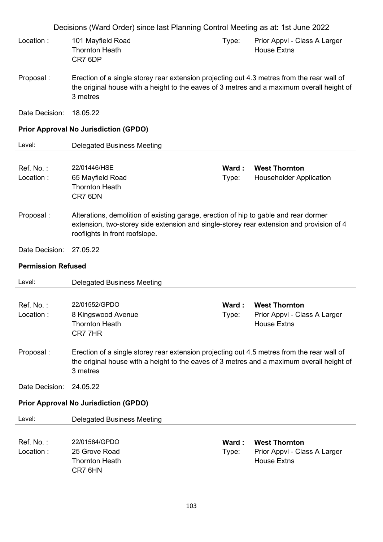|                           | Decisions (Ward Order) since last Planning Control Meeting as at: 1st June 2022                                                                                                                                    |                |                                                                            |
|---------------------------|--------------------------------------------------------------------------------------------------------------------------------------------------------------------------------------------------------------------|----------------|----------------------------------------------------------------------------|
| Location:                 | 101 Mayfield Road<br><b>Thornton Heath</b><br>CR7 6DP                                                                                                                                                              | Type:          | Prior Appvl - Class A Larger<br><b>House Extns</b>                         |
| Proposal:                 | Erection of a single storey rear extension projecting out 4.3 metres from the rear wall of<br>the original house with a height to the eaves of 3 metres and a maximum overall height of<br>3 metres                |                |                                                                            |
| Date Decision:            | 18.05.22                                                                                                                                                                                                           |                |                                                                            |
|                           | <b>Prior Approval No Jurisdiction (GPDO)</b>                                                                                                                                                                       |                |                                                                            |
| Level:                    | <b>Delegated Business Meeting</b>                                                                                                                                                                                  |                |                                                                            |
| Ref. No.:<br>Location:    | 22/01446/HSE<br>65 Mayfield Road<br><b>Thornton Heath</b><br>CR7 6DN                                                                                                                                               | Ward:<br>Type: | <b>West Thornton</b><br><b>Householder Application</b>                     |
| Proposal:                 | Alterations, demolition of existing garage, erection of hip to gable and rear dormer<br>extension, two-storey side extension and single-storey rear extension and provision of 4<br>rooflights in front roofslope. |                |                                                                            |
| Date Decision:            | 27.05.22                                                                                                                                                                                                           |                |                                                                            |
| <b>Permission Refused</b> |                                                                                                                                                                                                                    |                |                                                                            |
| Level:                    | <b>Delegated Business Meeting</b>                                                                                                                                                                                  |                |                                                                            |
| Ref. No.:<br>Location:    | 22/01552/GPDO<br>8 Kingswood Avenue<br><b>Thornton Heath</b><br>CR77HR                                                                                                                                             | Ward:<br>Type: | <b>West Thornton</b><br>Prior Appvl - Class A Larger<br><b>House Extns</b> |
| Proposal:                 | Erection of a single storey rear extension projecting out 4.5 metres from the rear wall of<br>the original house with a height to the eaves of 3 metres and a maximum overall height of<br>3 metres                |                |                                                                            |
| Date Decision:            | 24.05.22                                                                                                                                                                                                           |                |                                                                            |
|                           | <b>Prior Approval No Jurisdiction (GPDO)</b>                                                                                                                                                                       |                |                                                                            |
| Level:                    | <b>Delegated Business Meeting</b>                                                                                                                                                                                  |                |                                                                            |
| Ref. No.:<br>Location:    | 22/01584/GPDO<br>25 Grove Road<br><b>Thornton Heath</b><br>CR7 6HN                                                                                                                                                 | Ward:<br>Type: | <b>West Thornton</b><br>Prior Appvl - Class A Larger<br><b>House Extns</b> |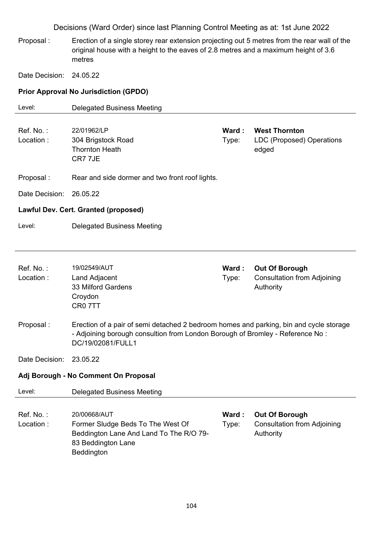Proposal : Erection of a single storey rear extension projecting out 5 metres from the rear wall of the original house with a height to the eaves of 2.8 metres and a maximum height of 3.6 metres

Date Decision: 24.05.22

## **Prior Approval No Jurisdiction (GPDO)**

| Level:                               | <b>Delegated Business Meeting</b>                                                                                                                                                            |                 |                                                                   |
|--------------------------------------|----------------------------------------------------------------------------------------------------------------------------------------------------------------------------------------------|-----------------|-------------------------------------------------------------------|
| Ref. No.:<br>Location:               | 22/01962/LP<br>304 Brigstock Road<br><b>Thornton Heath</b><br>CR7 7JE                                                                                                                        | Ward:<br>Type:  | <b>West Thornton</b><br>LDC (Proposed) Operations<br>edged        |
| Proposal:                            | Rear and side dormer and two front roof lights.                                                                                                                                              |                 |                                                                   |
| Date Decision:                       | 26.05.22                                                                                                                                                                                     |                 |                                                                   |
|                                      | <b>Lawful Dev. Cert. Granted (proposed)</b>                                                                                                                                                  |                 |                                                                   |
| Level:                               | <b>Delegated Business Meeting</b>                                                                                                                                                            |                 |                                                                   |
|                                      |                                                                                                                                                                                              |                 |                                                                   |
| Ref. No.:<br>Location:               | 19/02549/AUT<br>Land Adjacent<br>33 Milford Gardens<br>Croydon<br>CR07TT                                                                                                                     | Ward :<br>Type: | Out Of Borough<br><b>Consultation from Adjoining</b><br>Authority |
| Proposal:                            | Erection of a pair of semi detached 2 bedroom homes and parking, bin and cycle storage<br>- Adjoining borough consultion from London Borough of Bromley - Reference No:<br>DC/19/02081/FULL1 |                 |                                                                   |
| Date Decision:                       | 23.05.22                                                                                                                                                                                     |                 |                                                                   |
| Adj Borough - No Comment On Proposal |                                                                                                                                                                                              |                 |                                                                   |
| Level:                               | <b>Delegated Business Meeting</b>                                                                                                                                                            |                 |                                                                   |
| Ref. No.:<br>Location:               | 20/00668/AUT<br>Former Sludge Beds To The West Of<br>Beddington Lane And Land To The R/O 79-<br>83 Beddington Lane<br>Beddington                                                             | Ward:<br>Type:  | Out Of Borough<br><b>Consultation from Adjoining</b><br>Authority |